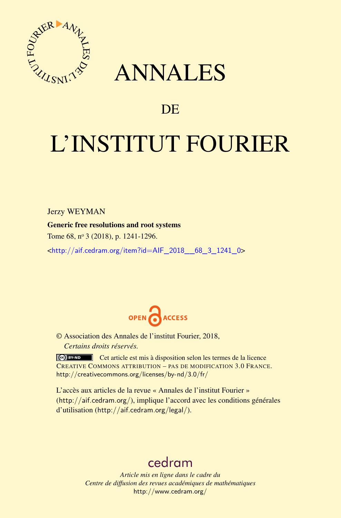

## ANNALES

### **DE**

# L'INSTITUT FOURIER

Jerzy WEYMAN

Generic free resolutions and root systems

Tome 68, nº 3 (2018), p. 1241-1296.

<[http://aif.cedram.org/item?id=AIF\\_2018\\_\\_68\\_3\\_1241\\_0](http://aif.cedram.org/item?id=AIF_2018__68_3_1241_0)>



© Association des Annales de l'institut Fourier, 2018, *Certains droits réservés.*

Cet article est mis à disposition selon les termes de la licence CREATIVE COMMONS ATTRIBUTION – PAS DE MODIFICATION 3.0 FRANCE. <http://creativecommons.org/licenses/by-nd/3.0/fr/>

L'accès aux articles de la revue « Annales de l'institut Fourier » (<http://aif.cedram.org/>), implique l'accord avec les conditions générales d'utilisation (<http://aif.cedram.org/legal/>).

## [cedram](http://www.cedram.org/)

*Article mis en ligne dans le cadre du Centre de diffusion des revues académiques de mathématiques* <http://www.cedram.org/>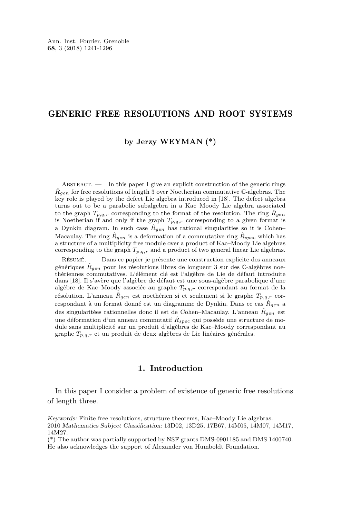#### GENERIC FREE RESOLUTIONS AND ROOT SYSTEMS

#### **by Jerzy WEYMAN (\*)**

ABSTRACT.  $\qquad$  In this paper I give an explicit construction of the generic rings  $\hat{R}_{gen}$  for free resolutions of length 3 over Noetherian commutative  $\mathbb{C}\text{-algebras.}$  The key role is played by the defect Lie algebra introduced in [\[18\]](#page-56-0). The defect algebra turns out to be a parabolic subalgebra in a Kac–Moody Lie algebra associated to the graph  $T_{p,q,r}$  corresponding to the format of the resolution. The ring  $\hat{R}_{gen}$ is Noetherian if and only if the graph  $T_{p,q,r}$  corresponding to a given format is a Dynkin diagram. In such case  $\hat{R}_{gen}$  has rational singularities so it is Cohen– Macaulay. The ring  $\hat{R}_{gen}$  is a deformation of a commutative ring  $\hat{R}_{spec}$  which has a structure of a multiplicity free module over a product of Kac–Moody Lie algebras corresponding to the graph  $T_{p,q,r}$  and a product of two general linear Lie algebras.

Résumé. — Dans ce papier je présente une construction explicite des anneaux génériques  $\hat{R}_{gen}$  pour les résolutions libres de longueur 3 sur des  $\mathbb{C}$ -algèbres noethériennes commutatives. L'élément clé est l'algèbre de Lie de défaut introduite dans [\[18\]](#page-56-0). Il s'avère que l'algèbre de défaut est une sous-algèbre parabolique d'une algèbre de Kac–Moody associée au graphe *Tp,q,r* correspondant au format de la résolution. L'anneau  $\hat{R}_{gen}$  est noethérien si et seulement si le graphe  $T_{p,q,r}$  correspondant à un format donné est un diagramme de Dynkin. Dans ce cas *R*ˆ*gen* a des singularitées rationnelles donc il est de Cohen–Macaulay. L'anneau *R*ˆ*gen* est une déformation d'un anneau commutatif  $\hat{R}_{spec}$  qui possède une structure de module sans multiplicité sur un produit d'algèbres de Kac–Moody correspondant au graphe *Tp,q,r* et un produit de deux algèbres de Lie linéaires générales.

#### **1. Introduction**

In this paper I consider a problem of existence of generic free resolutions of length three.

Keywords: Finite free resolutions, structure theorems, Kac–Moody Lie algebras. 2010 Mathematics Subject Classification: 13D02, 13D25, 17B67, 14M05, 14M07, 14M17, 14M27.

<sup>(\*)</sup> The author was partially supported by NSF grants DMS-0901185 and DMS 1400740.

He also acknowledges the support of Alexander von Humboldt Foundation.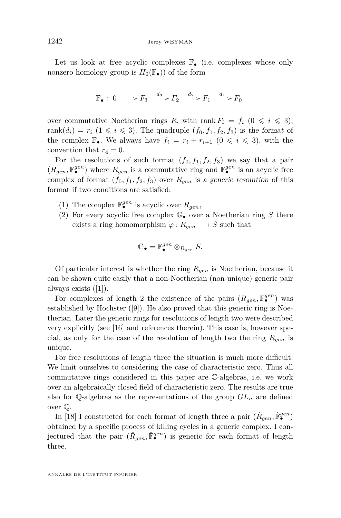Let us look at free acyclic complexes  $\mathbb{F}_{\bullet}$  (i.e. complexes whose only nonzero homology group is  $H_0(\mathbb{F}_{\bullet})$  of the form

$$
\mathbb{F}_{\bullet}: 0 \longrightarrow F_3 \xrightarrow{d_3} F_2 \xrightarrow{d_2} F_1 \xrightarrow{d_1} F_0
$$

over commutative Noetherian rings R, with rank  $F_i = f_i \ (0 \leq i \leq 3),$ rank $(d_i) = r_i$   $(1 \leq i \leq 3)$ . The quadruple  $(f_0, f_1, f_2, f_3)$  is the format of the complex  $\mathbb{F}_{\bullet}$ . We always have  $f_i = r_i + r_{i+1}$  ( $0 \leq i \leq 3$ ), with the convention that  $r_4 = 0$ .

For the resolutions of such format  $(f_0, f_1, f_2, f_3)$  we say that a pair  $(R_{gen}, \mathbb{F}_{\bullet}^{gen})$  where  $R_{gen}$  is a commutative ring and  $\mathbb{F}_{\bullet}^{gen}$  is an acyclic free complex of format  $(f_0, f_1, f_2, f_3)$  over  $R_{gen}$  is a generic resolution of this format if two conditions are satisfied:

- (1) The complex  $\mathbb{F}_{\bullet}^{gen}$  is acyclic over  $R_{gen}$ ,
- (2) For every acyclic free complex  $\mathbb{G}_{\bullet}$  over a Noetherian ring S there exists a ring homomorphism  $\varphi : R_{gen} \longrightarrow S$  such that

$$
\mathbb{G}_{\bullet} = \mathbb{F}_{\bullet}^{gen} \otimes_{R_{gen}} S.
$$

Of particular interest is whether the ring *Rgen* is Noetherian, because it can be shown quite easily that a non-Noetherian (non-unique) generic pair always exists ([\[1\]](#page-55-0)).

For complexes of length 2 the existence of the pairs  $(R_{gen}, \mathbb{F}^{gen}_{\bullet})$  was established by Hochster ([\[9\]](#page-55-1)). He also proved that this generic ring is Noetherian. Later the generic rings for resolutions of length two were described very explicitly (see [\[16\]](#page-56-1) and references therein). This case is, however special, as only for the case of the resolution of length two the ring *Rgen* is unique.

For free resolutions of length three the situation is much more difficult. We limit ourselves to considering the case of characteristic zero. Thus all commutative rings considered in this paper are C-algebras, i.e. we work over an algebraically closed field of characteristic zero. The results are true also for  $\mathbb{Q}$ -algebras as the representations of the group  $GL_n$  are defined over Q.

In [\[18\]](#page-56-0) I constructed for each format of length three a pair  $(\hat{R}_{gen}, \hat{F}_{\bullet}^{gen})$ obtained by a specific process of killing cycles in a generic complex. I conjectured that the pair  $(\hat{R}_{gen}, \hat{F}_{\bullet}^{gen})$  is generic for each format of length three.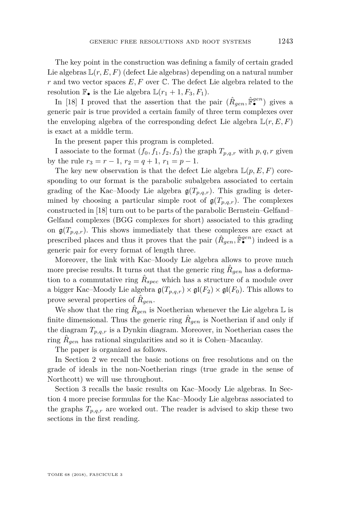The key point in the construction was defining a family of certain graded Lie algebras  $\mathbb{L}(r, E, F)$  (defect Lie algebras) depending on a natural number *r* and two vector spaces *E, F* over C. The defect Lie algebra related to the resolution  $\mathbb{F}_{\bullet}$  is the Lie algebra  $\mathbb{L}(r_1 + 1, F_3, F_1)$ .

In [\[18\]](#page-56-0) I proved that the assertion that the pair  $(\hat{R}_{gen}, \hat{F}^{gen}_{\bullet})$  gives a generic pair is true provided a certain family of three term complexes over the enveloping algebra of the corresponding defect Lie algebra  $\mathbb{L}(r, E, F)$ is exact at a middle term.

In the present paper this program is completed.

I associate to the format  $(f_0, f_1, f_2, f_3)$  the graph  $T_{p,q,r}$  with  $p,q,r$  given by the rule  $r_3 = r - 1$ ,  $r_2 = q + 1$ ,  $r_1 = p - 1$ .

The key new observation is that the defect Lie algebra  $\mathbb{L}(p, E, F)$  coresponding to our format is the parabolic subalgebra associated to certain grading of the Kac–Moody Lie algebra  $g(T_{p,q,r})$ . This grading is determined by choosing a particular simple root of  $g(T_{p,q,r})$ . The complexes constructed in [\[18\]](#page-56-0) turn out to be parts of the parabolic Bernstein–Gelfand– Gelfand complexes (BGG complexes for short) associated to this grading on  $\mathfrak{g}(T_{p,q,r})$ . This shows immediately that these complexes are exact at prescribed places and thus it proves that the pair  $(\hat{R}_{gen}, \hat{F}_{\bullet}^{gen})$  indeed is a generic pair for every format of length three.

Moreover, the link with Kac–Moody Lie algebra allows to prove much more precise results. It turns out that the generic ring  $\hat{R}_{gen}$  has a deformation to a commutative ring  $\hat{R}_{spec}$  which has a structure of a module over a bigger Kac–Moody Lie algebra  $\mathfrak{g}(T_{p,q,r}) \times \mathfrak{gl}(F_2) \times \mathfrak{gl}(F_0)$ . This allows to prove several properties of  $\hat{R}_{gen}$ .

We show that the ring  $\hat{R}_{gen}$  is Noetherian whenever the Lie algebra  $\mathbb L$  is finite dimensional. Thus the generic ring  $\hat{R}_{gen}$  is Noetherian if and only if the diagram  $T_{p,q,r}$  is a Dynkin diagram. Moreover, in Noetherian cases the ring  $\hat{R}_{gen}$  has rational singularities and so it is Cohen–Macaulay.

The paper is organized as follows.

In Section [2](#page-5-0) we recall the basic notions on free resolutions and on the grade of ideals in the non-Noetherian rings (true grade in the sense of Northcott) we will use throughout.

Section [3](#page-6-0) recalls the basic results on Kac–Moody Lie algebras. In Section [4](#page-11-0) more precise formulas for the Kac–Moody Lie algebras associated to the graphs  $T_{p,q,r}$  are worked out. The reader is advised to skip these two sections in the first reading.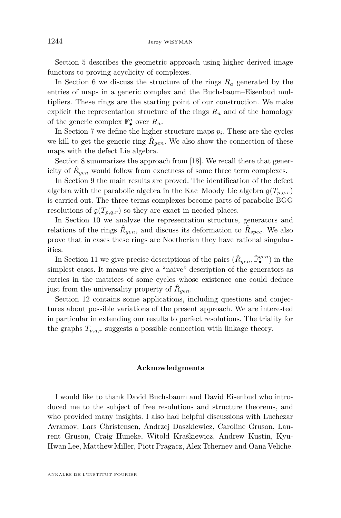Section [5](#page-15-0) describes the geometric approach using higher derived image functors to proving acyclicity of complexes.

In Section [6](#page-16-0) we discuss the structure of the rings *R<sup>a</sup>* generated by the entries of maps in a generic complex and the Buchsbaum–Eisenbud multipliers. These rings are the starting point of our construction. We make explicit the representation structure of the rings  $R_a$  and of the homology of the generic complex  $\mathbb{F}_\bullet^a$  over  $R_a$ .

In Section [7](#page-25-0) we define the higher structure maps  $p_i$ . These are the cycles we kill to get the generic ring  $\hat{R}_{gen}$ . We also show the connection of these maps with the defect Lie algebra.

Section [8](#page-27-0) summarizes the approach from [\[18\]](#page-56-0). We recall there that genericity of  $\hat{R}_{gen}$  would follow from exactness of some three term complexes.

In Section [9](#page-28-0) the main results are proved. The identification of the defect algebra with the parabolic algebra in the Kac–Moody Lie algebra  $\mathfrak{g}(T_{p,q,r})$ is carried out. The three terms complexes become parts of parabolic BGG resolutions of  $g(T_{p,q,r})$  so they are exact in needed places.

In Section [10](#page-32-0) we analyze the representation structure, generators and relations of the rings  $\hat{R}_{gen}$ , and discuss its deformation to  $\hat{R}_{spec}$ . We also prove that in cases these rings are Noetherian they have rational singularities.

In Section [11](#page-40-0) we give precise descriptions of the pairs  $(\hat{R}_{gen}, \hat{F}_{\bullet}^{gen})$  in the simplest cases. It means we give a "naive" description of the generators as entries in the matrices of some cycles whose existence one could deduce just from the universality property of  $\hat{R}_{gen}$ .

Section [12](#page-50-0) contains some applications, including questions and conjectures about possible variations of the present approach. We are interested in particular in extending our results to perfect resolutions. The triality for the graphs  $T_{p,q,r}$  suggests a possible connection with linkage theory.

#### **Acknowledgments**

I would like to thank David Buchsbaum and David Eisenbud who introduced me to the subject of free resolutions and structure theorems, and who provided many insights. I also had helpful discussions with Luchezar Avramov, Lars Christensen, Andrzej Daszkiewicz, Caroline Gruson, Laurent Gruson, Craig Huneke, Witold Kraśkiewicz, Andrew Kustin, Kyu-Hwan Lee, Matthew Miller, Piotr Pragacz, Alex Tchernev and Oana Veliche.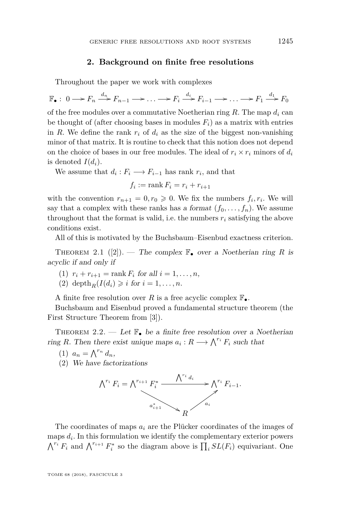#### **2. Background on finite free resolutions**

<span id="page-5-0"></span>Throughout the paper we work with complexes

 $\mathbb{F}_{\bullet}: 0 \longrightarrow F_n \stackrel{d_n}{\longrightarrow} F_{n-1} \longrightarrow \ldots \longrightarrow F_i \stackrel{d_i}{\longrightarrow} F_{i-1} \longrightarrow \ldots \longrightarrow F_1 \stackrel{d_1}{\longrightarrow} F_0$ of the free modules over a commutative Noetherian ring *R*. The map *d<sup>i</sup>* can be thought of (after choosing bases in modules  $F_i$ ) as a matrix with entries in *R*. We define the rank  $r_i$  of  $d_i$  as the size of the biggest non-vanishing minor of that matrix. It is routine to check that this notion does not depend on the choice of bases in our free modules. The ideal of  $r_i \times r_i$  minors of  $d_i$ is denoted  $I(d_i)$ .

We assume that  $d_i: F_i \longrightarrow F_{i-1}$  has rank  $r_i$ , and that

$$
f_i := \operatorname{rank} F_i = r_i + r_{i+1}
$$

with the convention  $r_{n+1} = 0, r_0 \geq 0$ . We fix the numbers  $f_i, r_i$ . We will say that a complex with these ranks has a format  $(f_0, \ldots, f_n)$ . We assume throughout that the format is valid, i.e. the numbers  $r_i$  satisfying the above conditions exist.

All of this is motivated by the Buchsbaum–Eisenbud exactness criterion.

<span id="page-5-1"></span>THEOREM 2.1 ([\[2\]](#page-55-2)). — The complex  $\mathbb{F}_{\bullet}$  over a Noetherian ring R is acyclic if and only if

- (1)  $r_i + r_{i+1} = \text{rank } F_i \text{ for all } i = 1, ..., n,$
- (2) depth<sub>*R*</sub>( $I(d_i) \geq i$  for  $i = 1, \ldots, n$ .

A finite free resolution over *R* is a free acyclic complex  $\mathbb{F}_{\bullet}$ .

Buchsbaum and Eisenbud proved a fundamental structure theorem (the First Structure Theorem from [\[3\]](#page-55-3)).

<span id="page-5-2"></span>THEOREM 2.2. — Let  $\mathbb{F}_{\bullet}$  be a finite free resolution over a Noetherian ring *R*. Then there exist unique maps  $a_i : R \longrightarrow \bigwedge^{r_i} F_i$  such that

(1)  $a_n = \bigwedge^{r_n} d_n$ ,

(2) We have factorizations



The coordinates of maps *a<sup>i</sup>* are the Plücker coordinates of the images of maps *d<sup>i</sup>* . In this formulation we identify the complementary exterior powers  $\bigwedge^{r_i} F_i$  and  $\bigwedge^{r_{i+1}} F_i^*$  so the diagram above is  $\prod_i SL(F_i)$  equivariant. One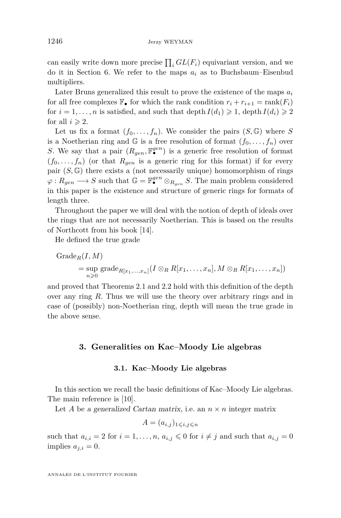can easily write down more precise  $\prod_i GL(F_i)$  equivariant version, and we do it in Section [6.](#page-16-0) We refer to the maps  $a_i$  as to Buchsbaum–Eisenbud multipliers.

Later Bruns generalized this result to prove the existence of the maps *a<sup>i</sup>* for all free complexes  $\mathbb{F}_{\bullet}$  for which the rank condition  $r_i + r_{i+1} = \text{rank}(F_i)$ for  $i = 1, \ldots, n$  is satisfied, and such that depth  $I(d_1) \geq 1$ , depth  $I(d_i) \geq 2$ for all  $i \geq 2$ .

Let us fix a format  $(f_0, \ldots, f_n)$ . We consider the pairs  $(S, \mathbb{G})$  where *S* is a Noetherian ring and  $\mathbb{G}$  is a free resolution of format  $(f_0, \ldots, f_n)$  over *S*. We say that a pair  $(R_{gen}, \mathbb{F}_{\bullet}^{gen})$  is a generic free resolution of format  $(f_0, \ldots, f_n)$  (or that  $R_{gen}$  is a generic ring for this format) if for every pair  $(S, \mathbb{G})$  there exists a (not necessarily unique) homomorphism of rings  $\varphi: R_{gen} \longrightarrow S$  such that  $\mathbb{G} = \mathbb{F}_{\bullet}^{gen} \otimes_{R_{gen}} S$ . The main problem considered in this paper is the existence and structure of generic rings for formats of length three.

Throughout the paper we will deal with the notion of depth of ideals over the rings that are not necessarily Noetherian. This is based on the results of Northcott from his book [\[14\]](#page-56-2).

He defined the true grade

Grade<sub>R</sub>(*I*, *M*)  
= sup grade<sub>R[x\_1,...,x\_n]</sub>(
$$
I \otimes_R R[x_1,...,x_n]
$$
,  $M \otimes_R R[x_1,...,x_n]$ )

and proved that Theorems [2.1](#page-5-1) and [2.2](#page-5-2) hold with this definition of the depth over any ring *R*. Thus we will use the theory over arbitrary rings and in case of (possibly) non-Noetherian ring, depth will mean the true grade in the above sense.

#### <span id="page-6-0"></span>**3. Generalities on Kac–Moody Lie algebras**

#### **3.1. Kac–Moody Lie algebras**

In this section we recall the basic definitions of Kac–Moody Lie algebras. The main reference is [\[10\]](#page-55-4).

Let *A* be a generalized Cartan matrix, i.e. an  $n \times n$  integer matrix

$$
A = (a_{i,j})_{1 \leqslant i,j \leqslant n}
$$

such that  $a_{i,i} = 2$  for  $i = 1, \ldots, n$ ,  $a_{i,j} \leq 0$  for  $i \neq j$  and such that  $a_{i,j} = 0$ implies  $a_{j,i} = 0$ .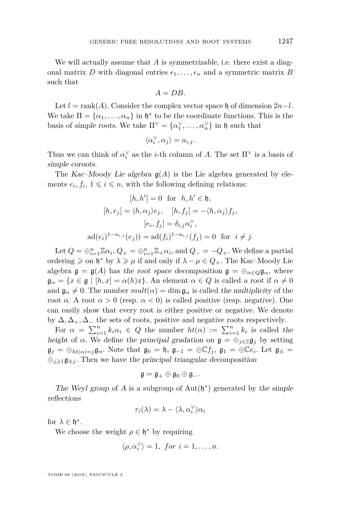We will actually assume that *A* is *symmetrizable*, i.e. there exist a diagonal matrix *D* with diagonal entries  $\epsilon_1, \ldots, \epsilon_n$  and a symmetric matrix *B* such that

$$
A=DB.
$$

Let  $l = \text{rank}(A)$ . Consider the complex vector space h of dimension  $2n-l$ . We take  $\Pi = {\alpha_1, \ldots, \alpha_n}$  in  $\mathfrak{h}^*$  to be the coordinate functions. This is the basis of simple roots. We take  $\Pi^{\vee} = {\alpha_1^{\vee}, \dots, \alpha_n^{\vee}}$  in h such that

$$
\langle \alpha_i^\vee, \alpha_j \rangle = a_{i,j}.
$$

Thus we can think of  $\alpha_i^{\vee}$  as the *i*-th column of *A*. The set  $\Pi^{\vee}$  is a basis of simple coroots.

The Kac–Moody Lie algebra  $g(A)$  is the Lie algebra generated by elements  $e_i, f_i, 1 \leq i \leq n$ , with the following defining relations:

$$
[h, h'] = 0 \text{ for } h, h' \in \mathfrak{h},
$$

$$
[h, e_j] = \langle h, \alpha_j \rangle e_j, \quad [h, f_j] = -\langle h, \alpha_j \rangle f_j,
$$

$$
[e_i, f_j] = \delta_{i,j} \alpha_i^{\vee},
$$

$$
\text{ad}(e_i)^{1 - a_{i,j}}(e_j)) = \text{ad}(f_i)^{1 - a_{i,j}}(f_j) = 0 \text{ for } i \neq j.
$$

Let  $Q = \bigoplus_{i=1}^{n} \mathbb{Z}\alpha_i$ ,  $Q_+ = \bigoplus_{i=1}^{n} \mathbb{Z}_+\alpha_i$ , and  $Q_- = -Q_+$ . We define a partial ordering  $\geq$  on  $\mathfrak{h}^*$  by  $\lambda \geq \mu$  if and only if  $\lambda - \mu \in Q_+$ . The Kac–Moody Lie algebra  $\mathfrak{g} = \mathfrak{g}(A)$  has the root space decomposition  $\mathfrak{g} = \bigoplus_{\alpha \in Q} \mathfrak{g}_{\alpha}$ , where  $\mathfrak{g}_{\alpha} = \{x \in \mathfrak{g} \mid [h, x] = \alpha(h)x\}.$  An element  $\alpha \in Q$  is called a root if  $\alpha \neq 0$ and  $\mathfrak{g}_{\alpha} \neq 0$ . The number  $mult(\alpha) = \dim \mathfrak{g}_{\alpha}$  is called the multiplicity of the root *α*. A root  $\alpha > 0$  (resp.  $\alpha < 0$ ) is called *positive* (resp. *negative*). One can easily show that every root is either positive or negative. We denote by  $\Delta, \Delta_+$ ,  $\Delta_-$  the sets of roots, positive and negative roots respectively.

For  $\alpha = \sum_{i=1}^{n} k_i \alpha_i \in Q$  the number  $ht(\alpha) := \sum_{i=1}^{n} k_i$  is called the height of  $\alpha$ . We define the principal gradation on  $\mathfrak{g} = \bigoplus_{j \in \mathbb{Z}} \mathfrak{g}_j$  by setting  $\mathfrak{g}_j = \bigoplus_{ht(\alpha)=j} \mathfrak{g}_{\alpha}$ . Note that  $\mathfrak{g}_0 = \mathfrak{h}$ ,  $\mathfrak{g}_{-1} = \bigoplus \mathbb{C} f_j$ ,  $\mathfrak{g}_1 = \bigoplus \mathbb{C} e_i$ . Let  $\mathfrak{g}_{\pm} =$  $\oplus_{i\geq 1}\mathfrak{g}_{\pm i}$ . Then we have the principal triangular decomposition

$$
\mathfrak{g}=\mathfrak{g}_+\oplus\mathfrak{g}_0\oplus\mathfrak{g}_-.
$$

The Weyl group of  $A$  is a subgroup of  $Aut(\mathfrak{h}^*)$  generated by the simple reflections

$$
r_i(\lambda)=\lambda-\langle\lambda,\alpha_i^\vee\rangle\alpha_i
$$

for  $\lambda \in \mathfrak{h}^*$ .

We choose the weight  $\rho \in \mathfrak{h}^*$  by requiring

$$
\langle \rho, \alpha_i^{\vee} \rangle = 1, \text{ for } i = 1, \dots, n.
$$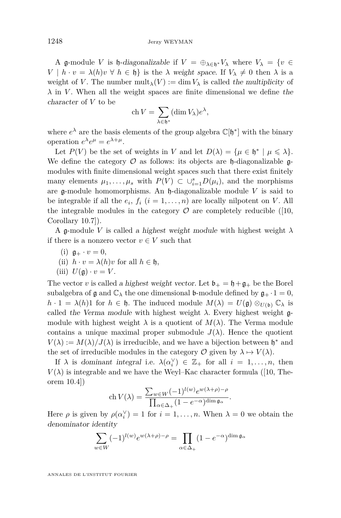A g-module *V* is h-diagonalizable if  $V = \bigoplus_{\lambda \in \mathfrak{h}^*} V_\lambda$  where  $V_\lambda = \{v \in$  $V \mid h \cdot v = \lambda(h)v \forall h \in \mathfrak{h}$  is the  $\lambda$  weight space. If  $V_{\lambda} \neq 0$  then  $\lambda$  is a weight of *V*. The number  $\text{mult}_{\lambda}(V) := \dim V_{\lambda}$  is called the multiplicity of *λ* in *V* . When all the weight spaces are finite dimensional we define the character of *V* to be

$$
\operatorname{ch} V = \sum_{\lambda \in \mathfrak{h}^*} (\dim V_{\lambda}) e^{\lambda},
$$

where  $e^{\lambda}$  are the basis elements of the group algebra  $\mathbb{C}[\mathfrak{h}^*]$  with the binary operation  $e^{\lambda}e^{\mu} = e^{\lambda + \mu}$ .

Let  $P(V)$  be the set of weights in *V* and let  $D(\lambda) = {\mu \in \mathfrak{h}^* \mid \mu \leq \lambda}.$ We define the category  $\mathcal O$  as follows: its objects are  $\mathfrak h$ -diagonalizable  $\mathfrak g$ modules with finite dimensional weight spaces such that there exist finitely many elements  $\mu_1, \ldots, \mu_s$  with  $P(V) \subset \bigcup_{i=1}^s D(\mu_i)$ , and the morphisms are g-module homomorphisms. An h-diagonalizable module *V* is said to be integrable if all the  $e_i$ ,  $f_i$   $(i = 1, ..., n)$  are locally nilpotent on *V*. All the integrable modules in the category  $\mathcal O$  are completely reducible ([\[10,](#page-55-4) Corollary 10.7]).

A g-module *V* is called a highest weight module with highest weight *λ* if there is a nonzero vector  $v \in V$  such that

$$
(i) \mathfrak{g}_+ \cdot v = 0,
$$

(ii) 
$$
h \cdot v = \lambda(h)v
$$
 for all  $h \in \mathfrak{h}$ ,

(iii) 
$$
U(\mathfrak{g}) \cdot v = V
$$
.

The vector *v* is called a highest weight vector. Let  $\mathfrak{b}_+ = \mathfrak{h} + \mathfrak{g}_+$  be the Borel subalgebra of  $\mathfrak g$  and  $\mathbb C_{\lambda}$  the one dimensional **b**-module defined by  $\mathfrak g_+ \cdot 1 = 0$ ,  $h \cdot 1 = \lambda(h)1$  for  $h \in \mathfrak{h}$ . The induced module  $M(\lambda) = U(\mathfrak{g}) \otimes_{U(\mathfrak{b})} \mathbb{C}_{\lambda}$  is called the Verma module with highest weight  $\lambda$ . Every highest weight  $\mathfrak{g}$ module with highest weight  $\lambda$  is a quotient of  $M(\lambda)$ . The Verma module contains a unique maximal proper submodule  $J(\lambda)$ . Hence the quotient  $V(\lambda) := M(\lambda)/J(\lambda)$  is irreducible, and we have a bijection between  $\mathfrak{h}^*$  and the set of irreducible modules in the category  $\mathcal{O}$  given by  $\lambda \mapsto V(\lambda)$ .

If  $\lambda$  is dominant integral i.e.  $\lambda(\alpha_i^{\vee}) \in \mathbb{Z}_+$  for all  $i = 1, ..., n$ , then  $V(\lambda)$  is integrable and we have the Weyl–Kac character formula ([\[10,](#page-55-4) Theorem 10.4])

$$
\operatorname{ch} V(\lambda) = \frac{\sum_{w \in W} (-1)^{l(w)} e^{w(\lambda + \rho) - \rho}}{\prod_{\alpha \in \Delta_+} (1 - e^{-\alpha})^{\dim \mathfrak{g}_{\alpha}}}.
$$

Here  $\rho$  is given by  $\rho(\alpha_i^{\vee}) = 1$  for  $i = 1, ..., n$ . When  $\lambda = 0$  we obtain the denominator identity

$$
\sum_{w \in W} (-1)^{l(w)} e^{w(\lambda + \rho) - \rho} = \prod_{\alpha \in \Delta_+} (1 - e^{-\alpha})^{\dim \mathfrak{g}_{\alpha}}
$$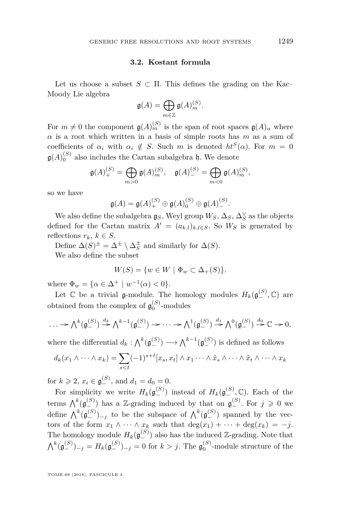#### **3.2. Kostant formula**

Let us choose a subset  $S \subset \Pi$ . This defines the grading on the Kac– Moody Lie algebra

$$
\mathfrak{g}(A) = \bigoplus_{m \in \mathbb{Z}} \mathfrak{g}(A)_m^{(S)}.
$$

For  $m \neq 0$  the component  $\mathfrak{g}(A)_{m}^{(S)}$  is the span of root spaces  $\mathfrak{g}(A)_{\alpha}$  where *α* is a root which written in a basis of simple roots has *m* as a sum of coefficients of  $\alpha_i$  with  $\alpha_i \notin S$ . Such *m* is denoted  $ht^S(\alpha)$ . For  $m = 0$  $\mathfrak{g}(A)_{0}^{(S)}$  also includes the Cartan subalgebra  $\mathfrak{h}$ . We denote

$$
\mathfrak{g}(A)_{+}^{(S)} = \bigoplus_{m>0} \mathfrak{g}(A)_{m}^{(S)}, \quad \mathfrak{g}(A)_{-}^{(S)} = \bigoplus_{m<0} \mathfrak{g}(A)_{m}^{(S)},
$$

so we have

$$
\mathfrak{g}(A) = \mathfrak{g}(A)_{+}^{(S)} \oplus \mathfrak{g}(A)_{0}^{(S)} \oplus \mathfrak{g}(A)_{-}^{(S)}.
$$

We also define the subalgebra  $\mathfrak{g}_S$ , Weyl group  $W_S$ ,  $\Delta_S$ ,  $\Delta_S^\vee$  as the objects defined for the Cartan matrix  $A' = (a_{k,l})_{k,l \in S}$ . So  $W_S$  is generated by reflections  $r_k, k \in S$ .

Define  $\Delta(S)^{\pm} = \Delta^{\pm} \setminus \Delta_S^{\pm}$  and similarly for  $\Delta(S)$ .

We also define the subset

$$
W(S) = \{ w \in W \mid \Phi_w \subset \Delta_+(S) \}.
$$

where  $\Phi_w = {\alpha \in \Delta^+ \mid w^{-1}(\alpha) < 0}.$ 

Let  $\mathbb C$  be a trivial g-module. The homology modules  $H_k(\mathfrak{g}^{(S)}_-, \mathbb C)$  are obtained from the complex of  $\mathfrak{g}_0^{(S)}$ -modules

$$
\ldots \to \bigwedge^k(\mathfrak{g}_{-}^{(S)}) \stackrel{d_k}{\to} \bigwedge^{k-1}(\mathfrak{g}_{-}^{(S)}) \to \cdots \to \bigwedge^1(\mathfrak{g}_{-}^{(S)}) \stackrel{d_1}{\to} \bigwedge^0(\mathfrak{g}_{-}^{(S)}) \stackrel{d_0}{\to} \mathbb{C} \to 0,
$$

where the differential  $d_k: \bigwedge^k (\mathfrak{g}_{-}^{(S)}) \longrightarrow \bigwedge^{k-1} (\mathfrak{g}_{-}^{(S)})$  is defined as follows

$$
d_k(x_1 \wedge \cdots \wedge x_k) = \sum_{s < t} (-1)^{s+t} [x_s, x_t] \wedge x_1 \cdots \wedge \hat{x}_s \wedge \cdots \wedge \hat{x}_t \wedge \cdots \wedge x_k]
$$

for  $k \ge 2$ ,  $x_i \in \mathfrak{g}^{(S)}_-,$  and  $d_1 = d_0 = 0$ .

For simplicity we write  $H_k(\mathfrak{g}^{(S)}_-)$  instead of  $H_k(\mathfrak{g}^{(S)}_-,\mathbb{C})$ . Each of the terms  $\bigwedge^k(\mathfrak{g}_{-}^{(S)})$  has a Z-grading induced by that on  $\mathfrak{g}_{-}^{(S)}$ . For  $j \geqslant 0$  we define  $\bigwedge^k (\mathfrak{g}^{(S)}_-)_{-j}$  to be the subspace of  $\bigwedge^k (\mathfrak{g}^{(S)}_-)$  spanned by the vectors of the form  $x_1 \wedge \cdots \wedge x_k$  such that  $\deg(x_1) + \cdots + \deg(x_k) = -j$ . The homology module  $H_k(\mathfrak{g}^{(S)}_-)$  also has the induced Z-grading. Note that  $\bigwedge^k (\mathfrak{g}^{(S)}_-)_{-j} = H_k(\mathfrak{g}^{(S)}_-)_{-j} = 0$  for  $k > j$ . The  $\mathfrak{g}^{(S)}_0$ -module structure of the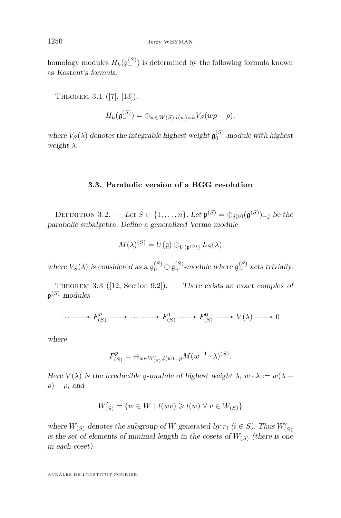homology modules  $H_k(\mathfrak{g}^{(S)}_-)$  is determined by the following formula known as Kostant's formula.

THEOREM 3.1 ([\[7\]](#page-55-5), [\[13\]](#page-55-6)).

$$
H_k(\mathfrak{g}_{-}^{(S)}) = \bigoplus_{w \in W(S), l(w) = k} V_S(w\rho - \rho),
$$

where  $V_S(\lambda)$  denotes the integrable highest weight  $\mathfrak{g}_0^{(S)}$ -module with highest weight *λ*.

#### **3.3. Parabolic version of a BGG resolution**

DEFINITION 3.2. — Let  $S \subset \{1, \ldots, n\}$ . Let  $\mathfrak{p}^{(S)} = \oplus_{j \geqslant 0} (\mathfrak{g}^{(S)})_{-j}$  be the parabolic subalgebra. Define a generalized Verma module

$$
M(\lambda)^{(S)} = U(\mathfrak{g}) \otimes_{U(\mathfrak{p}^{(S)})} L_S(\lambda)
$$

where  $V_S(\lambda)$  is considered as a  $\mathfrak{g}_0^{(S)} \oplus \mathfrak{g}_+^{(S)}$ -module where  $\mathfrak{g}_+^{(S)}$  acts trivially.

THEOREM 3.3 ([\[12,](#page-55-7) Section 9.2]). — There exists an exact complex of  $\mathfrak{p}^{ \left( S \right)}$ -modules

$$
\cdots \longrightarrow F_{(S)}^p \longrightarrow \cdots \longrightarrow F_{(S)}^1 \longrightarrow F_{(S)}^0 \longrightarrow V(\lambda) \longrightarrow 0
$$

where

$$
F_{(S)}^p = \bigoplus_{w \in W'_{(S)}, l(w) = p} M(w^{-1} \cdot \lambda)^{(S)}.
$$

Here  $V(\lambda)$  is the irreducible g-module of highest weight  $\lambda, w \cdot \lambda := w(\lambda +$  $\rho$ ) –  $\rho$ , and

$$
W'_{(S)} = \{w \in W \mid l(wv) \geqslant l(w) \,\,\forall \,\, v \in W_{(S)}\}
$$

where  $W_{(S)}$  denotes the subgroup of W generated by  $r_i$  ( $i \in S$ ). Thus  $W'_{(S)}$ is the set of elements of minimal length in the cosets of  $W_{(S)}$  (there is one in each coset).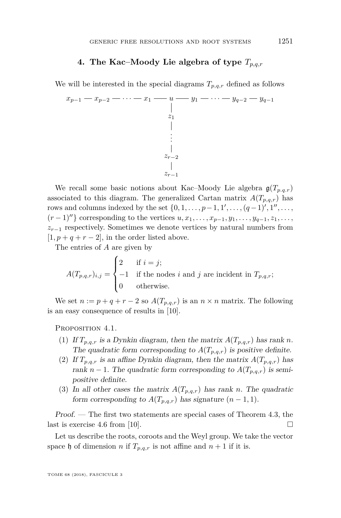#### **4. The Kac–Moody Lie algebra of type** *Tp,q,r*

<span id="page-11-0"></span>We will be interested in the special diagrams  $T_{p,q,r}$  defined as follows

$$
x_{p-1} - x_{p-2} - \cdots - x_1 - u - y_1 - \cdots - y_{q-2} - y_{q-1}
$$
\n
$$
\vdots
$$
\n
$$
\vdots
$$
\n
$$
x_{r-2}
$$
\n
$$
\vdots
$$
\n
$$
x_{r-1}
$$

We recall some basic notions about Kac–Moody Lie algebra  $\mathfrak{g}(T_{p,q,r})$ associated to this diagram. The generalized Cartan matrix  $A(T_{p,q,r})$  has rows and columns indexed by the set  $\{0, 1, \ldots, p-1, 1', \ldots, (q-1)', 1'', \ldots,$  $(r-1)''$ } corresponding to the vertices  $u, x_1, \ldots, x_{p-1}, y_1, \ldots, y_{q-1}, z_1, \ldots$ *zr*−<sup>1</sup> respectively. Sometimes we denote vertices by natural numbers from  $[1, p + q + r - 2]$ , in the order listed above.

The entries of *A* are given by

$$
A(T_{p,q,r})_{i,j} = \begin{cases} 2 & \text{if } i = j; \\ -1 & \text{if the nodes } i \text{ and } j \text{ are incident in } T_{p,q,r}; \\ 0 & \text{otherwise.} \end{cases}
$$

We set  $n := p + q + r - 2$  so  $A(T_{p,q,r})$  is an  $n \times n$  matrix. The following is an easy consequence of results in [\[10\]](#page-55-4).

PROPOSITION 4.1.

- (1) If  $T_{p,q,r}$  is a Dynkin diagram, then the matrix  $A(T_{p,q,r})$  has rank *n*. The quadratic form corresponding to  $A(T_{p,q,r})$  is positive definite.
- (2) If  $T_{p,q,r}$  is an affine Dynkin diagram, then the matrix  $A(T_{p,q,r})$  has rank *n* − 1. The quadratic form corresponding to  $A(T_{p,q,r})$  is semipositive definite.
- (3) In all other cases the matrix  $A(T_{p,q,r})$  has rank *n*. The quadratic form corresponding to  $A(T_{p,q,r})$  has signature  $(n-1,1)$ .

Proof. — The first two statements are special cases of Theorem 4.3, the last is exercise 4.6 from [\[10\]](#page-55-4).

Let us describe the roots, coroots and the Weyl group. We take the vector space h of dimension *n* if  $T_{p,q,r}$  is not affine and  $n+1$  if it is.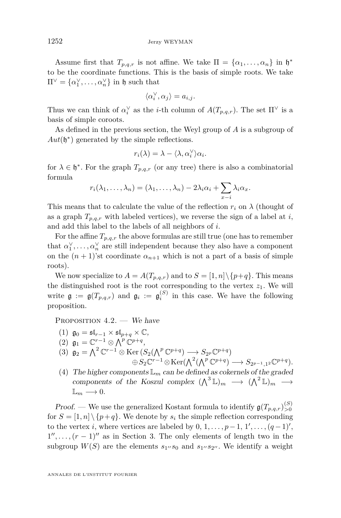Assume first that  $T_{p,q,r}$  is not affine. We take  $\Pi = {\alpha_1, \ldots, \alpha_n}$  in  $\mathfrak{h}^*$ to be the coordinate functions. This is the basis of simple roots. We take  $\Pi^{\vee} = {\alpha_1^{\vee}, \ldots, \alpha_n^{\vee}}$  in h such that

$$
\langle \alpha_i^\vee, \alpha_j \rangle = a_{i,j}.
$$

Thus we can think of  $\alpha_i^{\vee}$  as the *i*-th column of  $A(T_{p,q,r})$ . The set  $\Pi^{\vee}$  is a basis of simple coroots.

As defined in the previous section, the Weyl group of *A* is a subgroup of  $Aut(\mathfrak{h}^*)$  generated by the simple reflections.

$$
r_i(\lambda) = \lambda - \langle \lambda, \alpha_i^{\vee} \rangle \alpha_i.
$$

for  $\lambda \in \mathfrak{h}^*$ . For the graph  $T_{p,q,r}$  (or any tree) there is also a combinatorial formula

$$
r_i(\lambda_1,\ldots,\lambda_n)=(\lambda_1,\ldots,\lambda_n)-2\lambda_i\alpha_i+\sum_{x-i}\lambda_i\alpha_x.
$$

This means that to calculate the value of the reflection  $r_i$  on  $\lambda$  (thought of as a graph  $T_{p,q,r}$  with labeled vertices), we reverse the sign of a label at *i*, and add this label to the labels of all neighbors of *i*.

For the affine  $T_{p,q,r}$  the above formulas are still true (one has to remember that  $\alpha_1^{\vee}, \ldots, \alpha_n^{\vee}$  are still independent because they also have a component on the  $(n + 1)$ 'st coordinate  $\alpha_{n+1}$  which is not a part of a basis of simple roots).

We now specialize to  $A = A(T_{p,q,r})$  and to  $S = [1, n] \setminus \{p+q\}$ . This means the distinguished root is the root corresponding to the vertex  $z_1$ . We will write  $\mathfrak{g} := \mathfrak{g}(T_{p,q,r})$  and  $\mathfrak{g}_i := \mathfrak{g}_i^{(S)}$  in this case. We have the following proposition.

PROPOSITION  $4.2.$  – We have

- (1)  $\mathfrak{g}_0 = \mathfrak{sl}_{r-1} \times \mathfrak{sl}_{p+q} \times \mathbb{C},$
- (2)  $\mathfrak{g}_1 = \mathbb{C}^{r-1} \otimes \bigwedge^p \mathbb{C}^{p+q},$
- (3)  $\mathfrak{g}_2 = \bigwedge^2 \mathbb{C}^{r-1} \otimes \text{Ker}\left(S_2(\bigwedge^p \mathbb{C}^{p+q}) \longrightarrow S_{2^p} \mathbb{C}^{p+q}\right)$  $\bigoplus S_2 \mathbb{C}^{r-1} \otimes \text{Ker}(\bigwedge^2 (\bigwedge^p \mathbb{C}^{p+q}) \longrightarrow S_{2p-1,1^2} \mathbb{C}^{p+q}).$

(4) The higher components  $\mathbb{L}_m$  can be defined as cokernels of the graded components of the Koszul complex  $({\bigwedge}^3 \mathbb{L})_m \longrightarrow ({\bigwedge}^2 \mathbb{L})_m \longrightarrow$  $\mathbb{L}_m \longrightarrow 0.$ 

Proof. — We use the generalized Kostant formula to identify  $\mathfrak{g}(T_{p,q,r})_{>0}^{(S)}$ for  $S = \{1, n\} \setminus \{p+q\}$ . We denote by  $s_i$  the simple reflection corresponding to the vertex *i*, where vertices are labeled by  $0, 1, \ldots, p-1, 1', \ldots, (q-1)',$  $1'', \ldots, (r-1)''$  as in Section [3.](#page-6-0) The only elements of length two in the subgroup  $W(S)$  are the elements  $s_1 \prime s_0$  and  $s_1 \prime s_2 \prime \prime$ . We identify a weight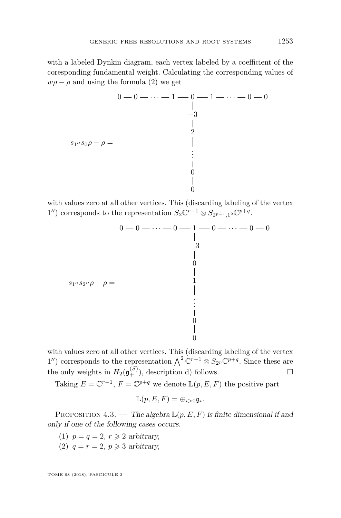with a labeled Dynkin diagram, each vertex labeled by a coefficient of the coresponding fundamental weight. Calculating the corresponding values of  $w\rho - \rho$  and using the formula (2) we get

$$
0 - 0 - \cdots - 1 - 0 - 1 - \cdots - 0 - 0
$$
  
\n
$$
\begin{array}{c|c}\n & -3 \\
 & 2 \\
2 \\
 & 2 \\
 & 1 \\
 & 0 \\
 & 0 \\
 & 0\n\end{array}
$$

with values zero at all other vertices. This (discarding labeling of the vertex 1") corresponds to the representation  $S_2 \mathbb{C}^{r-1} \otimes S_{2p-1,1^2} \mathbb{C}^{p+q}$ .

$$
0 - 0 - \cdots - 0 - 1 - 0 - \cdots - 0 - 0
$$
  
\n
$$
\begin{array}{c|c}\n & -3 \\
 & -3 \\
 & 0 \\
 & 0 \\
 & 1 \\
 & 0 \\
 & \vdots \\
 & 0 \\
 & 0\n\end{array}
$$

with values zero at all other vertices. This (discarding labeling of the vertex 1'') corresponds to the representation  $\bigwedge^2 \mathbb{C}^{r-1} \otimes S_{2p} \mathbb{C}^{p+q}$ . Since these are the only weights in  $H_2(\mathfrak{g}^{(S)}_+)$ , description d) follows.

Taking  $E = \mathbb{C}^{r-1}$ ,  $F = \mathbb{C}^{p+q}$  we denote  $\mathbb{L}(p, E, F)$  the positive part

$$
\mathbb{L}(p, E, F) = \oplus_{i > 0} \mathfrak{g}_i.
$$

PROPOSITION 4.3. — The algebra  $\mathbb{L}(p, E, F)$  is finite dimensional if and only if one of the following cases occurs.

- (1)  $p = q = 2, r \geq 2$  arbitrary,
- (2)  $q = r = 2, p \geq 3$  arbitrary,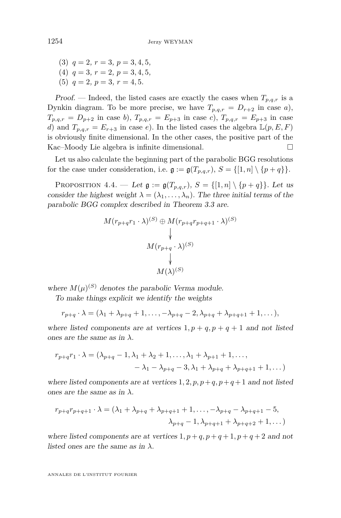$(3)$   $q = 2, r = 3, p = 3, 4, 5,$  $(4)$   $q = 3, r = 2, p = 3, 4, 5,$ (5)  $q = 2, p = 3, r = 4, 5.$ 

Proof. — Indeed, the listed cases are exactly the cases when  $T_{p,q,r}$  is a Dynkin diagram. To be more precise, we have  $T_{p,q,r} = D_{r+2}$  in case a),  $T_{p,q,r} = D_{p+2}$  in case *b*),  $T_{p,q,r} = E_{p+3}$  in case *c*),  $T_{p,q,r} = E_{p+3}$  in case *d*) and  $T_{p,q,r} = E_{r+3}$  in case *e*). In the listed cases the algebra  $\mathbb{L}(p, E, F)$ is obviously finite dimensional. In the other cases, the positive part of the Kac–Moody Lie algebra is infinite dimensional.

Let us also calculate the beginning part of the parabolic BGG resolutions for the case under consideration, i.e.  $\mathfrak{g} := \mathfrak{g}(T_{p,q,r}), S = \{[1,n] \setminus \{p+q\}\}.$ 

<span id="page-14-0"></span>PROPOSITION 4.4. — Let  $\mathfrak{g} := \mathfrak{g}(T_{p,q,r}), S = \{ [1,n] \setminus \{p+q\} \}$ . Let us consider the highest weight  $\lambda = (\lambda_1, \ldots, \lambda_n)$ . The three initial terms of the parabolic BGG complex described in Theorem 3.3 are.

$$
M(r_{p+q}r_1 \cdot \lambda)^{(S)} \oplus M(r_{p+q}r_{p+q+1} \cdot \lambda)^{(S)}
$$
  
\n
$$
\downarrow
$$
  
\n
$$
M(r_{p+q} \cdot \lambda)^{(S)}
$$
  
\n
$$
\downarrow
$$
  
\n
$$
M(\lambda)^{(S)}
$$

where  $M(\mu)^{(S)}$  denotes the parabolic Verma module.

To make things explicit we identify the weights

$$
r_{p+q} \cdot \lambda = (\lambda_1 + \lambda_{p+q} + 1, \dots, -\lambda_{p+q} - 2, \lambda_{p+q} + \lambda_{p+q+1} + 1, \dots),
$$

where listed components are at vertices  $1, p + q, p + q + 1$  and not listed ones are the same as in  $\lambda$ .

$$
r_{p+q}r_1 \cdot \lambda = (\lambda_{p+q} - 1, \lambda_1 + \lambda_2 + 1, \dots, \lambda_1 + \lambda_{p+1} + 1, \dots, - \lambda_1 - \lambda_{p+q} - 3, \lambda_1 + \lambda_{p+q} + \lambda_{p+q+1} + 1, \dots)
$$

where listed components are at vertices  $1, 2, p, p+q, p+q+1$  and not listed ones are the same as in  $\lambda$ .

$$
r_{p+q}r_{p+q+1} \cdot \lambda = (\lambda_1 + \lambda_{p+q} + \lambda_{p+q+1} + 1, \dots, -\lambda_{p+q} - \lambda_{p+q+1} - 5, \lambda_{p+q} - 1, \lambda_{p+q+1} + \lambda_{p+q+2} + 1, \dots)
$$

where listed components are at vertices  $1, p+q, p+q+1, p+q+2$  and not listed ones are the same as in  $\lambda$ .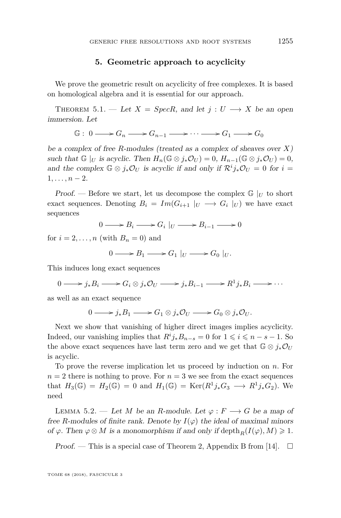#### **5. Geometric approach to acyclicity**

<span id="page-15-0"></span>We prove the geometric result on acyclicity of free complexes. It is based on homological algebra and it is essential for our approach.

THEOREM 5.1. — Let  $X = SpecR$ , and let  $j : U \longrightarrow X$  be an open immersion. Let

 $\mathbb{G}: 0 \longrightarrow G_n \longrightarrow G_{n-1} \longrightarrow \cdots \longrightarrow G_1 \longrightarrow G_0$ 

be a complex of free *R*-modules (treated as a complex of sheaves over *X*) such that  $\mathbb{G}|_U$  is acyclic. Then  $H_n(\mathbb{G} \otimes j_*\mathcal{O}_U) = 0$ ,  $H_{n-1}(\mathbb{G} \otimes j_*\mathcal{O}_U) = 0$ , and the complex  $\mathbb{G} \otimes j_*\mathcal{O}_U$  is acyclic if and only if  $\mathcal{R}^i j_*\mathcal{O}_U = 0$  for  $i =$  $1, \ldots, n-2.$ 

Proof. — Before we start, let us decompose the complex  $\mathbb{G}|_U$  to short exact sequences. Denoting  $B_i = Im(G_{i+1} | U \rightarrow G_i | U)$  we have exact sequences

$$
0 \longrightarrow B_i \longrightarrow G_i |_{U} \longrightarrow B_{i-1} \longrightarrow 0
$$

for  $i = 2, \ldots, n$  (with  $B_n = 0$ ) and

 $0 \longrightarrow B_1 \longrightarrow G_1 \mid_U \longrightarrow G_0 \mid_U.$ 

This induces long exact sequences

 $0 \longrightarrow j_*B_i \longrightarrow G_i \otimes j_*\mathcal{O}_U \longrightarrow j_*B_{i-1} \longrightarrow R^1j_*B_i \longrightarrow \cdots$ 

as well as an exact sequence

$$
0 \longrightarrow j_*B_1 \longrightarrow G_1 \otimes j_*\mathcal{O}_U \longrightarrow G_0 \otimes j_*\mathcal{O}_U.
$$

Next we show that vanishing of higher direct images implies acyclicity. Indeed, our vanishing implies that  $R^i j_* B_{n-s} = 0$  for  $1 \leq i \leq n - s - 1$ . So the above exact sequences have last term zero and we get that  $\mathbb{G} \otimes j_*\mathcal{O}_U$ is acyclic.

To prove the reverse implication let us proceed by induction on *n*. For  $n = 2$  there is nothing to prove. For  $n = 3$  we see from the exact sequences that  $H_3(\mathbb{G}) = H_2(\mathbb{G}) = 0$  and  $H_1(\mathbb{G}) = \text{Ker}(R^1 j_* G_3 \longrightarrow R^1 j_* G_2)$ . We need

<span id="page-15-1"></span>LEMMA 5.2. — Let *M* be an *R*-module. Let  $\varphi : F \longrightarrow G$  be a map of free *R*-modules of finite rank. Denote by  $I(\varphi)$  the ideal of maximal minors of  $\varphi$ . Then  $\varphi \otimes M$  is a monomorphism if and only if depth<sub>*R*</sub>( $I(\varphi)$ ,  $M$ )  $\geq 1$ .

Proof. — This is a special case of Theorem 2, Appendix B from [\[14\]](#page-56-2).  $\Box$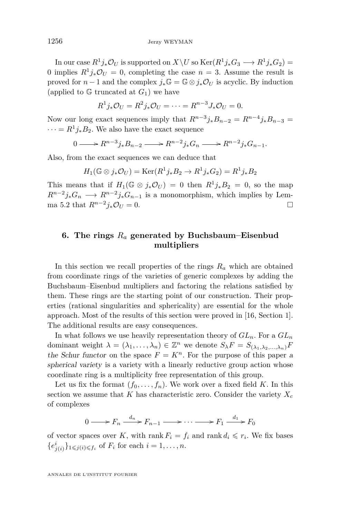In our case  $R^1 j_* \mathcal{O}_U$  is supported on  $X \backslash U$  so  $\text{Ker}(R^1 j_* G_3 \longrightarrow R^1 j_* G_2) =$ 0 implies  $R^1 j_* \mathcal{O}_U = 0$ , completing the case  $n = 3$ . Assume the result is proved for *n* − 1 and the complex  $j_*\mathbb{G} = \mathbb{G} \otimes j_*\mathcal{O}_U$  is acyclic. By induction (applied to  $\mathbb G$  truncated at  $G_1$ ) we have

$$
R^1 j_* \mathcal{O}_U = R^2 j_* \mathcal{O}_U = \cdots = R^{n-3} J_* \mathcal{O}_U = 0.
$$

Now our long exact sequences imply that  $R^{n-3}j_*B_{n-2} = R^{n-4}j_*B_{n-3}$  $\cdots = R^1 j_* B_2$ . We also have the exact sequence

$$
0 \longrightarrow R^{n-3}j_*B_{n-2} \longrightarrow R^{n-2}j_*G_n \longrightarrow R^{n-2}j_*G_{n-1}.
$$

Also, from the exact sequences we can deduce that

$$
H_1(\mathbb{G} \otimes j_*\mathcal{O}_U) = \text{Ker}(R^1j_*B_2 \to R^1j_*G_2) = R^1j_*B_2
$$

This means that if  $H_1(\mathbb{G} \otimes j_*\mathcal{O}_U) = 0$  then  $R^1 j_* B_2 = 0$ , so the map  $R^{n-2}j_*G_n \longrightarrow R^{n-2}j_*G_{n-1}$  is a monomorphism, which implies by Lem-ma [5.2](#page-15-1) that  $R^{n-2}j_*\mathcal{O}_U = 0$ . □

#### <span id="page-16-0"></span>**6. The rings** *R<sup>a</sup>* **generated by Buchsbaum–Eisenbud multipliers**

In this section we recall properties of the rings  $R_a$  which are obtained from coordinate rings of the varieties of generic complexes by adding the Buchsbaum–Eisenbud multipliers and factoring the relations satisfied by them. These rings are the starting point of our construction. Their properties (rational singularities and sphericality) are essential for the whole approach. Most of the results of this section were proved in [\[16,](#page-56-1) Section 1]. The additional results are easy consequences.

In what follows we use heavily representation theory of  $GL_n$ . For a  $GL_n$ dominant weight  $\lambda = (\lambda_1, \ldots, \lambda_n) \in \mathbb{Z}^n$  we denote  $S_{\lambda}F = S_{(\lambda_1, \lambda_2, \ldots, \lambda_n)}F$ the Schur functor on the space  $F = K<sup>n</sup>$ . For the purpose of this paper a spherical variety is a variety with a linearly reductive group action whose coordinate ring is a multiplicity free representation of this group.

Let us fix the format  $(f_0, \ldots, f_n)$ . We work over a fixed field *K*. In this section we assume that  $K$  has characteristic zero. Consider the variety  $X_c$ of complexes

$$
0 \longrightarrow F_n \xrightarrow{d_n} F_{n-1} \longrightarrow \cdots \longrightarrow F_1 \xrightarrow{d_1} F_0
$$

of vector spaces over *K*, with rank  $F_i = f_i$  and rank  $d_i \leq r_i$ . We fix bases  ${e^{i}_{j(i)} }_{1 \leq j(i) \leq f_i}$  of  $F_i$  for each  $i = 1, ..., n$ .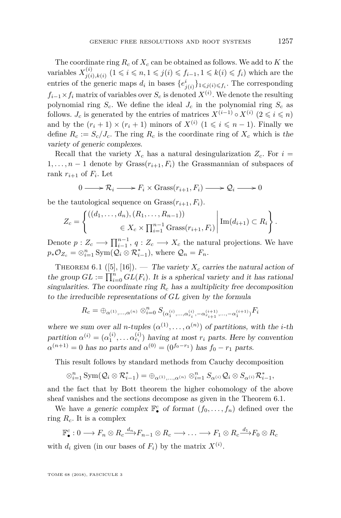The coordinate ring *R<sup>c</sup>* of *X<sup>c</sup>* can be obtained as follows. We add to *K* the variables  $X_{i(i)}^{(i)}$  $j(i)$ <sub>*j*(*i*</sup>),*k*(*i*) (1 ≤ *i* ≤ *n*, 1 ≤ *j*(*i*) ≤ *f*<sub>*i*</sub>-1</sub>, 1 ≤ *k*(*i*) ≤ *f*<sub>*i*</sub>) which are the entries of the generic maps  $d_i$  in bases  $\{e^i_{j(i)}\}_{1 \leqslant j(i) \leqslant f_i}$ . The corresponding  $f_{i-1} \times f_i$  matrix of variables over  $S_c$  is denoted  $X^{(i)}$ . We denote the resulting polynomial ring  $S_c$ . We define the ideal  $J_c$  in the polynomial ring  $S_c$  as follows. *J<sub>c</sub>* is generated by the entries of matrices  $X^{(i-1)} \circ X^{(i)}$   $(2 \leq i \leq n)$ and by the  $(r_i + 1) \times (r_i + 1)$  minors of  $X^{(i)}$   $(1 \leq i \leq n - 1)$ . Finally we define  $R_c := S_c/J_c$ . The ring  $R_c$  is the coordinate ring of  $X_c$  which is the variety of generic complexes.

Recall that the variety  $X_c$  has a natural desingularization  $Z_c$ . For  $i =$ 1, ...,  $n-1$  denote by Grass $(r_{i+1}, F_i)$  the Grassmannian of subspaces of rank  $r_{i+1}$  of  $F_i$ . Let

$$
0 \longrightarrow \mathcal{R}_i \longrightarrow F_i \times \text{Grass}(r_{i+1}, F_i) \longrightarrow \mathcal{Q}_i \longrightarrow 0
$$

be the tautological sequence on  $Grass(r_{i+1}, F_i)$ .

$$
Z_c = \begin{cases} ((d_1, ..., d_n), (R_1, ..., R_{n-1})) \\ \in X_c \times \prod_{i=1}^{n-1} \text{Grass}(r_{i+1}, F_i) \end{cases} \text{Im}(d_{i+1}) \subset R_i \text{.}
$$

Denote  $p: Z_c \longrightarrow \prod_{i=1}^{n-1}$ ,  $q: Z_c \longrightarrow X_c$  the natural projections. We have  $p_*\mathcal{O}_{Z_c} = \otimes_{i=1}^n \text{Sym}(\mathcal{Q}_i \otimes \mathcal{R}_{i-1}^*),$  where  $\mathcal{Q}_n = F_n$ .

THEOREM 6.1 ([\[5\]](#page-55-8), [\[16\]](#page-56-1)). — The variety  $X_c$  carries the natural action of the group  $GL := \prod_{i=0}^{n} GL(F_i)$ . It is a spherical variety and it has rational singularities. The coordinate ring  $R_c$  has a multiplicity free decomposition to the irreducible representations of *GL* given by the formula

$$
R_c=\oplus_{\alpha^{(1)},...,\alpha^{(n)}}\otimes_{i=0}^n S_{(\alpha_1^{(i)},...,\alpha_{r_i}^{(i)},-\alpha_{r_{i+1}}^{(i+1)},...,-\alpha_1^{(i+1)})}F_i
$$

where we sum over all *n*-tuples  $(\alpha^{(1)}, \ldots, \alpha^{(n)})$  of partitions, with the *i*-th partition  $\alpha^{(i)} = (\alpha_1^{(i)}, \dots \alpha_{r_i}^{(i)})$  having at most  $r_i$  parts. Here by convention  $\alpha^{(n+1)} = 0$  has no parts and  $\alpha^{(0)} = (0^{f_0 - r_1})$  has  $f_0 - r_1$  parts.

This result follows by standard methods from Cauchy decomposition

$$
\otimes_{i=1}^n {\operatorname{Sym}}(\mathcal{Q}_i \otimes \mathcal{R}_{i-1}^*) = \oplus_{\alpha^{(1)}, \dots, \alpha^{(n)}} \otimes_{i=1}^n S_{\alpha^{(i)}} \mathcal{Q}_i \otimes S_{\alpha^{(i)}} \mathcal{R}_{i-1}^*,
$$

and the fact that by Bott theorem the higher cohomology of the above sheaf vanishes and the sections decompose as given in the Theorem 6.1.

We have a generic complex  $\mathbb{F}_{\bullet}^{c}$  of format  $(f_0, \ldots, f_n)$  defined over the ring *Rc*. It is a complex

$$
\mathbb{F}_{\bullet}^{c}:0\longrightarrow F_{n}\otimes R_{c}\xrightarrow{d_{n}}F_{n-1}\otimes R_{c}\longrightarrow\ldots\longrightarrow F_{1}\otimes R_{c}\xrightarrow{d_{1}}F_{0}\otimes R_{c}
$$

with  $d_i$  given (in our bases of  $F_i$ ) by the matrix  $X^{(i)}$ .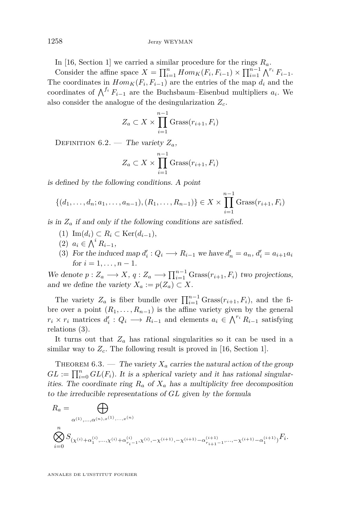In [\[16,](#page-56-1) Section 1] we carried a similar procedure for the rings *Ra*.

Consider the affine space  $X = \prod_{i=1}^{n} Hom_K(F_i, F_{i-1}) \times \prod_{i=1}^{n-1} \bigwedge^{r_i} F_{i-1}.$ The coordinates in  $Hom_K(F_i, F_{i-1})$  are the entries of the map  $d_i$  and the coordinates of  $\bigwedge^{f_i} F_{i-1}$  are the Buchsbaum–Eisenbud multipliers  $a_i$ . We also consider the analogue of the desingularization *Zc*.

$$
Z_a \subset X \times \prod_{i=1}^{n-1} \text{Grass}(r_{i+1}, F_i)
$$

DEFINITION  $6.2$ . — The variety  $Z_a$ ,

$$
Z_a \subset X \times \prod_{i=1}^{n-1} \text{Grass}(r_{i+1}, F_i)
$$

is defined by the following conditions. A point

$$
\{(d_1, \ldots, d_n; a_1, \ldots, a_{n-1}), (R_1, \ldots, R_{n-1})\} \in X \times \prod_{i=1}^{n-1} \text{Grass}(r_{i+1}, F_i)
$$

is in  $Z_a$  if and only if the following conditions are satisfied.

- (1) Im(*di*) ⊂ *R<sup>i</sup>* ⊂ Ker(*di*−1)*,*
- (2)  $a_i$  ∈  $\bigwedge^i R_{i-1}$ ,
- <span id="page-18-0"></span>(3) For the induced map  $d'_i : Q_i \longrightarrow R_{i-1}$  we have  $d'_n = a_n, d'_i = a_{i+1}a_i$ for  $i = 1, \ldots, n - 1$ .

We denote  $p: Z_a \longrightarrow X$ ,  $q: Z_a \longrightarrow \prod_{i=1}^{n-1} \text{Grass}(r_{i+1}, F_i)$  two projections, and we define the variety  $X_a := p(Z_a) \subset X$ .

The variety  $Z_a$  is fiber bundle over  $\prod_{i=1}^{n-1}$  Grass $(r_{i+1}, F_i)$ , and the fibre over a point  $(R_1, \ldots, R_{n-1})$  is the affine variety given by the general  $r_i \times r_i$  matrices  $d'_i: Q_i \longrightarrow R_{i-1}$  and elements  $a_i \in \bigwedge^{r_i} R_{i-1}$  satisfying relations [\(3\)](#page-18-0).

It turns out that  $Z_a$  has rational singularities so it can be used in a similar way to  $Z_c$ . The following result is proved in [\[16,](#page-56-1) Section 1].

THEOREM  $6.3.$  — The variety  $X_a$  carries the natural action of the group  $GL := \prod_{i=0}^{n} GL(F_i)$ . It is a spherical variety and it has rational singularities. The coordinate ring  $R_a$  of  $X_a$  has a multiplicity free decomposition to the irreducible representations of *GL* given by the formula

$$
\begin{split} R_a &= \bigoplus_{\alpha^{(1)},\dots,\alpha^{(n),x^{(1)},\dots,x^{(n)}}} \cr & \bigotimes_{i=0}^n S_{(\chi^{(i)}+\alpha^{(i)}_1,\dots,\chi^{(i)}+\alpha^{(i)}_{r_i-1},\chi^{(i)},-\chi^{(i+1)},-\chi^{(i+1)}-\alpha^{(i+1)}_{r_{i+1}-1},\dots,-\chi^{(i+1)}-\alpha^{(i+1)}_1)}F_i. \end{split}
$$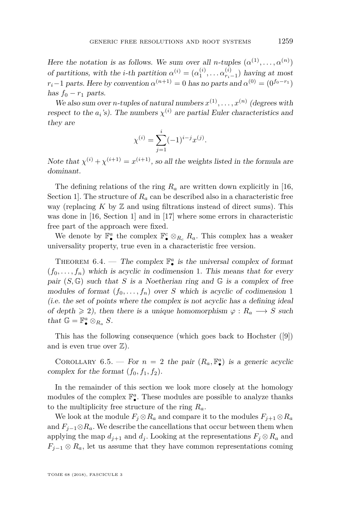Here the notation is as follows. We sum over all *n*-tuples  $(\alpha^{(1)}, \ldots, \alpha^{(n)})$ of partitions, with the *i*-th partition  $\alpha^{(i)} = (\alpha_1^{(i)}, \dots \alpha_{r_i-1}^{(i)})$  having at most  $r_i-1$  parts. Here by convention  $\alpha^{(n+1)} = 0$  has no parts and  $\alpha^{(0)} = (0^{f_0 - r_1})$ has  $f_0 - r_1$  parts.

We also sum over *n*-tuples of natural numbers  $x^{(1)}, \ldots, x^{(n)}$  (degrees with respect to the  $a_i$ 's). The numbers  $\chi^{(i)}$  are partial Euler characteristics and they are

$$
\chi^{(i)} = \sum_{j=1}^{i} (-1)^{i-j} x^{(j)}.
$$

Note that  $\chi^{(i)} + \chi^{(i+1)} = x^{(i+1)}$ , so all the weights listed in the formula are dominant.

The defining relations of the ring *R<sup>a</sup>* are written down explicitly in [\[16,](#page-56-1) Section 1. The structure of  $R_a$  can be described also in a characteristic free way (replacing  $K$  by  $\mathbb Z$  and using filtrations instead of direct sums). This was done in [\[16,](#page-56-1) Section 1] and in [\[17\]](#page-56-3) where some errors in characteristic free part of the approach were fixed.

We denote by  $\mathbb{F}_{\bullet}^{a}$  the complex  $\mathbb{F}_{\bullet}^{c} \otimes_{R_{c}} R_{a}$ . This complex has a weaker universality property, true even in a characteristic free version.

THEOREM  $6.4.$  — The complex  $\mathbb{F}_\bullet^a$  is the universal complex of format  $(f_0, \ldots, f_n)$  which is acyclic in codimension 1. This means that for every pair  $(S, \mathbb{G})$  such that *S* is a Noetherian ring and  $\mathbb{G}$  is a complex of free modules of format  $(f_0, \ldots, f_n)$  over *S* which is acyclic of codimension 1 (i.e. the set of points where the complex is not acyclic has a defining ideal of depth  $\geq 2$ , then there is a unique homomorphism  $\varphi : R_a \longrightarrow S$  such that  $\mathbb{G} = \mathbb{F}_{\bullet}^{a} \otimes_{R_{a}} S$ .

This has the following consequence (which goes back to Hochster ([\[9\]](#page-55-1)) and is even true over  $\mathbb{Z}$ ).

COROLLARY 6.5. — For  $n = 2$  the pair  $(R_a, \mathbb{F}_\bullet^a)$  is a generic acyclic complex for the format  $(f_0, f_1, f_2)$ .

In the remainder of this section we look more closely at the homology modules of the complex  $\mathbb{F}_{\bullet}^{a}$ . These modules are possible to analyze thanks to the multiplicity free structure of the ring *Ra*.

We look at the module  $F_j \otimes R_a$  and compare it to the modules  $F_{j+1} \otimes R_a$ and  $F_{j-1}\otimes R_a$ . We describe the cancellations that occur between them when applying the map  $d_{i+1}$  and  $d_i$ . Looking at the representations  $F_i \otimes R_a$  and  $F_{j-1} \otimes R_a$ , let us assume that they have common representations coming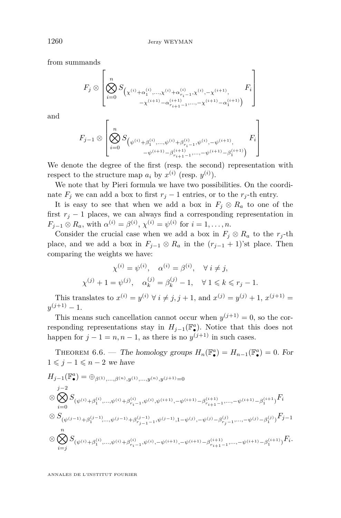from summands

$$
F_j \otimes \left[ \bigotimes_{i=0}^n S_{\left(\chi^{(i)} + \alpha_1^{(i)}, \dots, \chi^{(i)} + \alpha_{r_{i-1}}^{(i)}, \chi^{(i)}, -\chi^{(i+1)}, \dots, \chi^{(i+1)}\right)}^{-1} F_i \right]
$$

and

$$
F_{j-1} \otimes \left[ \bigotimes_{i=0}^{n} S_{\left(\psi^{(i)} + \beta_1^{(i)}, \dots, \psi^{(i)} + \beta_{r_{i-1}}^{(i)}, \psi^{(i)}, -\psi^{(i+1)}, \dots, -\beta_1^{(i+1)}\right)} F_i \right]
$$

We denote the degree of the first (resp. the second) representation with respect to the structure map  $a_i$  by  $x^{(i)}$  (resp.  $y^{(i)}$ ).

We note that by Pieri formula we have two possibilities. On the coordinate  $F_j$  we can add a box to first  $r_j - 1$  entries, or to the  $r_j$ -th entry.

It is easy to see that when we add a box in  $F_j \otimes R_a$  to one of the first  $r_j - 1$  places, we can always find a corresponding representation in  $F_{j-1} \otimes R_a$ , with  $\alpha^{(i)} = \beta^{(i)}$ ,  $\chi^{(i)} = \psi^{(i)}$  for  $i = 1, ..., n$ .

Consider the crucial case when we add a box in  $F_j \otimes R_a$  to the  $r_j$ -th place, and we add a box in  $F_{j-1} \otimes R_a$  in the  $(r_{j-1} + 1)$ 'st place. Then comparing the weights we have:

$$
\chi^{(i)} = \psi^{(i)}, \quad \alpha^{(i)} = \beta^{(i)}, \quad \forall \ i \neq j,
$$
  

$$
\chi^{(j)} + 1 = \psi^{(j)}, \quad \alpha_k^{(j)} = \beta_k^{(j)} - 1, \quad \forall \ 1 \leq k \leq r_j - 1.
$$

This translates to  $x^{(i)} = y^{(i)} \forall i \neq j, j + 1$ , and  $x^{(j)} = y^{(j)} + 1$ ,  $x^{(j+1)} =$  $y^{(j+1)} - 1.$ 

This means such cancellation cannot occur when  $y^{(j+1)} = 0$ , so the corresponding representations stay in  $H_{j-1}(\mathbb{F}_\bullet^a)$ . Notice that this does not happen for  $j - 1 = n, n - 1$ , as there is no  $y^{(j+1)}$  in such cases.

THEOREM 6.6. — The homology groups  $H_n(\mathbb{F}_{\bullet}^a) = H_{n-1}(\mathbb{F}_{\bullet}^a) = 0$ . For  $1 \leqslant j - 1 \leqslant n - 2$  we have

$$
H_{j-1}(\mathbb{F}_{\bullet}^{a}) = \bigoplus_{\beta^{(1)},\ldots,\beta^{(n)},y^{(1)},\ldots,y^{(n)},y^{(j+1)}=0}
$$
  
\n
$$
\bigotimes_{i=0}^{j-2} S_{(\psi^{(i)}+\beta_1^{(i)},\ldots,\psi^{(i)}+\beta_{r_{i-1}}^{(i)},\psi^{(i)},\psi^{(i+1)},-\psi^{(i+1)}-\beta_{r_{i+1}-1}^{(i+1)},\ldots,-\psi^{(i+1)}-\beta_1^{(i+1)})}F_i
$$
  
\n
$$
\bigotimes S_{(\psi^{(j-1)}+\beta_1^{(j-1)},\ldots,\psi^{(j-1)}+\beta_{r_{j-1}-1}^{(j-1)},\psi^{(j-1)},1-\psi^{(j)},-\psi^{(j)}-\beta_{r_{j}-1}^{(j)},\ldots,-\psi^{(j)}-\beta_1^{(j)})}F_{j-1}
$$
  
\n
$$
\bigotimes \bigotimes_{i=j}^{n} S_{(\psi^{(i)}+\beta_1^{(i)},\ldots,\psi^{(i)}+\beta_{r_{i-1}}^{(i)},\psi^{(i)},-\psi^{(i+1)},-\psi^{(i+1)}-\beta_{r_{i+1}-1}^{(i+1)},\ldots,-\psi^{(i+1)}-\beta_1^{(i+1)})}F_i.
$$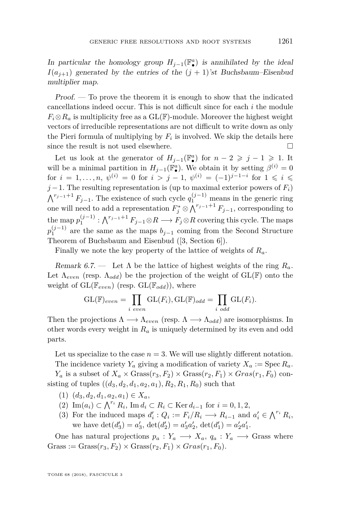In particular the homology group  $H_{j-1}(\mathbb{F}_\bullet^a)$  is annihilated by the ideal  $I(a_{i+1})$  generated by the entries of the  $(j + 1)$ 'st Buchsbaum–Eisenbud multiplier map.

Proof. — To prove the theorem it is enough to show that the indicated cancellations indeed occur. This is not difficult since for each *i* the module  $F_i \otimes R_a$  is multiplicity free as a  $GL(\mathbb{F})$ -module. Moreover the highest weight vectors of irreducible representations are not difficult to write down as only the Pieri formula of multiplying by  $F_i$  is involved. We skip the details here since the result is not used elsewhere.  $\hfill \square$ 

Let us look at the generator of  $H_{j-1}(\mathbb{F}_\bullet^a)$  for  $n-2 \geq j-1 \geq 1$ . It will be a minimal partition in  $H_{j-1}(\mathbb{F}_{\bullet}^a)$ . We obtain it by setting  $\beta^{(i)} = 0$ for  $i = 1, \ldots, n$ ,  $\psi^{(i)} = 0$  for  $i > j - 1$ ,  $\psi^{(i)} = (-1)^{j-1-i}$  for  $1 \leqslant i \leqslant i$ *j* −1. The resulting representation is (up to maximal exterior powers of  $F_i$ )  $\bigwedge^{r_{j-1}+1} F_{j-1}$ . The existence of such cycle  $q_1^{(j-1)}$  means in the generic ring one will need to add a representation  $F_j^* \otimes \bigwedge^{r_{j-1}+1} F_{j-1}$ , corresponding to  $\phi$  the map  $p_1^{(j-1)}: \bigwedge^{r_{j-1}+1} F_{j-1}\otimes R \longrightarrow F_j\otimes R$  covering this cycle. The maps  $p_1^{(j-1)}$  are the same as the maps  $b_{j-1}$  coming from the Second Structure Theorem of Buchsbaum and Eisenbud ([\[3,](#page-55-3) Section 6]).

Finally we note the key property of the lattice of weights of *Ra*.

Remark 6.7. — Let  $\Lambda$  be the lattice of highest weights of the ring  $R_a$ . Let  $\Lambda_{even}$  (resp.  $\Lambda_{odd}$ ) be the projection of the weight of  $GL(\mathbb{F})$  onto the weight of  $GL(\mathbb{F}_{even})$  (resp.  $GL(\mathbb{F}_{odd})$ ), where

$$
GL(\mathbb{F})_{even} = \prod_{i \ even} GL(F_i), GL(\mathbb{F})_{odd} = \prod_{i \ odd} GL(F_i).
$$

Then the projections  $\Lambda \longrightarrow \Lambda_{even}$  (resp.  $\Lambda \longrightarrow \Lambda_{odd}$ ) are isomorphisms. In other words every weight in *R<sup>a</sup>* is uniquely determined by its even and odd parts.

Let us specialize to the case  $n = 3$ . We will use slightly different notation. The incidence variety  $Y_a$  giving a modification of variety  $X_a := \text{Spec } R_a$ .

 $Y_a$  is a subset of  $X_a \times \text{Grass}(r_3, F_2) \times \text{Grass}(r_2, F_1) \times \text{Gras}(r_1, F_0)$  consisting of tuples  $((d_3, d_2, d_1, a_2, a_1), R_2, R_1, R_0)$  such that

- $(1)$   $(d_3, d_2, d_1, a_2, a_1) \in X_a$
- (2) Im( $a_i$ ) ⊂  $\bigwedge^{r_i} R_i$ , Im  $d_i$  ⊂  $R_i$  ⊂ Ker  $d_{i-1}$  for  $i = 0, 1, 2$ ,
- (3) For the induced maps  $d'_i: Q_i := F_i/R_i \longrightarrow R_{i-1}$  and  $a'_i \in \bigwedge^{r_i} R_i$ , we have  $\det(d'_3) = a'_3$ ,  $\det(d'_2) = a'_3a'_2$ ,  $\det(d'_1) = a'_2a'_1$ .

One has natural projections  $p_a: Y_a \longrightarrow X_a, q_a: Y_a \longrightarrow$  Grass where  $Gross := Grass(r_3, F_2) \times Grass(r_2, F_1) \times Grass(r_1, F_0).$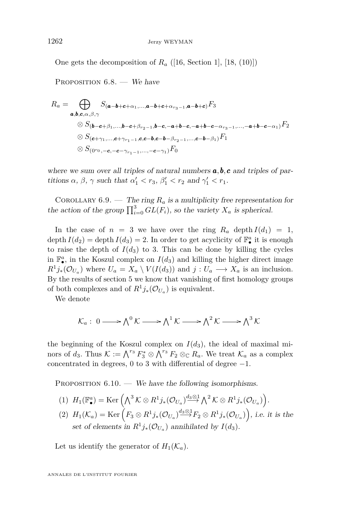One gets the decomposition of *R<sup>a</sup>* ([\[16,](#page-56-1) Section 1], [\[18,](#page-56-0) (10)])

PROPOSITION  $6.8.$  – We have

$$
R_{a} = \bigoplus_{\mathbf{a},\mathbf{b},\mathbf{c},\alpha,\beta,\gamma} S_{(\mathbf{a}-\mathbf{b}+\mathbf{c}+\alpha_{1},...,\mathbf{a}-\mathbf{b}+\mathbf{c}+\alpha_{r_{3}-1},\mathbf{a}-\mathbf{b}+\mathbf{c})} F_{3}
$$
  
\n
$$
\otimes S_{(\mathbf{b}-\mathbf{c}+\beta_{1},...,\mathbf{b}-\mathbf{c}+\beta_{r_{2}-1},\mathbf{b}-\mathbf{c},-\mathbf{a}+\mathbf{b}-\mathbf{c},-\alpha_{r_{3}-1},...,-\mathbf{a}+\mathbf{b}-\mathbf{c}-\alpha_{1})} F_{2}
$$
  
\n
$$
\otimes S_{(\mathbf{c}+\gamma_{1},...,\mathbf{c}+\gamma_{r_{1}-1},\mathbf{c},\mathbf{c}-\mathbf{b},\mathbf{c}-\mathbf{b}-\beta_{r_{2}-1},...,\mathbf{c}-\mathbf{b}-\beta_{1})} F_{1}
$$
  
\n
$$
\otimes S_{(0^{r_{0}},-\mathbf{c},-\mathbf{c}-\gamma_{r_{1}-1},...,-\mathbf{c}-\gamma_{1})} F_{0}
$$

where we sum over all triples of natural numbers **a, b, c** and triples of partitions  $\alpha$ ,  $\beta$ ,  $\gamma$  such that  $\alpha'_1 < r_3$ ,  $\beta'_1 < r_2$  and  $\gamma'_1 < r_1$ .

COROLLARY 6.9. — The ring  $R_a$  is a multiplicity free representation for the action of the group  $\prod_{i=0}^{3} GL(F_i)$ , so the variety  $X_a$  is spherical.

In the case of  $n = 3$  we have over the ring  $R_a$  depth  $I(d_1) = 1$ , depth  $I(d_2) = \text{depth } I(d_3) = 2$ . In order to get acyclicity of  $\mathbb{F}_\bullet^a$  it is enough to raise the depth of  $I(d_3)$  to 3. This can be done by killing the cycles in  $\mathbb{F}_{\bullet}^a$ , in the Koszul complex on  $I(d_3)$  and killing the higher direct image  $R^1 j_*(\mathcal{O}_{U_a})$  where  $U_a = X_a \setminus V(I(d_3))$  and  $j: U_a \longrightarrow X_a$  is an inclusion. By the results of section 5 we know that vanishing of first homology groups of both complexes and of  $R^1j_*(\mathcal{O}_{U_a})$  is equivalent.

We denote

$$
\mathcal{K}_a: 0 \longrightarrow \bigwedge^0 \mathcal{K} \longrightarrow \bigwedge^1 \mathcal{K} \longrightarrow \bigwedge^2 \mathcal{K} \longrightarrow \bigwedge^3 \mathcal{K}
$$

the beginning of the Koszul complex on  $I(d_3)$ , the ideal of maximal minors of  $d_3$ . Thus  $K := \bigwedge^{r_3} F_3^* \otimes \bigwedge^{r_3} F_2 \otimes_{\mathbb{C}} R_a$ . We treat  $\mathcal{K}_a$  as a complex concentrated in degrees, 0 to 3 with differential of degree  $-1$ .

PROPOSITION  $6.10.$  — We have the following isomorphisms.

- $H_1(\mathbb{F}_\bullet^a)=\mathrm{Ker}\left(\bigwedge^3 \mathcal{K}\otimes R^1j_*(\mathcal{O}_{U_a})\overset{d_3\otimes 1}{\longrightarrow} \bigwedge^2 \mathcal{K}\otimes R^1j_*(\mathcal{O}_{U_a})\right).$
- $(H_1(\mathcal{K}_a)) = \text{Ker}\left(F_3 \otimes R^1 j_*(\mathcal{O}_{U_a}) \stackrel{d_3 \otimes 1}{\longrightarrow} F_2 \otimes R^1 j_*(\mathcal{O}_{U_a})\right),$  i.e. it is the set of elements in  $R^1 j_*(\mathcal{O}_{U_a})$  annihilated by  $I(d_3)$ .

Let us identify the generator of  $H_1(\mathcal{K}_a)$ .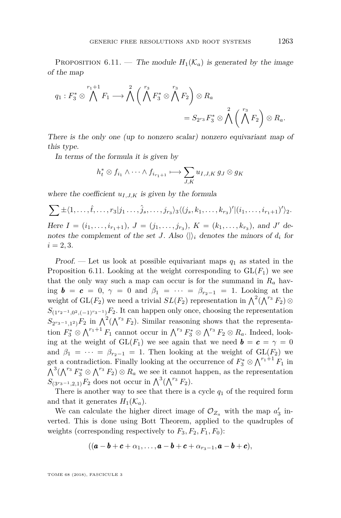PROPOSITION 6.11. — The module  $H_1(\mathcal{K}_a)$  is generated by the image of the map

$$
q_1: F_3^* \otimes \bigwedge^{r_1+1} F_1 \longrightarrow \bigwedge^2 \left( \bigwedge^{r_3} F_3^* \otimes \bigwedge^{r_3} F_2 \right) \otimes R_a
$$
  
=  $S_{2^{r_3}} F_3^* \otimes \bigwedge^2 \left( \bigwedge^{r_3} F_2 \right) \otimes R_a.$ 

There is the only one (up to nonzero scalar) nonzero equivariant map of this type.

In terms of the formula it is given by

$$
h_t^* \otimes f_{i_1} \wedge \cdots \wedge f_{i_{r_1+1}} \longmapsto \sum_{J,K} u_{I,J,K} g_J \otimes g_K
$$

where the coefficient  $u_{I,J,K}$  is given by the formula

$$
\sum \pm \langle 1, \ldots, \hat{t}, \ldots, r_3 | j_1 \ldots, \hat{j}_s, \ldots, j_{r_3} \rangle_3 \langle (j_s, k_1, \ldots, k_{r_3})' | (i_1, \ldots, i_{r_1+1})' \rangle_2.
$$

Here  $I = (i_1, \ldots, i_{r_1+1}), J = (j_1, \ldots, j_{r_3}), K = (k_1, \ldots, k_{r_3}),$  and *J'* denotes the complement of the set *J*. Also  $\langle \cdot \rangle_i$  denotes the minors of  $d_i$  for  $i = 2, 3.$ 

Proof. — Let us look at possible equivariant maps  $q_1$  as stated in the Proposition 6.11. Looking at the weight corresponding to  $GL(F_1)$  we see that the only way such a map can occur is for the summand in  $R_a$  having  $\mathbf{b} = \mathbf{c} = 0$ ,  $\gamma = 0$  and  $\beta_1 = \cdots = \beta_{r_2-1} = 1$ . Looking at the weight of  $GL(F_2)$  we need a trivial  $SL(F_2)$  representation in  $\bigwedge^2(\bigwedge^{r_3}F_2) \otimes$  $S_{(1^{r_2-1},0^2,(-1)^{r_3-1})}F_2$ . It can happen only once, choosing the representation  $S_{2^{r_3-1},1^2}$  *F*<sub>2</sub> in  $\bigwedge^2(\bigwedge^{r_3}F_2)$ . Similar reasoning shows that the representation  $F_3^* \otimes \bigwedge^{r_1+1} F_1$  cannot occur in  $\bigwedge^{r_3} F_3^* \otimes \bigwedge^{r_3} F_2 \otimes R_a$ . Indeed, looking at the weight of  $GL(F_1)$  we see again that we need  $\mathbf{b} = \mathbf{c} = \gamma = 0$ and  $\beta_1 = \cdots = \beta_{r_2-1} = 1$ . Then looking at the weight of  $GL(F_2)$  we get a contradiction. Finally looking at the occurrence of  $F_3^* \otimes \bigwedge^{r_1+1} F_1$  in  $\bigwedge^3(\bigwedge^{r_3} F_3^* \otimes \bigwedge^{r_3} F_2) \otimes R_a$  we see it cannot happen, as the representation  $S_{(3^{r_3-1},2,1)}F_2$  does not occur in  $\bigwedge^3(\bigwedge^{r_3}F_2).$ 

There is another way to see that there is a cycle  $q_1$  of the required form and that it generates  $H_1(\mathcal{K}_a)$ .

We can calculate the higher direct image of  $\mathcal{O}_{Z_a}$  with the map  $a'_3$  inverted. This is done using Bott Theorem, applied to the quadruples of weights (corresponding respectively to  $F_3, F_2, F_1, F_0$ ):

$$
((\boldsymbol{a}-\boldsymbol{b}+\boldsymbol{c}+\alpha_1,\ldots,\boldsymbol{a}-\boldsymbol{b}+\boldsymbol{c}+\alpha_{r_3-1},\boldsymbol{a}-\boldsymbol{b}+\boldsymbol{c}),
$$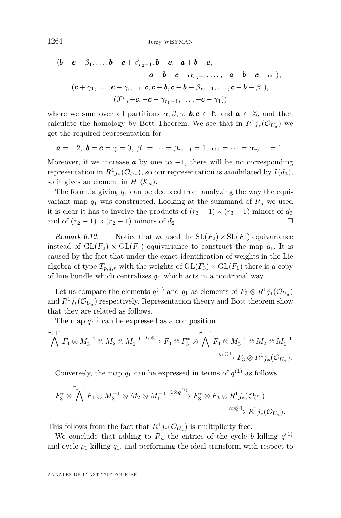$$
(\boldsymbol{b}-\boldsymbol{c}+\beta_1,\ldots,\boldsymbol{b}-\boldsymbol{c}+\beta_{r_2-1},\boldsymbol{b}-\boldsymbol{c},-\boldsymbol{a}+\boldsymbol{b}-\boldsymbol{c},\\-\boldsymbol{a}+\boldsymbol{b}-\boldsymbol{c}-\alpha_{r_3-1},\ldots,-\boldsymbol{a}+\boldsymbol{b}-\boldsymbol{c}-\alpha_1),\\(\boldsymbol{c}+\gamma_1,\ldots,\boldsymbol{c}+\gamma_{r_1-1},\boldsymbol{c},\boldsymbol{c}-\boldsymbol{b},\boldsymbol{c}-\boldsymbol{b}-\beta_{r_2-1},\ldots,\boldsymbol{c}-\boldsymbol{b}-\beta_1),\\(0^{r_0},-\boldsymbol{c},-\boldsymbol{c}-\gamma_{r_1-1},\ldots,-\boldsymbol{c}-\gamma_1))
$$

where we sum over all partitions  $\alpha, \beta, \gamma$ ,  $\mathbf{b}, \mathbf{c} \in \mathbb{N}$  and  $\mathbf{a} \in \mathbb{Z}$ , and then calculate the homology by Bott Theorem. We see that in  $R^1j_*(\mathcal{O}_{U_a})$  we get the required representation for

$$
\mathbf{a} = -2, \; \mathbf{b} = \mathbf{c} = \gamma = 0, \; \beta_1 = \cdots = \beta_{r_2 - 1} = 1, \; \alpha_1 = \cdots = \alpha_{r_3 - 1} = 1.
$$

Moreover, if we increase **a** by one to  $-1$ , there will be no corresponding representation in  $R^1 j_*(\mathcal{O}_{U_a})$ , so our representation is annihilated by  $I(d_3)$ , so it gives an element in  $H_1(\mathcal{K}_a)$ .

The formula giving  $q_1$  can be deduced from analyzing the way the equivariant map  $q_1$  was constructed. Looking at the summand of  $R_a$  we used it is clear it has to involve the products of  $(r_3 - 1) \times (r_3 - 1)$  minors of  $d_3$ and of  $(r_2 - 1) \times (r_2 - 1)$  minors of  $d_2$ .

Remark 6.12. — Notice that we used the  $SL(F_2) \times SL(F_1)$  equivariance instead of  $GL(F_2) \times GL(F_1)$  equivariance to construct the map  $q_1$ . It is caused by the fact that under the exact identification of weights in the Lie algebra of type  $T_{p,q,r}$  with the weights of  $GL(F_3) \times GL(F_1)$  there is a copy of line bundle which centralizes  $\mathfrak{g}_0$  which acts in a nontrivial way.

Let us compare the elements  $q^{(1)}$  and  $q_1$  as elements of  $F_3 \otimes R^1 j_*(\mathcal{O}_{U_a})$ and  $R^1 j_*(\mathcal{O}_{U_a})$  respectively. Representation theory and Bott theorem show that they are related as follows.

The map  $q^{(1)}$  can be expressed as a composition

$$
\bigwedge^{r_1+1} F_1 \otimes M_3^{-1} \otimes M_2 \otimes M_1^{-1} \xrightarrow{tr \otimes 1} F_3 \otimes F_3^* \otimes \bigwedge^{r_1+1} F_1 \otimes M_3^{-1} \otimes M_2 \otimes M_1^{-1}
$$

$$
\xrightarrow{q_1 \otimes 1} F_3 \otimes R^1 j_*(\mathcal{O}_{U_a}).
$$

Conversely, the map  $q_1$  can be expressed in terms of  $q^{(1)}$  as follows

$$
F_3^* \otimes \bigwedge^{r_1+1} F_1 \otimes M_3^{-1} \otimes M_2 \otimes M_1^{-1} \xrightarrow{1 \otimes q^{(1)}} F_3^* \otimes F_3 \otimes R^1 j_*(\mathcal{O}_{U_a})
$$

$$
\xrightarrow{ev \otimes 1} R^1 j_*(\mathcal{O}_{U_a}).
$$

This follows from the fact that  $R^1 j_*(\mathcal{O}_{U_a})$  is multiplicity free.

We conclude that adding to  $R_a$  the entries of the cycle *b* killing  $q^{(1)}$ and cycle  $p_1$  killing  $q_1$ , and performing the ideal transform with respect to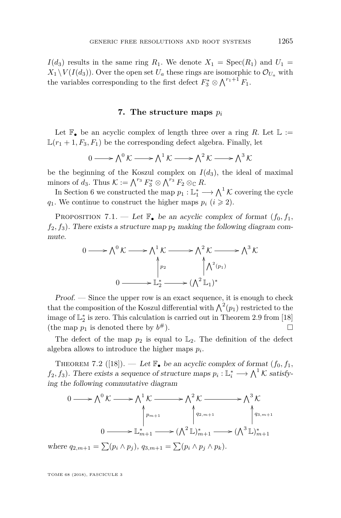$I(d_3)$  results in the same ring  $R_1$ . We denote  $X_1 = \text{Spec}(R_1)$  and  $U_1 =$  $X_1 \setminus V(I(d_3))$ . Over the open set  $U_a$  these rings are isomorphic to  $\mathcal{O}_{U_a}$  with the variables corresponding to the first defect  $F_3^* \otimes \bigwedge^{r_1+1} F_1$ .

#### **7. The structure maps** *p<sup>i</sup>*

<span id="page-25-0"></span>Let  $\mathbb{F}_{\bullet}$  be an acyclic complex of length three over a ring *R*. Let  $\mathbb{L} :=$  $\mathbb{L}(r_1+1, F_3, F_1)$  be the corresponding defect algebra. Finally, let

$$
0 \longrightarrow \bigwedge^0 \mathcal{K} \longrightarrow \bigwedge^1 \mathcal{K} \longrightarrow \bigwedge^2 \mathcal{K} \longrightarrow \bigwedge^3 \mathcal{K}
$$

be the beginning of the Koszul complex on  $I(d_3)$ , the ideal of maximal minors of  $d_3$ . Thus  $K := \bigwedge^{r_3} F_3^* \otimes \bigwedge^{r_3} F_2 \otimes_{\mathbb{C}} R$ .

In Section [6](#page-16-0) we constructed the map  $p_1 : \mathbb{L}_1^* \longrightarrow \bigwedge^1 \mathcal{K}$  covering the cycle *q*<sub>1</sub>. We continue to construct the higher maps  $p_i$  ( $i \geq 2$ ).

PROPOSITION 7.1. — Let  $\mathbb{F}_{\bullet}$  be an acyclic complex of format  $(f_0, f_1, f_2)$  $f_2, f_3$ ). There exists a structure map  $p_2$  making the following diagram commute.

$$
0 \longrightarrow \Lambda^0 \mathcal{K} \longrightarrow \Lambda^1 \mathcal{K} \longrightarrow \Lambda^2 \mathcal{K} \longrightarrow \Lambda^3 \mathcal{K}
$$
  
\n
$$
\uparrow_{p_2} \qquad \qquad \uparrow \Lambda^2(p_1)
$$
  
\n
$$
0 \longrightarrow \mathbb{L}_2^* \longrightarrow (\Lambda^2 \mathbb{L}_1)^*
$$

Proof. — Since the upper row is an exact sequence, it is enough to check that the composition of the Koszul differential with  $\bigwedge^2(p_1)$  restricted to the image of  $\mathbb{L}_2^*$  is zero. This calculation is carried out in Theorem 2.9 from [\[18\]](#page-56-0) (the map  $p_1$  is denoted there by  $b^{\#}$ ).  $\#$ ).

The defect of the map  $p_2$  is equal to  $\mathbb{L}_2$ . The definition of the defect algebra allows to introduce the higher maps *p<sup>i</sup>* .

THEOREM 7.2 ([\[18\]](#page-56-0)). — Let  $\mathbb{F}_{\bullet}$  be an acyclic complex of format  $(f_0, f_1, f_2)$  $f_2, f_3$ ). There exists a sequence of structure maps  $p_i: \mathbb{L}_i^* \longrightarrow \bigwedge^1 \mathcal{K}$  satisfying the following commutative diagram

$$
0 \longrightarrow \bigwedge^{0} \mathcal{K} \longrightarrow \bigwedge^{1} \mathcal{K} \longrightarrow \bigwedge^{2} \mathcal{K} \longrightarrow \bigwedge^{3} \mathcal{K}
$$
  

$$
\downarrow^{p_{m+1}} \qquad \qquad \downarrow^{q_{2,m+1}} \qquad \qquad \downarrow^{q_{3,m+1}}
$$
  

$$
0 \longrightarrow \mathbb{L}_{m+1}^{*} \longrightarrow (\bigwedge^{2} \mathbb{L})_{m+1}^{*} \longrightarrow (\bigwedge^{3} \mathbb{L})_{m+1}^{*}
$$

where  $q_{2,m+1} = \sum (p_i \wedge p_j), q_{3,m+1} = \sum (p_i \wedge p_j \wedge p_k).$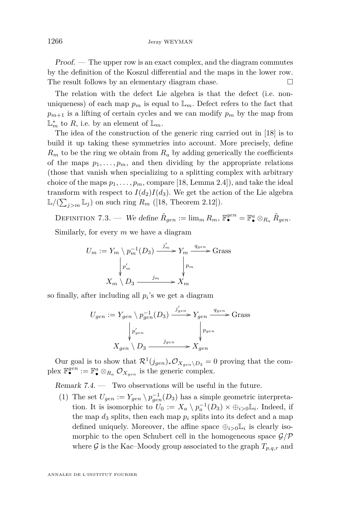Proof. — The upper row is an exact complex, and the diagram commutes by the definition of the Koszul differential and the maps in the lower row. The result follows by an elementary diagram chase.

The relation with the defect Lie algebra is that the defect (i.e. nonuniqueness) of each map  $p_m$  is equal to  $\mathbb{L}_m$ . Defect refers to the fact that  $p_{m+1}$  is a lifting of certain cycles and we can modify  $p_m$  by the map from  $\mathbb{L}_m^*$  to R, i.e. by an element of  $\mathbb{L}_m$ .

The idea of the construction of the generic ring carried out in [\[18\]](#page-56-0) is to build it up taking these symmetries into account. More precisely, define  $R_m$  to be the ring we obtain from  $R_a$  by adding generically the coefficients of the maps  $p_1, \ldots, p_m$ , and then dividing by the appropriate relations (those that vanish when specializing to a splitting complex with arbitrary choice of the maps  $p_1, \ldots, p_m$ , compare [\[18,](#page-56-0) Lemma 2.4]), and take the ideal transform with respect to  $I(d_2)I(d_3)$ . We get the action of the Lie algebra  $\mathbb{L}/(\sum_{j>m} \mathbb{L}_j)$  on such ring  $R_m$  ([\[18,](#page-56-0) Theorem 2.12]).

DEFINITION 7.3. — We define  $\hat{R}_{gen} := \lim_{m} R_m$ ,  $\mathbb{F}_{\bullet}^{gen} = \mathbb{F}_{\bullet}^{a} \otimes_{R_a} \hat{R}_{gen}$ . Similarly, for every *m* we have a diagram

$$
U_m := Y_m \setminus p_m^{-1}(D_3) \xrightarrow{j'_m} Y_m \xrightarrow{q_{gen}} \text{Grass}
$$

$$
\downarrow p'_m
$$

$$
X_m \setminus D_3 \xrightarrow{j_m} X_m
$$

so finally, after including all *p<sup>i</sup>* 's we get a diagram

$$
U_{gen} := Y_{gen} \setminus p_{gen}^{-1}(D_3) \xrightarrow{j'_{gen}} Y_{gen} \xrightarrow{q_{gen}} \text{Grass}
$$

$$
\downarrow^{p'_{gen}} \qquad \qquad \downarrow^{p_{gen}} \qquad \qquad \downarrow^{p_{gen}}
$$

$$
X_{gen} \setminus D_3 \xrightarrow{j_{gen}} X_{gen}
$$

Our goal is to show that  $\mathcal{R}^1(j_{gen})_*\mathcal{O}_{X_{gen}\backslash D_3}=0$  proving that the complex  $\mathbb{F}_{\bullet}^{gen} := \mathbb{F}_{\bullet}^{a} \otimes_{R_a} \mathcal{O}_{X_{gen}}$  is the generic complex.

<span id="page-26-0"></span>Remark 7.4. — Two observations will be useful in the future.

(1) The set  $U_{gen} := Y_{gen} \setminus p_{gen}^{-1}(D_3)$  has a simple geometric interpretation. It is isomorphic to  $U_0 := X_a \setminus p_a^{-1}(D_3) \times \bigoplus_{i>0} \mathbb{L}_i$ . Indeed, if the map  $d_3$  splits, then each map  $p_i$  splits into its defect and a map defined uniquely. Moreover, the affine space  $\oplus_{i>0} \mathbb{L}_i$  is clearly isomorphic to the open Schubert cell in the homogeneous space  $\mathcal{G}/\mathcal{P}$ where  $\mathcal G$  is the Kac–Moody group associated to the graph  $T_{p,q,r}$  and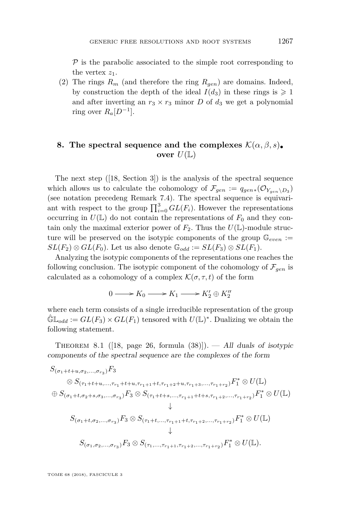$P$  is the parabolic associated to the simple root corresponding to the vertex  $z_1$ .

(2) The rings  $R_m$  (and therefore the ring  $R_{gen}$ ) are domains. Indeed, by construction the depth of the ideal  $I(d_3)$  in these rings is  $\geq 1$ and after inverting an  $r_3 \times r_3$  minor *D* of  $d_3$  we get a polynomial ring over  $R_a[D^{-1}]$ .

#### <span id="page-27-0"></span>**8.** The spectral sequence and the complexes  $\mathcal{K}(\alpha, \beta, s)$ . **over**  $U(\mathbb{L})$

The next step ([\[18,](#page-56-0) Section 3]) is the analysis of the spectral sequence which allows us to calculate the cohomology of  $\mathcal{F}_{gen} := q_{gen*}(\mathcal{O}_{Y_{gen}\setminus D_3})$ (see notation precedeng Remark 7.4). The spectral sequence is equivariant with respect to the group  $\prod_{i=0}^{3} GL(F_i)$ . However the representations occurring in  $U(\mathbb{L})$  do not contain the representations of  $F_0$  and they contain only the maximal exterior power of  $F_2$ . Thus the  $U(\mathbb{L})$ -module structure will be preserved on the isotypic components of the group  $\mathbb{G}_{even}$  :=  $SL(F_2) \otimes GL(F_0)$ . Let us also denote  $\mathbb{G}_{odd} := SL(F_3) \otimes SL(F_1)$ .

Analyzing the isotypic components of the representations one reaches the following conclusion. The isotypic component of the cohomology of  $\mathcal{F}_{gen}$  is calculated as a cohomology of a complex  $\mathcal{K}(\sigma, \tau, t)$  of the form

$$
0 \longrightarrow K_0 \longrightarrow K_1 \longrightarrow K'_2 \oplus K''_2
$$

where each term consists of a single irreducible representation of the group  $\hat{\mathbb{G}}\mathbb{L}_{odd} := GL(F_3) \times GL(F_1)$  tensored with  $U(\mathbb{L})^*$ . Dualizing we obtain the following statement.

THEOREM 8.1 ([\[18,](#page-56-0) page 26, formula  $(38)$ ]). — All duals of isotypic components of the spectral sequence are the complexes of the form

$$
S_{(\sigma_1+t+u,\sigma_2,\ldots,\sigma_{r_3})}F_3
$$
\n
$$
\otimes S_{(\tau_1+t+u,\ldots,\tau_{r_1}+t+u,\tau_{r_1+1}+t,\tau_{r_1+2}+u,\tau_{r_1+3},\ldots,\tau_{r_1+r_2})}F_1^* \otimes U(\mathbb{L})
$$
\n
$$
\oplus S_{(\sigma_1+t,\sigma_2+s,\sigma_3,\ldots,\sigma_{r_3})}F_3 \otimes S_{(\tau_1+t+s,\ldots,\tau_{r_1+1}+t+s,\tau_{r_1+2},\ldots,\tau_{r_1+r_2})}F_1^* \otimes U(\mathbb{L})
$$
\n
$$
\downarrow
$$
\n
$$
S_{(\sigma_1+t,\sigma_2,\ldots,\sigma_{r_3})}F_3 \otimes S_{(\tau_1+t,\ldots,\tau_{r_1+1}+t,\tau_{r_1+2},\ldots,\tau_{r_1+r_2})}F_1^* \otimes U(\mathbb{L})
$$
\n
$$
\downarrow
$$
\n
$$
S_{(\sigma_1,\sigma_2,\ldots,\sigma_{r_3})}F_3 \otimes S_{(\tau_1,\ldots,\tau_{r_1+1},\tau_{r_1+2},\ldots,\tau_{r_1+r_2})}F_1^* \otimes U(\mathbb{L}).
$$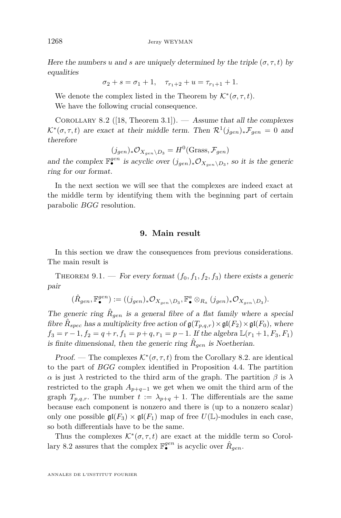Here the numbers *u* and *s* are uniquely determined by the triple  $(\sigma, \tau, t)$  by equalities

$$
\sigma_2 + s = \sigma_1 + 1, \quad \tau_{r_1+2} + u = \tau_{r_1+1} + 1.
$$

We denote the complex listed in the Theorem by  $\mathcal{K}^*(\sigma, \tau, t)$ . We have the following crucial consequence.

<span id="page-28-1"></span>COROLLARY 8.2 ([\[18,](#page-56-0) Theorem 3.1]). — Assume that all the complexes  $\mathcal{K}^*(\sigma, \tau, t)$  are exact at their middle term. Then  $\mathcal{R}^1(j_{gen})_*\mathcal{F}_{gen} = 0$  and therefore

$$
(j_{gen})_*\mathcal{O}_{X_{gen}\setminus D_3} = H^0(\text{Grass}, \mathcal{F}_{gen})
$$

and the complex  $\mathbb{F}_{\bullet}^{gen}$  is acyclic over  $(j_{gen})_{*}\mathcal{O}_{X_{gen}\setminus D_3}$ , so it is the generic ring for our format.

In the next section we will see that the complexes are indeed exact at the middle term by identifying them with the beginning part of certain parabolic *BGG* resolution.

#### **9. Main result**

<span id="page-28-0"></span>In this section we draw the consequences from previous considerations. The main result is

THEOREM 9.1. — For every format  $(f_0, f_1, f_2, f_3)$  there exists a generic pair

$$
(\hat{R}_{gen}, \mathbb{F}^{gen}_{\bullet}):=((j_{gen})_{*}\mathcal{O}_{X_{gen}\backslash D_3}, \mathbb{F}^{a}_{\bullet}\otimes_{R_a}(j_{gen})_{*}\mathcal{O}_{X_{gen}\backslash D_3}).
$$

The generic ring  $\hat{R}_{gen}$  is a general fibre of a flat family where a special fibre  $\hat{R}_{spec}$  has a multiplicity free action of  $\mathfrak{g}(T_{p,q,r}) \times \mathfrak{gl}(F_2) \times \mathfrak{gl}(F_0)$ , where  $f_3 = r - 1, f_2 = q + r, f_1 = p + q, r_1 = p - 1$ . If the algebra  $\mathbb{L}(r_1 + 1, F_3, F_1)$ is finite dimensional, then the generic ring  $\hat{R}_{gen}$  is Noetherian.

Proof. — The complexes  $\mathcal{K}^*(\sigma, \tau, t)$  from the Corollary [8.2.](#page-28-1) are identical to the part of *BGG* complex identified in Proposition [4.4.](#page-14-0) The partition *α* is just *λ* restricted to the third arm of the graph. The partition *β* is *λ* restricted to the graph  $A_{p+q-1}$  we get when we omit the third arm of the graph  $T_{p,q,r}$ . The number  $t := \lambda_{p+q} + 1$ . The differentials are the same because each component is nonzero and there is (up to a nonzero scalar) only one possible  $\mathfrak{gl}(F_3) \times \mathfrak{gl}(F_1)$  map of free  $U(\mathbb{L})$ -modules in each case, so both differentials have to be the same.

Thus the complexes  $\mathcal{K}^*(\sigma, \tau, t)$  are exact at the middle term so Corol-lary [8.2](#page-28-1) assures that the complex  $\mathbb{F}_{\bullet}^{gen}$  is acyclic over  $\hat{R}_{gen}$ .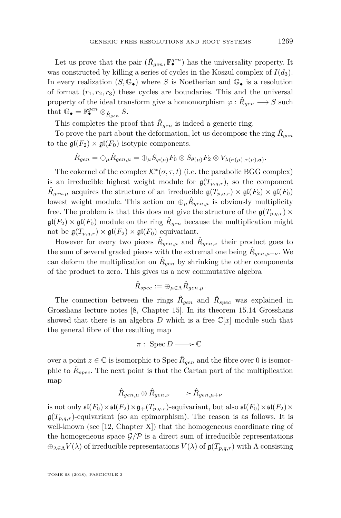Let us prove that the pair  $(\hat{R}_{gen}, \mathbb{F}^{gen}_{\bullet})$  has the universality property. It was constructed by killing a series of cycles in the Koszul complex of  $I(d_3)$ . In every realization  $(S, \mathbb{G}_{\bullet})$  where *S* is Noetherian and  $\mathbb{G}_{\bullet}$  is a resolution of format  $(r_1, r_2, r_3)$  these cycles are boundaries. This and the universal property of the ideal transform give a homomorphism  $\varphi : \hat{R}_{gen} \longrightarrow S$  such that  $\mathbb{G}_{\bullet} = \mathbb{F}_{\bullet}^{gen} \otimes_{\hat{R}_{gen}} S$ .

This completes the proof that  $\hat{R}_{gen}$  is indeed a generic ring.

To prove the part about the deformation, let us decompose the ring  $\hat{R}_{gen}$ to the  $\mathfrak{gl}(F_2) \times \mathfrak{gl}(F_0)$  isotypic components.

$$
\hat{R}_{gen}=\oplus_{\mu}\hat{R}_{gen,\mu}=\oplus_{\mu}S_{\varphi(\mu)}F_0\otimes S_{\theta(\mu)}F_2\otimes V_{\lambda(\sigma(\mu),\tau(\mu),\mathbf{a})}.
$$

The cokernel of the complex  $\mathcal{K}^*(\sigma, \tau, t)$  (i.e. the parabolic BGG complex) is an irreducible highest weight module for  $\mathfrak{g}(T_{p,q,r})$ , so the component  $\hat{R}_{gen,\mu}$  acquires the structure of an irreducible  $\mathfrak{g}(T_{p,q,r}) \times \mathfrak{gl}(F_2) \times \mathfrak{gl}(F_0)$ lowest weight module. This action on  $\oplus_{\mu} \hat{R}_{gen,\mu}$  is obviously multiplicity free. The problem is that this does not give the structure of the  $\mathfrak{g}(T_{p,q,r})$  ×  $\mathfrak{gl}(F_2) \times \mathfrak{gl}(F_0)$  module on the ring  $\hat{R}_{gen}$  because the multiplication might not be  $\mathfrak{g}(T_{p,q,r}) \times \mathfrak{gl}(F_2) \times \mathfrak{gl}(F_0)$  equivariant.

However for every two pieces  $\hat{R}_{gen,\mu}$  and  $\hat{R}_{gen,\nu}$  their product goes to the sum of several graded pieces with the extremal one being  $\hat{R}_{gen,\mu+\nu}$ . We can deform the multiplication on  $\hat{R}_{gen}$  by shrinking the other components of the product to zero. This gives us a new commutative algebra

$$
\hat{R}_{spec}:=\oplus_{\mu\in \Lambda}\hat{R}_{gen,\mu}.
$$

The connection between the rings  $\hat{R}_{gen}$  and  $\hat{R}_{spec}$  was explained in Grosshans lecture notes [\[8,](#page-55-9) Chapter 15]. In its theorem 15.14 Grosshans showed that there is an algebra *D* which is a free  $\mathbb{C}[x]$  module such that the general fibre of the resulting map

$$
\pi:\;{\rm Spec}\, D\longrightarrow \mathbb{C}
$$

over a point  $z \in \mathbb{C}$  is isomorphic to Spec  $\hat{R}_{gen}$  and the fibre over 0 is isomorphic to  $\hat{R}_{spec}$ . The next point is that the Cartan part of the multiplication map

$$
\hat{R}_{gen,\mu} \otimes \hat{R}_{gen,\nu} \longrightarrow \hat{R}_{gen,\mu+\nu}
$$

is not only  $\mathfrak{sl}(F_0)\times\mathfrak{sl}(F_2)\times\mathfrak{g}_+(T_{p,q,r})$ -equivariant, but also  $\mathfrak{sl}(F_0)\times\mathfrak{sl}(F_2)\times$  $\mathfrak{g}(T_{p,q,r})$ -equivariant (so an epimorphism). The reason is as follows. It is well-known (see [\[12,](#page-55-7) Chapter X]) that the homogeneous coordinate ring of the homogeneous space  $\mathcal{G}/\mathcal{P}$  is a direct sum of irreducible representations  $\bigoplus_{\lambda \in \Lambda} V(\lambda)$  of irreducible representations  $V(\lambda)$  of  $\mathfrak{g}(T_{p,q,r})$  with  $\Lambda$  consisting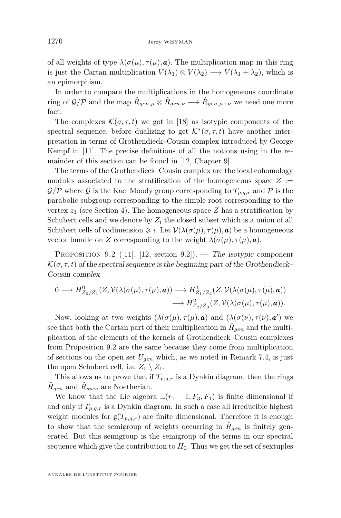of all weights of type  $\lambda(\sigma(\mu), \tau(\mu), \mathbf{a})$ . The multiplication map in this ring is just the Cartan multiplication  $V(\lambda_1) \otimes V(\lambda_2) \longrightarrow V(\lambda_1 + \lambda_2)$ , which is an epimorphism.

In order to compare the multiplications in the homogeneous coordinate ring of  $\mathcal{G}/\mathcal{P}$  and the map  $\hat{R}_{gen,\mu} \otimes \hat{R}_{gen,\nu} \longrightarrow \hat{R}_{gen,\mu+\nu}$  we need one more fact.

The complexes  $\mathcal{K}(\sigma, \tau, t)$  we got in [\[18\]](#page-56-0) as isotypic components of the spectral sequence, before dualizing to get  $\mathcal{K}^*(\sigma, \tau, t)$  have another interpretation in terms of Grothendieck–Cousin complex introduced by George Kempf in [\[11\]](#page-55-10). The precise definitions of all the notions using in the remainder of this section can be found in [\[12,](#page-55-7) Chapter 9].

The terms of the Grothendieck–Cousin complex are the local cohomology modules associated to the stratification of the homogeneous space  $Z :=$  $\mathcal{G}/\mathcal{P}$  where  $\mathcal G$  is the Kac–Moody group corresponding to  $T_{p,q,r}$  and  $\mathcal P$  is the parabolic subgroup corresponding to the simple root corresponding to the vertex  $z_1$  (see Section [4\)](#page-11-0). The homogeneous space  $Z$  has a stratification by Schubert cells and we denote by *Z<sup>i</sup>* the closed subset which is a union of all Schubert cells of codimension  $\geq i$ . Let  $\mathcal{V}(\lambda(\sigma(\mu), \tau(\mu), \mathbf{a}))$  be a homogeneous vector bundle on *Z* corresponding to the weight  $\lambda(\sigma(\mu), \tau(\mu), \mathbf{a})$ .

<span id="page-30-0"></span>PROPOSITION 9.2 ([\[11\]](#page-55-10), [\[12,](#page-55-7) section 9.2]). — The isotypic component  $\mathcal{K}(\sigma, \tau, t)$  of the spectral sequence is the beginning part of the Grothendieck– Cousin complex

$$
0 \longrightarrow H_{Z_0/Z_1}^0(Z, \mathcal{V}(\lambda(\sigma(\mu), \tau(\mu), \mathbf{a})) \longrightarrow H_{Z_1/Z_2}^1(Z, \mathcal{V}(\lambda(\sigma(\mu), \tau(\mu), \mathbf{a}))
$$

$$
\longrightarrow H_{Z_2/Z_3}^2(Z, \mathcal{V}(\lambda(\sigma(\mu), \tau(\mu), \mathbf{a})).
$$

Now, looking at two weights  $(\lambda(\sigma(\mu), \tau(\mu), \mathbf{a}))$  and  $(\lambda(\sigma(\nu), \tau(\nu), \mathbf{a}'))$  we see that both the Cartan part of their multiplication in  $\hat{R}_{gen}$  and the multiplication of the elements of the kernels of Grothendieck–Cousin complexes from Proposition [9.2](#page-30-0) are the same because they come from multiplication of sections on the open set *Ugen* which, as we noted in Remark [7.4,](#page-26-0) is just the open Schubert cell, i.e.  $Z_0 \setminus Z_1$ .

This allows us to prove that if  $T_{p,q,r}$  is a Dynkin diagram, then the rings  $\hat{R}_{gen}$  and  $\hat{R}_{spec}$  are Noetherian.

We know that the Lie algebra  $\mathbb{L}(r_1 + 1, F_3, F_1)$  is finite dimensional if and only if  $T_{p,q,r}$  is a Dynkin diagram. In such a case all irreducible highest weight modules for  $\mathfrak{g}(T_{p,q,r})$  are finite dimensional. Therefore it is enough to show that the semigroup of weights occurring in  $\hat{R}_{gen}$  is finitely generated. But this semigroup is the semigroup of the terms in our spectral sequence which give the contribution to  $H_0$ . Thus we get the set of sextuples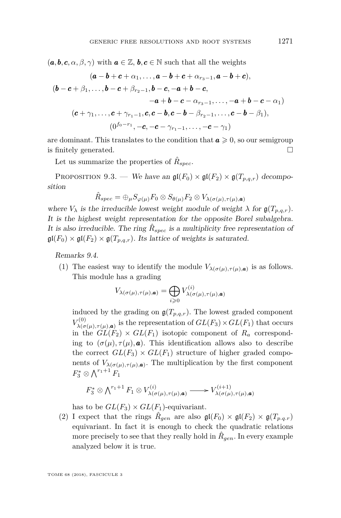$(a, b, c, \alpha, \beta, \gamma)$  with  $a \in \mathbb{Z}, b, c \in \mathbb{N}$  such that all the weights

$$
(\mathbf{a} - \mathbf{b} + \mathbf{c} + \alpha_1, \dots, \mathbf{a} - \mathbf{b} + \mathbf{c} + \alpha_{r_3 - 1}, \mathbf{a} - \mathbf{b} + \mathbf{c}),
$$
  
\n
$$
(\mathbf{b} - \mathbf{c} + \beta_1, \dots, \mathbf{b} - \mathbf{c} + \beta_{r_2 - 1}, \mathbf{b} - \mathbf{c}, -\mathbf{a} + \mathbf{b} - \mathbf{c}, -\mathbf{a} + \mathbf{b} - \mathbf{c} - \alpha_1)
$$
  
\n
$$
-\mathbf{a} + \mathbf{b} - \mathbf{c} - \alpha_{r_3 - 1}, \dots, -\mathbf{a} + \mathbf{b} - \mathbf{c} - \alpha_1)
$$
  
\n
$$
(\mathbf{c} + \gamma_1, \dots, \mathbf{c} + \gamma_{r_1 - 1}, \mathbf{c}, \mathbf{c} - \mathbf{b}, \mathbf{c} - \mathbf{b} - \beta_{r_2 - 1}, \dots, \mathbf{c} - \mathbf{b} - \beta_1),
$$
  
\n
$$
(0^{f_0 - r_1}, -\mathbf{c}, -\mathbf{c} - \gamma_{r_1 - 1}, \dots, -\mathbf{c} - \gamma_1)
$$

are dominant. This translates to the condition that  $a \geqslant 0$ , so our semigroup is finitely generated.  $\Box$ 

Let us summarize the properties of  $\hat{R}_{spec}$ .

PROPOSITION 9.3. — We have an  $\mathfrak{gl}(F_0) \times \mathfrak{gl}(F_2) \times \mathfrak{gl}(T_{p,q,r})$  decomposition

$$
\hat{R}_{spec}=\oplus_{\mu}S_{\varphi(\mu)}F_0\otimes S_{\theta(\mu)}F_2\otimes V_{\lambda(\sigma(\mu),\tau(\mu),\bm{a})}
$$

where  $V_{\lambda}$  is the irreducible lowest weight module of weight  $\lambda$  for  $\mathfrak{g}(T_{p,q,r})$ . It is the highest weight representation for the opposite Borel subalgebra. It is also irreducible. The ring  $\hat{R}_{spec}$  is a multiplicity free representation of  $\mathfrak{gl}(F_0) \times \mathfrak{gl}(F_2) \times \mathfrak{g}(T_{p,q,r})$ . Its lattice of weights is saturated.

<span id="page-31-1"></span><span id="page-31-0"></span>Remarks 9.4.

(1) The easiest way to identify the module  $V_{\lambda(\sigma(\mu),\tau(\mu),\mathbf{a})}$  is as follows. This module has a grading

$$
V_{\lambda(\sigma(\mu),\tau(\mu),\mathbf{a})} = \bigoplus_{i \geqslant 0} V_{\lambda(\sigma(\mu),\tau(\mu),\mathbf{a})}^{(i)}
$$

induced by the grading on  $\mathfrak{g}(T_{p,q,r})$ . The lowest graded component  $V^{(0)}_{\lambda/\sigma}$ *λ*(*σ*(*µ*)*,τ*(*µ*)*,a*) is the representation of *GL*(*F*3)×*GL*(*F*1) that occurs in the  $GL(F_2) \times GL(F_1)$  isotopic component of  $R_a$  corresponding to  $(\sigma(\mu), \tau(\mu), \mathbf{a})$ . This identification allows also to describe the correct  $GL(F_3) \times GL(F_1)$  structure of higher graded components of  $V_{\lambda(\sigma(\mu),\tau(\mu),\mathbf{a})}$ . The multiplication by the first component  $F_3^* \otimes \bigwedge^{r_1+1} F_1$ 

$$
F_3^* \otimes \bigwedge^{r_1+1} F_1 \otimes V_{\lambda(\sigma(\mu),\tau(\mu),\mathbf{a})}^{(i)} \longrightarrow V_{\lambda(\sigma(\mu),\tau(\mu),\mathbf{a})}^{(i+1)}
$$

has to be  $GL(F_3) \times GL(F_1)$ -equivariant.

(2) I expect that the rings  $\hat{R}_{gen}$  are also  $\mathfrak{gl}(F_0) \times \mathfrak{gl}(F_2) \times \mathfrak{gl}(T_{p,q,r})$ equivariant. In fact it is enough to check the quadratic relations more precisely to see that they really hold in  $\hat{R}_{gen}$ . In every example analyzed below it is true.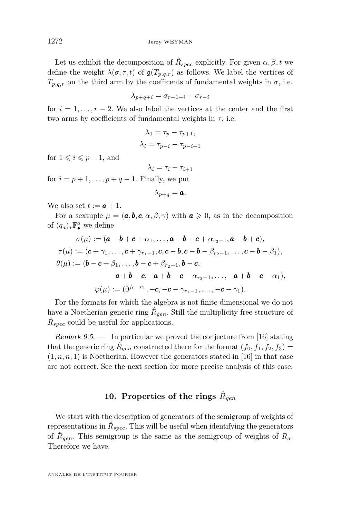Let us exhibit the decomposition of  $\hat{R}_{spec}$  explicitly. For given  $\alpha, \beta, t$  we define the weight  $\lambda(\sigma, \tau, t)$  of  $\mathfrak{g}(T_{p,q,r})$  as follows. We label the vertices of  $T_{p,q,r}$  on the third arm by the coefficents of fundamental weights in  $\sigma$ , i.e.

$$
\lambda_{p+q+i} = \sigma_{r-1-i} - \sigma_{r-i}
$$

for  $i = 1, \ldots, r-2$ . We also label the vertices at the center and the first two arms by coefficients of fundamental weights in  $\tau$ , i.e.

$$
\lambda_0 = \tau_p - \tau_{p+1},
$$
  

$$
\lambda_i = \tau_{p-i} - \tau_{p-i+1}
$$

for  $1 \leqslant i \leqslant p-1$ , and

 $λ<sub>i</sub> = τ<sub>i</sub> - τ<sub>i+1</sub>$ 

for  $i = p + 1, \ldots, p + q - 1$ . Finally, we put

$$
\lambda_{p+q} = \boldsymbol{a}.
$$

We also set  $t := a + 1$ .

For a sextuple  $\mu = (\mathbf{a}, \mathbf{b}, \mathbf{c}, \alpha, \beta, \gamma)$  with  $\mathbf{a} \geq 0$ , as in the decomposition of  $(q_a)_* \mathbb{F}_\bullet^a$  we define

$$
\sigma(\mu) := (\mathbf{a} - \mathbf{b} + \mathbf{c} + \alpha_1, ..., \mathbf{a} - \mathbf{b} + \mathbf{c} + \alpha_{r_3-1}, \mathbf{a} - \mathbf{b} + \mathbf{c}),
$$
  
\n
$$
\tau(\mu) := (\mathbf{c} + \gamma_1, ..., \mathbf{c} + \gamma_{r_1-1}, \mathbf{c}, \mathbf{c} - \mathbf{b}, \mathbf{c} - \mathbf{b} - \beta_{r_2-1}, ..., \mathbf{c} - \mathbf{b} - \beta_1),
$$
  
\n
$$
\theta(\mu) := (\mathbf{b} - \mathbf{c} + \beta_1, ..., \mathbf{b} - \mathbf{c} + \beta_{r_2-1}, \mathbf{b} - \mathbf{c},
$$
  
\n
$$
-\mathbf{a} + \mathbf{b} - \mathbf{c}, -\mathbf{a} + \mathbf{b} - \mathbf{c} - \alpha_{r_3-1}, ..., -\mathbf{a} + \mathbf{b} - \mathbf{c} - \alpha_1),
$$
  
\n
$$
\varphi(\mu) := (0^{f_0 - r_1}, -\mathbf{c}, -\mathbf{c} - \gamma_{r_1-1}, ..., -\mathbf{c} - \gamma_1).
$$

For the formats for which the algebra is not finite dimensional we do not have a Noetherian generic ring  $\hat{R}_{gen}$ . Still the multiplicity free structure of  $\hat{R}_{spec}$  could be useful for applications.

Remark  $9.5.$  — In particular we proved the conjecture from [\[16\]](#page-56-1) stating that the generic ring  $\hat{R}_{gen}$  constructed there for the format  $(f_0, f_1, f_2, f_3)$  $(1, n, n, 1)$  is Noetherian. However the generators stated in [\[16\]](#page-56-1) in that case are not correct. See the next section for more precise analysis of this case.

#### $10.$  Properties of the rings  $\hat{R}_{gen}$

<span id="page-32-0"></span>We start with the description of generators of the semigroup of weights of representations in  $\hat{R}_{spec}$ . This will be useful when identifying the generators of  $\hat{R}_{gen}$ . This semigroup is the same as the semigroup of weights of  $R_a$ . Therefore we have.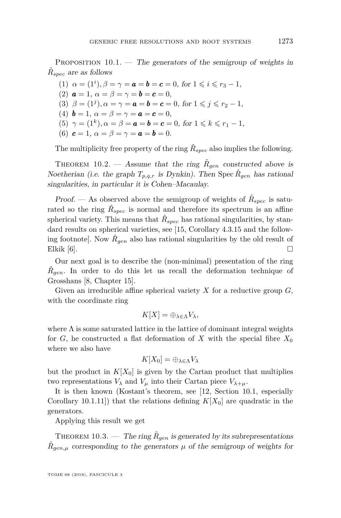<span id="page-33-0"></span>PROPOSITION  $10.1$ . — The generators of the semigroup of weights in  $\hat{R}_{spec}$  are as follows

(1)  $\alpha = (1^i), \beta = \gamma = \mathbf{a} = \mathbf{b} = \mathbf{c} = 0$ , for  $1 \leq i \leq r_3 - 1$ , (2)  $a = 1, \alpha = \beta = \gamma = b = c = 0,$ (3)  $\beta = (1^j)$ ,  $\alpha = \gamma = \mathbf{a} = \mathbf{b} = \mathbf{c} = 0$ , for  $1 \leq j \leq r_2 - 1$ , (4)  $\mathbf{b} = 1, \ \alpha = \beta = \gamma = \mathbf{a} = \mathbf{c} = 0,$ (5)  $\gamma = (1^k)$ ,  $\alpha = \beta = \mathbf{a} = \mathbf{b} = \mathbf{c} = 0$ , for  $1 \leq k \leq r_1 - 1$ , (6)  $c = 1, \alpha = \beta = \gamma = a = b = 0.$ 

The multiplicity free property of the ring  $\hat{R}_{spec}$  also implies the following.

THEOREM 10.2. — Assume that the ring  $\hat{R}_{gen}$  constructed above is Noetherian (i.e. the graph  $T_{p,q,r}$  is Dynkin). Then Spec  $\hat{R}_{gen}$  has rational singularities, in particular it is Cohen–Macaulay.

Proof. — As observed above the semigroup of weights of  $\hat{R}_{spec}$  is saturated so the ring  $\hat{R}_{spec}$  is normal and therefore its spectrum is an affine spherical variety. This means that  $\hat{R}_{spec}$  has rational singularities, by stan-dard results on spherical varieties, see [\[15,](#page-56-4) Corollary 4.3.15 and the following footnote]. Now  $\hat{R}_{gen}$  also has rational singularities by the old result of Elkik  $[6]$ .

Our next goal is to describe the (non-minimal) presentation of the ring  $\hat{R}_{gen}$ . In order to do this let us recall the deformation technique of Grosshans [\[8,](#page-55-9) Chapter 15].

Given an irreducible affine spherical variety *X* for a reductive group *G*, with the coordinate ring

$$
K[X]=\oplus_{\lambda\in\Lambda}V_{\lambda},
$$

where  $\Lambda$  is some saturated lattice in the lattice of dominant integral weights for *G*, he constructed a flat deformation of *X* with the special fibre  $X_0$ where we also have

$$
K[X_0] = \oplus_{\lambda \in \Lambda} V_{\lambda}
$$

but the product in  $K[X_0]$  is given by the Cartan product that multiplies two representations  $V_{\lambda}$  and  $V_{\mu}$  into their Cartan piece  $V_{\lambda+\mu}$ .

It is then known (Kostant's theorem, see [\[12,](#page-55-7) Section 10.1, especially Corollary 10.1.11) that the relations defining  $K[X_0]$  are quadratic in the generators.

Applying this result we get

THEOREM 10.3. — The ring  $\hat{R}_{gen}$  is generated by its subrepresentations  $\hat{R}_{gen,\mu}$  corresponding to the generators  $\mu$  of the semigroup of weights for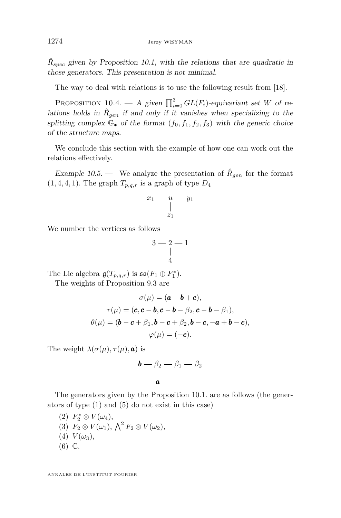$\hat{R}_{spec}$  given by Proposition [10.1,](#page-33-0) with the relations that are quadratic in those generators. This presentation is not minimal.

The way to deal with relations is to use the following result from [\[18\]](#page-56-0).

<span id="page-34-0"></span>PROPOSITION 10.4. — A given  $\prod_{i=0}^{3} GL(F_i)$ -equivariant set *W* of relations holds in  $\hat{R}_{gen}$  if and only if it vanishes when specializing to the splitting complex  $\mathbb{G}_{\bullet}$  of the format  $(f_0, f_1, f_2, f_3)$  with the generic choice of the structure maps.

We conclude this section with the example of how one can work out the relations effectively.

Example 10.5. — We analyze the presentation of  $\hat{R}_{gen}$  for the format  $(1, 4, 4, 1)$ . The graph  $T_{p,q,r}$  is a graph of type  $D_4$ 

$$
\begin{array}{c}\nx_1 - u - y_1 \\
\downarrow \\
z_1\n\end{array}
$$

We number the vertices as follows

$$
\begin{array}{c}\n3-2-1 \\
\mid \\
4\n\end{array}
$$

The Lie algebra  $\mathfrak{g}(T_{p,q,r})$  is  $\mathfrak{so}(F_1 \oplus F_1^*)$ .

The weights of Proposition 9.3 are

$$
\sigma(\mu) = (\boldsymbol{a} - \boldsymbol{b} + \boldsymbol{c}),
$$

$$
\tau(\mu) = (\boldsymbol{c}, \boldsymbol{c} - \boldsymbol{b}, \boldsymbol{c} - \boldsymbol{b} - \beta_2, \boldsymbol{c} - \boldsymbol{b} - \beta_1),
$$

$$
\theta(\mu) = (\boldsymbol{b} - \boldsymbol{c} + \beta_1, \boldsymbol{b} - \boldsymbol{c} + \beta_2, \boldsymbol{b} - \boldsymbol{c}, -\boldsymbol{a} + \boldsymbol{b} - \boldsymbol{c}),
$$

$$
\varphi(\mu) = (-\boldsymbol{c}).
$$

The weight  $\lambda(\sigma(\mu), \tau(\mu), \mathbf{a})$  is

$$
\begin{matrix} \boldsymbol{b} - \beta_2 - \beta_1 - \beta_2 \\ | \\ \boldsymbol{a} \end{matrix}
$$

The generators given by the Proposition 10.1. are as follows (the generators of type (1) and (5) do not exist in this case)

(2)  $F_2^* \otimes V(\omega_4)$ , (3)  $F_2 \otimes V(\omega_1), \Lambda^2 F_2 \otimes V(\omega_2),$  $(4) V(\omega_3),$ (6) C.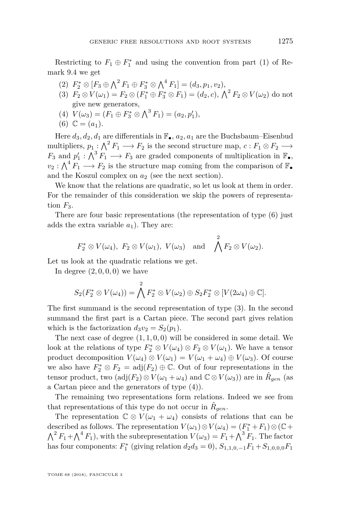- $(P_2 \otimes [F_3 \oplus \bigwedge^2 F_1 \oplus F_3^* \otimes \bigwedge^4 F_1] = (d_3, p_1, v_2),$
- (3)  $F_2 \otimes V(\omega_1) = F_2 \otimes (F_1^* \oplus F_3^* \otimes F_1) = (d_2, c), \ \bigwedge^2 F_2 \otimes V(\omega_2)$  do not give new generators,
- (4)  $V(\omega_3) = (F_1 \oplus F_3^* \otimes \bigwedge^3 F_1) = (a_2, p'_1),$
- (6)  $\mathbb{C} = (a_1)$ .

Here  $d_3, d_2, d_1$  are differentials in  $\mathbb{F}_{\bullet}$ ,  $a_2, a_1$  are the Buchsbaum–Eisenbud multipliers,  $p_1: \bigwedge^2 F_1 \longrightarrow F_2$  is the second structure map,  $c: F_1 \otimes F_2 \longrightarrow$  $F_3$  and  $p'_1: \bigwedge^3 F_1 \longrightarrow F_3$  are graded components of multiplication in  $\mathbb{F}_{\bullet}$ ,  $v_2: \bigwedge^4 F_1 \longrightarrow F_2$  is the structure map coming from the comparison of  $\mathbb{F}_{\bullet}$ and the Koszul complex on  $a_2$  (see the next section).

We know that the relations are quadratic, so let us look at them in order. For the remainder of this consideration we skip the powers of representation  $F_3$ .

There are four basic representations (the representation of type (6) just adds the extra variable  $a_1$ ). They are:

$$
F_2^* \otimes V(\omega_4)
$$
,  $F_2 \otimes V(\omega_1)$ ,  $V(\omega_3)$  and  $\bigwedge^2 F_2 \otimes V(\omega_2)$ .

Let us look at the quadratic relations we get.

In degree  $(2, 0, 0, 0)$  we have

$$
S_2(F_2^* \otimes V(\omega_4)) = \bigwedge^2 F_2^* \otimes V(\omega_2) \oplus S_2F_2^* \otimes [V(2\omega_4) \oplus \mathbb{C}].
$$

The first summand is the second representation of type (3). In the second summand the first part is a Cartan piece. The second part gives relation which is the factorization  $d_3v_2 = S_2(p_1)$ .

The next case of degree (1*,* 1*,* 0*,* 0) will be considered in some detail. We look at the relations of type  $F_2^* \otimes V(\omega_4) \otimes F_2 \otimes V(\omega_1)$ . We have a tensor product decomposition  $V(\omega_4) \otimes V(\omega_1) = V(\omega_1 + \omega_4) \oplus V(\omega_3)$ . Of course we also have  $F_2^* \otimes F_2 = \text{adj}(F_2) \oplus \mathbb{C}$ . Out of four representations in the tensor product, two  $(\text{adj}(F_2) \otimes V(\omega_1 + \omega_4) \text{ and } \mathbb{C} \otimes V(\omega_3))$  are in  $\hat{R}_{gen}$  (as a Cartan piece and the generators of type (4)).

The remaining two representations form relations. Indeed we see from that representations of this type do not occur in  $\hat{R}_{gen}$ .

The representation  $\mathbb{C} \otimes V(\omega_1 + \omega_4)$  consists of relations that can be described as follows. The representation  $V(\omega_1) \otimes V(\omega_4) = (F_1^* + F_1) \otimes (\mathbb{C} +$  $\bigwedge^2 F_1 + \bigwedge^4 F_1$ , with the subrepresentation  $V(\omega_3) = F_1 + \bigwedge^3 F_1$ . The factor has four components:  $F_1^*$  (giving relation  $d_2d_3 = 0$ ),  $S_{1,1,0,-1}F_1 + S_{1,0,0,0}F_1$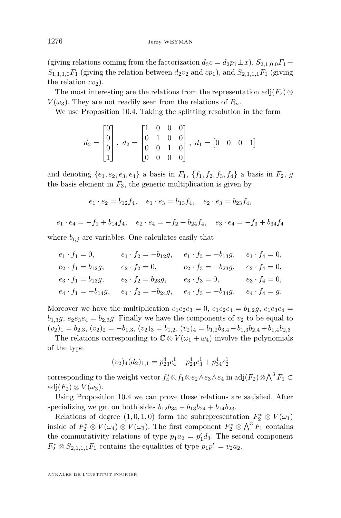(giving relations coming from the factorization  $d_3c = d_2p_1 \pm x$ ),  $S_{2,1,0,0}F_1 +$  $S_{1,1,1,0}F_1$  (giving the relation between  $d_2v_2$  and  $cp_1$ ), and  $S_{2,1,1,1}F_1$  (giving the relation  $cv_2$ ).

The most interesting are the relations from the representation  $\text{adj}(F_2) \otimes$  $V(\omega_3)$ . They are not readily seen from the relations of  $R_a$ .

We use Proposition [10.4.](#page-34-0) Taking the splitting resolution in the form

$$
d_3 = \begin{bmatrix} 0 \\ 0 \\ 0 \\ 1 \end{bmatrix}, \ d_2 = \begin{bmatrix} 1 & 0 & 0 & 0 \\ 0 & 1 & 0 & 0 \\ 0 & 0 & 1 & 0 \\ 0 & 0 & 0 & 0 \end{bmatrix}, \ d_1 = \begin{bmatrix} 0 & 0 & 0 & 1 \end{bmatrix}
$$

and denoting  $\{e_1, e_2, e_3, e_4\}$  a basis in  $F_1$ ,  $\{f_1, f_2, f_3, f_4\}$  a basis in  $F_2$ , g the basis element in  $F_3$ , the generic multiplication is given by

$$
e_1 \cdot e_2 = b_{12} f_4, \quad e_1 \cdot e_3 = b_{13} f_4, \quad e_2 \cdot e_3 = b_{23} f_4,
$$

$$
e_1 \cdot e_4 = -f_1 + b_{14}f_4, \quad e_2 \cdot e_4 = -f_2 + b_{24}f_4, \quad e_3 \cdot e_4 = -f_3 + b_{34}f_4
$$

where  $b_{i,j}$  are variables. One calculates easily that

$$
e_1 \cdot f_1 = 0, \qquad e_1 \cdot f_2 = -b_{12}g, \qquad e_1 \cdot f_3 = -b_{13}g, \qquad e_1 \cdot f_4 = 0,
$$
  
\n
$$
e_2 \cdot f_1 = b_{12}g, \qquad e_2 \cdot f_2 = 0, \qquad e_2 \cdot f_3 = -b_{23}g, \qquad e_2 \cdot f_4 = 0,
$$
  
\n
$$
e_3 \cdot f_1 = b_{13}g, \qquad e_3 \cdot f_2 = b_{23}g, \qquad e_3 \cdot f_3 = 0, \qquad e_3 \cdot f_4 = 0,
$$
  
\n
$$
e_4 \cdot f_1 = -b_{14}g, \qquad e_4 \cdot f_2 = -b_{24}g, \qquad e_4 \cdot f_3 = -b_{34}g, \qquad e_4 \cdot f_4 = g.
$$

Moreover we have the multiplication  $e_1e_2e_3 = 0$ ,  $e_1e_2e_4 = b_{1,2}g$ ,  $e_1e_3e_4 =$  $b_{1,3}g$ ,  $e_2e_3e_4 = b_{2,3}g$ . Finally we have the components of  $v_2$  to be equal to  $(v_2)_1 = b_{2,3}, (v_2)_2 = -b_{1,3}, (v_2)_3 = b_{1,2}, (v_2)_4 = b_{1,2}b_{3,4} - b_{1,3}b_{2,4} + b_{1,4}b_{2,3}.$ 

The relations corresponding to  $\mathbb{C} \otimes V(\omega_1 + \omega_4)$  involve the polynomials of the type

$$
(v_2)_4(d_2)_{1,1} = p_{23}^4 c_4^1 - p_{24}^4 c_3^1 + p_{34}^4 c_2^1
$$

corresponding to the weight vector  $f_4^* \otimes f_1 \otimes e_2 \wedge e_3 \wedge e_4$  in  $\text{adj}(F_2) \otimes \bigwedge^3 F_1 \subset$ adj $(F_2) \otimes V(\omega_3)$ .

Using Proposition [10.4](#page-34-0) we can prove these relations are satisfied. After specializing we get on both sides  $b_{12}b_{34} - b_{13}b_{24} + b_{14}b_{23}$ .

Relations of degree  $(1,0,1,0)$  form the subrepresentation  $F_2^* \otimes V(\omega_1)$ inside of  $F_2^* \otimes V(\omega_4) \otimes V(\omega_3)$ . The first component  $F_2^* \otimes \bigwedge^3 F_1$  contains the commutativity relations of type  $p_1a_2 = p'_1d_3$ . The second component  $F_2^* \otimes S_{2,1,1,1}F_1$  contains the equalities of type  $p_1p_1' = v_2a_2$ .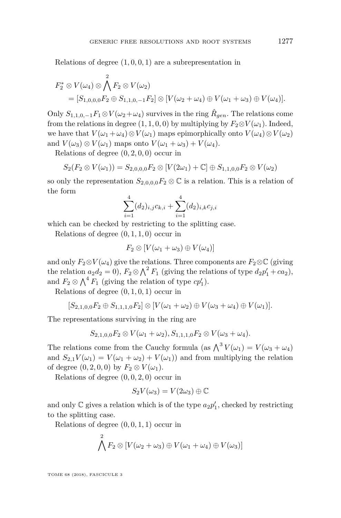Relations of degree (1*,* 0*,* 0*,* 1) are a subrepresentation in

$$
F_2^* \otimes V(\omega_4) \otimes \bigwedge^2 F_2 \otimes V(\omega_2)
$$
  
=  $[S_{1,0,0,0}F_2 \oplus S_{1,1,0,-1}F_2] \otimes [V(\omega_2 + \omega_4) \oplus V(\omega_1 + \omega_3) \oplus V(\omega_4)].$ 

Only  $S_{1,1,0,-1}F_1 \otimes V(\omega_2 + \omega_4)$  survives in the ring  $\hat{R}_{gen}$ . The relations come from the relations in degree  $(1, 1, 0, 0)$  by multiplying by  $F_2 \otimes V(\omega_1)$ . Indeed, we have that  $V(\omega_1 + \omega_4) \otimes V(\omega_1)$  maps epimorphically onto  $V(\omega_4) \otimes V(\omega_2)$ and  $V(\omega_3) \otimes V(\omega_1)$  maps onto  $V(\omega_1 + \omega_3) + V(\omega_4)$ .

Relations of degree  $(0, 2, 0, 0)$  occur in

$$
S_2(F_2 \otimes V(\omega_1)) = S_{2,0,0,0}F_2 \otimes [V(2\omega_1) + \mathbb{C}] \oplus S_{1,1,0,0}F_2 \otimes V(\omega_2)
$$

so only the representation  $S_{2,0,0,0}F_2 \otimes \mathbb{C}$  is a relation. This is a relation of the form

$$
\sum_{i=1}^{4} (d_2)_{i,j} c_{k,i} + \sum_{i=1}^{4} (d_2)_{i,k} c_{j,i}
$$

which can be checked by restricting to the splitting case.

Relations of degree  $(0, 1, 1, 0)$  occur in

$$
F_2\otimes[V(\omega_1+\omega_3)\oplus V(\omega_4)]
$$

and only  $F_2 \otimes V(\omega_4)$  give the relations. Three components are  $F_2 \otimes \mathbb{C}$  (giving the relation  $a_2d_2 = 0$ ),  $F_2 \otimes \bigwedge^2 F_1$  (giving the relations of type  $d_2p'_1 + ca_2$ ), and  $F_2 \otimes \bigwedge^4 F_1$  (giving the relation of type  $cp'_1$ ).

Relations of degree (0*,* 1*,* 0*,* 1) occur in

$$
[S_{2,1,0,0}F_2 \oplus S_{1,1,1,0}F_2] \otimes [V(\omega_1 + \omega_2) \oplus V(\omega_3 + \omega_4) \oplus V(\omega_1)].
$$

The representations surviving in the ring are

$$
S_{2,1,0,0}F_2 \otimes V(\omega_1 + \omega_2), S_{1,1,1,0}F_2 \otimes V(\omega_3 + \omega_4).
$$

The relations come from the Cauchy formula (as  $\bigwedge^3 V(\omega_1) = V(\omega_3 + \omega_4)$ and  $S_{2,1}V(\omega_1) = V(\omega_1 + \omega_2) + V(\omega_1)$  and from multiplying the relation of degree  $(0, 2, 0, 0)$  by  $F_2 \otimes V(\omega_1)$ .

Relations of degree (0*,* 0*,* 2*,* 0) occur in

$$
S_2V(\omega_3)=V(2\omega_3)\oplus\mathbb{C}
$$

and only  $\mathbb C$  gives a relation which is of the type  $a_2p'_1$ , checked by restricting to the splitting case.

Relations of degree  $(0, 0, 1, 1)$  occur in

$$
\bigwedge^2 F_2 \otimes [V(\omega_2 + \omega_3) \oplus V(\omega_1 + \omega_4) \oplus V(\omega_3)]
$$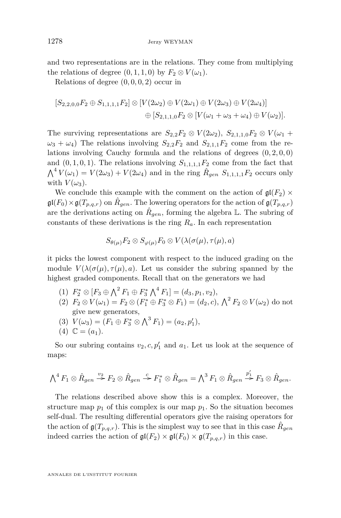and two representations are in the relations. They come from multiplying the relations of degree  $(0, 1, 1, 0)$  by  $F_2 \otimes V(\omega_1)$ .

Relations of degree  $(0, 0, 0, 2)$  occur in

$$
[S_{2,2,0,0}F_2 \oplus S_{1,1,1,1}F_2] \otimes [V(2\omega_2) \oplus V(2\omega_1) \oplus V(2\omega_3) \oplus V(2\omega_4)]
$$
  

$$
\oplus [S_{2,1,1,0}F_2 \otimes [V(\omega_1 + \omega_3 + \omega_4) \oplus V(\omega_2)].
$$

The surviving representations are  $S_{2,2}F_2 \otimes V(2\omega_2)$ ,  $S_{2,1,1,0}F_2 \otimes V(\omega_1 +$  $\omega_3 + \omega_4$ ) The relations involving  $S_{2,2}F_2$  and  $S_{2,1,1}F_2$  come from the relations involving Cauchy formula and the relations of degrees  $(0, 2, 0, 0)$ and  $(0, 1, 0, 1)$ . The relations involving  $S_{1,1,1,1}F_2$  come from the fact that  $\bigwedge^4 V(\omega_1) = V(2\omega_3) + V(2\omega_4)$  and in the ring  $\hat{R}_{gen}$   $S_{1,1,1,1}F_2$  occurs only with  $V(\omega_3)$ .

We conclude this example with the comment on the action of  $\mathfrak{gl}(F_2)$  ×  $\mathfrak{gl}(F_0)\times\mathfrak{g}(T_{p,q,r})$  on  $\hat{R}_{gen}$ . The lowering operators for the action of  $\mathfrak{g}(T_{p,q,r})$ are the derivations acting on  $\hat{R}_{gen}$ , forming the algebra  $\mathbb{L}$ . The subring of constants of these derivations is the ring *Ra*. In each representation

$$
S_{\theta(\mu)}F_2 \otimes S_{\varphi(\mu)}F_0 \otimes V(\lambda(\sigma(\mu), \tau(\mu), a))
$$

it picks the lowest component with respect to the induced grading on the module  $V(\lambda(\sigma(\mu), \tau(\mu), a)$ . Let us consider the subring spanned by the highest graded components. Recall that on the generators we had

- (1)  $F_2^* \otimes [F_3 \oplus \bigwedge^2 F_1 \oplus F_3^* \bigwedge^4 F_1] = (d_3, p_1, v_2),$
- $(P_1 \otimes V(\omega_1) = F_2 \otimes (F_1^* \oplus F_3^* \otimes F_1) = (d_2, c), \ \bigwedge^2 F_2 \otimes V(\omega_2)$  do not give new generators,
- (3)  $V(\omega_3) = (F_1 \oplus F_3^* \otimes \bigwedge^3 F_1) = (a_2, p'_1),$
- $(4)$   $\mathbb{C} = (a_1)$ .

So our subring contains  $v_2, c, p'_1$  and  $a_1$ . Let us look at the sequence of maps:

$$
\bigwedge\nolimits^4 F_1 \otimes \hat{R}_{gen} \stackrel{v_2}{\rightarrow} F_2 \otimes \hat{R}_{gen} \stackrel{c}{\rightarrow} F_1^* \otimes \hat{R}_{gen} = \bigwedge\nolimits^3 F_1 \otimes \hat{R}_{gen} \stackrel{p'_1}{\rightarrow} F_3 \otimes \hat{R}_{gen}.
$$

The relations described above show this is a complex. Moreover, the structure map  $p_1$  of this complex is our map  $p_1$ . So the situation becomes self-dual. The resulting differential operators give the raising operators for the action of  $\mathfrak{g}(T_{p,q,r})$ . This is the simplest way to see that in this case  $\hat{R}_{gen}$ indeed carries the action of  $\mathfrak{gl}(F_2) \times \mathfrak{gl}(F_0) \times \mathfrak{gl}(T_{p,q,r})$  in this case.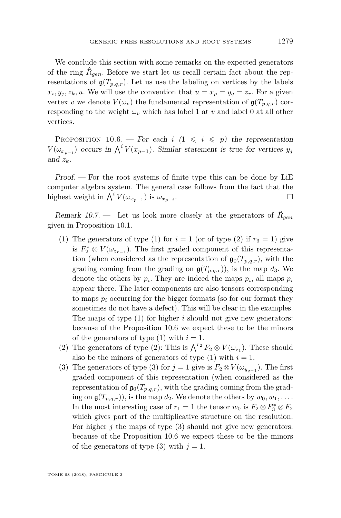We conclude this section with some remarks on the expected generators of the ring  $\hat{R}_{gen}$ . Before we start let us recall certain fact about the representations of  $g(T_{p,q,r})$ . Let us use the labeling on vertices by the labels  $x_i, y_j, z_k, u$ . We will use the convention that  $u = x_p = y_q = z_r$ . For a given vertex *v* we denote  $V(\omega_v)$  the fundamental representation of  $\mathfrak{g}(T_{p,q,r})$  corresponding to the weight  $\omega$ <sup>*v*</sup> which has label 1 at *v* and label 0 at all other vertices.

<span id="page-39-0"></span>PROPOSITION 10.6. — For each  $i \leq 1 \leq i \leq p$  the representation  $V(\omega_{x_{p-i}})$  occurs in  $\bigwedge^i V(x_{p-1})$ . Similar statement is true for vertices  $y_j$ and  $z_k$ .

Proof. — For the root systems of finite type this can be done by LiE computer algebra system. The general case follows from the fact that the highest weight in  $\bigwedge^i V(\omega_{x_{p-1}})$  is  $\omega_{x_{p-i}}$ .

<span id="page-39-1"></span>Remark 10.7. – Let us look more closely at the generators of  $\hat{R}_{gen}$ given in Proposition [10.1.](#page-33-0)

- (1) The generators of type (1) for  $i = 1$  (or of type (2) if  $r_3 = 1$ ) give is  $F_2^* \otimes V(\omega_{z_{r-1}})$ . The first graded component of this representation (when considered as the representation of  $\mathfrak{g}_0(T_{p,q,r})$ , with the grading coming from the grading on  $g(T_{p,q,r})$ , is the map  $d_3$ . We denote the others by  $p_i$ . They are indeed the maps  $p_i$ , all maps  $p_i$ appear there. The later components are also tensors corresponding to maps  $p_i$  occurring for the bigger formats (so for our format they sometimes do not have a defect). This will be clear in the examples. The maps of type (1) for higher *i* should not give new generators: because of the Proposition [10.6](#page-39-0) we expect these to be the minors of the generators of type  $(1)$  with  $i = 1$ .
- (2) The generators of type (2): This is  $\bigwedge^{r_2} F_2 \otimes V(\omega_{z_1})$ . These should also be the minors of generators of type  $(1)$  with  $i = 1$ .
- (3) The generators of type (3) for  $j = 1$  give is  $F_2 \otimes V(\omega_{y_{q-1}})$ . The first graded component of this representation (when considered as the representation of  $\mathfrak{g}_0(T_{p,q,r})$ , with the grading coming from the grading on  $\mathfrak{g}(T_{p,q,r})$ , is the map  $d_2$ . We denote the others by  $w_0, w_1, \ldots$ . In the most interesting case of  $r_1 = 1$  the tensor  $w_0$  is  $F_2 \otimes F_3^* \otimes F_2$ which gives part of the multiplicative structure on the resolution. For higher *j* the maps of type (3) should not give new generators: because of the Proposition [10.6](#page-39-0) we expect these to be the minors of the generators of type  $(3)$  with  $j = 1$ .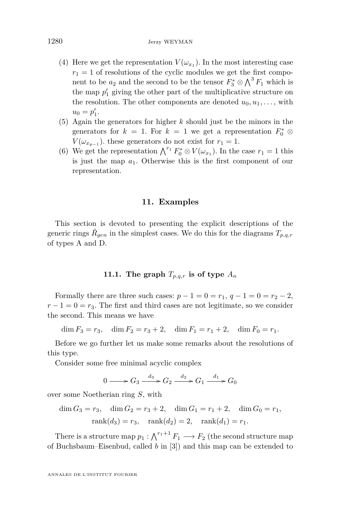- (4) Here we get the representation  $V(\omega_{x_1})$ . In the most interesting case  $r_1 = 1$  of resolutions of the cyclic modules we get the first component to be  $a_2$  and the second to be the tensor  $F_3^* \otimes \bigwedge^3 F_1$  which is the map  $p'_1$  giving the other part of the multiplicative structure on the resolution. The other components are denoted  $u_0, u_1, \ldots$ , with  $u_0 = p'_1.$
- (5) Again the generators for higher *k* should just be the minors in the generators for  $k = 1$ . For  $k = 1$  we get a representation  $F_0^* \otimes$  $V(\omega_{x_{p-1}})$ . these generators do not exist for  $r_1 = 1$ .
- (6) We get the representation  $\bigwedge^{r_1} F_0^* \otimes V(\omega_{x_1})$ . In the case  $r_1 = 1$  this is just the map *a*1. Otherwise this is the first component of our representation.

#### **11. Examples**

<span id="page-40-0"></span>This section is devoted to presenting the explicit descriptions of the generic rings  $\hat{R}_{gen}$  in the simplest cases. We do this for the diagrams  $T_{p,q,r}$ of types A and D.

#### **11.1.** The graph  $T_{p,q,r}$  is of type  $A_n$

Formally there are three such cases:  $p - 1 = 0 = r_1, q - 1 = 0 = r_2 - 2$ ,  $r-1=0=r_3$ . The first and third cases are not legitimate, so we consider the second. This means we have

$$
\dim F_3 = r_3, \quad \dim F_2 = r_3 + 2, \quad \dim F_1 = r_1 + 2, \quad \dim F_0 = r_1.
$$

Before we go further let us make some remarks about the resolutions of this type.

Consider some free minimal acyclic complex

$$
0 \longrightarrow G_3 \xrightarrow{d_3} G_2 \xrightarrow{d_2} G_1 \xrightarrow{d_1} G_0
$$

over some Noetherian ring *S*, with

$$
\dim G_3 = r_3, \quad \dim G_2 = r_3 + 2, \quad \dim G_1 = r_1 + 2, \quad \dim G_0 = r_1,
$$
  
\n
$$
rank(d_3) = r_3, \quad rank(d_2) = 2, \quad rank(d_1) = r_1.
$$

There is a structure map  $p_1 : \bigwedge^{r_1+1} F_1 \longrightarrow F_2$  (the second structure map of Buchsbaum–Eisenbud, called *b* in [\[3\]](#page-55-3)) and this map can be extended to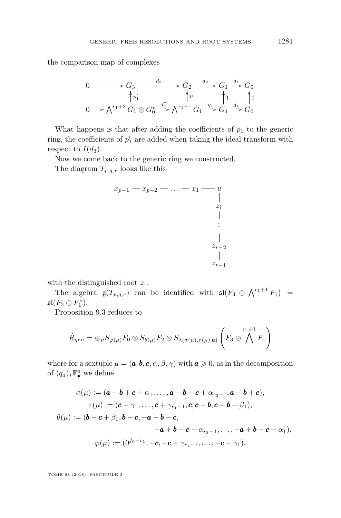the comparison map of complexes

$$
0 \longrightarrow G_3 \longrightarrow \begin{array}{c} d_3 \longrightarrow G_2 \longrightarrow \begin{array}{c} d_2 \longrightarrow G_1 \longrightarrow G_0 \\ \uparrow p_1' \end{array} \\ 0 \longrightarrow \bigwedge^{r_1+2} G_1 \otimes G_0^* \longrightarrow \bigwedge^{d_1^*} \bigwedge^{r_1+1} G_1 \longrightarrow \begin{array}{c} q_1 \\ \longrightarrow G_1 \end{array} \begin{array}{c} d_1 \\ \longrightarrow G_0 \end{array}
$$

What happens is that after adding the coefficients of  $p_1$  to the generic ring, the coefficients of  $p'_1$  are added when taking the ideal transform with respect to  $I(d_3)$ .

Now we come back to the generic ring we constructed.

The diagram *Tp,q,r* looks like this



with the distinguished root *z*1.

The algebra  $\mathfrak{g}(T_{p,q,r})$  can be identified with  $\mathfrak{sl}(F_3 \oplus \bigwedge^{r_1+1} F_1)$  =  $\mathfrak{sl}(F_3 \oplus F_1^*).$ 

Proposition 9.3 reduces to

$$
\hat{R}_{gen} = \bigoplus_{\mu} S_{\varphi(\mu)} F_0 \otimes S_{\theta(\mu)} F_2 \otimes S_{\lambda(\sigma(\mu), \tau(\mu), \mathbf{a})} \left( F_3 \oplus \bigwedge^{r_1+1} F_1 \right)
$$

where for a sextuple  $\mu = (\boldsymbol{a}, \boldsymbol{b}, \boldsymbol{c}, \alpha, \beta, \gamma)$  with  $\boldsymbol{a} \geq 0$ , as in the decomposition of  $(q_a)_* \mathbb{F}_\bullet^a$  we define

$$
\sigma(\mu) := (\mathbf{a} - \mathbf{b} + \mathbf{c} + \alpha_1, ..., \mathbf{a} - \mathbf{b} + \mathbf{c} + \alpha_{r_3 - 1}, \mathbf{a} - \mathbf{b} + \mathbf{c}),
$$
  
\n
$$
\tau(\mu) := (\mathbf{c} + \gamma_1, ..., \mathbf{c} + \gamma_{r_1 - 1}, \mathbf{c}, \mathbf{c} - \mathbf{b}, \mathbf{c} - \mathbf{b} - \beta_1),
$$
  
\n
$$
\theta(\mu) := (\mathbf{b} - \mathbf{c} + \beta_1, \mathbf{b} - \mathbf{c}, -\mathbf{a} + \mathbf{b} - \mathbf{c},
$$
  
\n
$$
-\mathbf{a} + \mathbf{b} - \mathbf{c} - \alpha_{r_3 - 1}, ..., -\mathbf{a} + \mathbf{b} - \mathbf{c} - \alpha_1),
$$
  
\n
$$
\varphi(\mu) := (0^{f_0 - r_1}, -\mathbf{c}, -\mathbf{c} - \gamma_{r_1 - 1}, ..., -\mathbf{c} - \gamma_1).
$$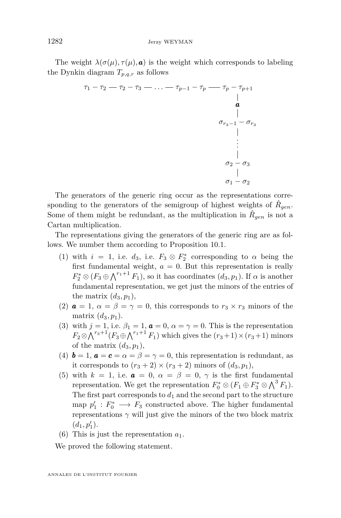The weight  $\lambda(\sigma(\mu), \tau(\mu), \mathbf{a})$  is the weight which corresponds to labeling the Dynkin diagram  $T_{p,q,r}$  as follows

$$
\begin{array}{c}\n\tau_1 - \tau_2 - \tau_3 - \ldots - \tau_{p-1} - \tau_p - \tau_{p-1} \\
\downarrow \quad \downarrow \\
\sigma_{r_3 - 1} - \sigma_{r_3} \\
\downarrow \\
\vdots \\
\sigma_2 - \sigma_3 \\
\downarrow \\
\sigma_1 - \sigma_2\n\end{array}
$$

The generators of the generic ring occur as the representations corresponding to the generators of the semigroup of highest weights of  $\hat{R}_{gen}$ . Some of them might be redundant, as the multiplication in  $\hat{R}_{gen}$  is not a Cartan multiplication.

The representations giving the generators of the generic ring are as follows. We number them according to Proposition [10.1.](#page-33-0)

- (1) with  $i = 1$ , i.e.  $d_3$ , i.e.  $F_3 \otimes F_2^*$  corresponding to  $\alpha$  being the first fundamental weight,  $a = 0$ . But this representation is really  $F_2^* \otimes (F_3 \oplus \bigwedge^{r_1+1} F_1)$ , so it has coordinates  $(d_3, p_1)$ . If  $\alpha$  is another fundamental representation, we get just the minors of the entries of the matrix  $(d_3, p_1)$ ,
- (2)  $\boldsymbol{a} = 1, \ \alpha = \beta = \gamma = 0$ , this corresponds to  $r_3 \times r_3$  minors of the matrix  $(d_3, p_1)$ .
- (3) with  $j = 1$ , i.e.  $\beta_1 = 1$ ,  $\boldsymbol{a} = 0$ ,  $\alpha = \gamma = 0$ . This is the representation  $F_2 \otimes \bigwedge^{r_3+1} (F_3 \oplus \bigwedge^{r_1+1} F_1)$  which gives the  $(r_3+1) \times (r_3+1)$  minors of the matrix  $(d_3, p_1)$ ,
- (4)  $\mathbf{b} = 1$ ,  $\mathbf{a} = \mathbf{c} = \alpha = \beta = \gamma = 0$ , this representation is redundant, as it corresponds to  $(r_3 + 2) \times (r_3 + 2)$  minors of  $(d_3, p_1)$ ,
- (5) with  $k = 1$ , i.e.  $\boldsymbol{a} = 0$ ,  $\alpha = \beta = 0$ ,  $\gamma$  is the first fundamental representation. We get the representation  $F_0^* \otimes (F_1 \oplus F_3^* \otimes \bigwedge^3 F_1)$ . The first part corresponds to  $d_1$  and the second part to the structure map  $p'_1: F_0^* \longrightarrow F_3$  constructed above. The higher fundamental representations  $\gamma$  will just give the minors of the two block matrix  $(d_1, p'_1).$
- (6) This is just the representation  $a_1$ .

We proved the following statement.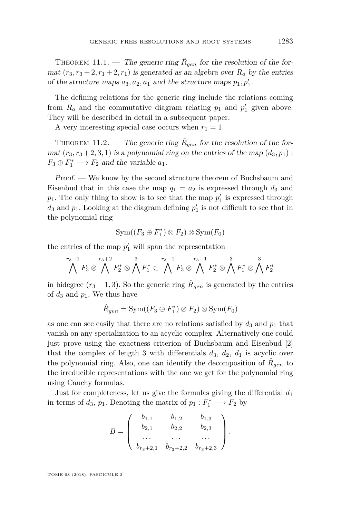<span id="page-43-1"></span>THEOREM 11.1. — The generic ring  $\hat{R}_{gen}$  for the resolution of the format  $(r_3, r_3 + 2, r_1 + 2, r_1)$  is generated as an algebra over  $R_a$  by the entries of the structure maps  $a_3$ ,  $a_2$ ,  $a_1$  and the structure maps  $p_1$ ,  $p'_1$ .

The defining relations for the generic ring include the relations coming from  $R_a$  and the commutative diagram relating  $p_1$  and  $p'_1$  given above. They will be described in detail in a subsequent paper.

A very interesting special case occurs when  $r_1 = 1$ .

<span id="page-43-0"></span>THEOREM 11.2. — The generic ring  $\hat{R}_{gen}$  for the resolution of the format  $(r_3, r_3 + 2, 3, 1)$  is a polynomial ring on the entries of the map  $(d_3, p_1)$ :  $F_3 \oplus F_1^* \longrightarrow F_2$  and the variable  $a_1$ .

Proof. — We know by the second structure theorem of Buchsbaum and Eisenbud that in this case the map  $q_1 = a_2$  is expressed through  $d_3$  and  $p_1$ . The only thing to show is to see that the map  $p'_1$  is expressed through  $d_3$  and  $p_1$ . Looking at the diagram defining  $p'_1$  is not difficult to see that in the polynomial ring

$$
\operatorname{Sym}((F_3 \oplus F_1^*) \otimes F_2) \otimes \operatorname{Sym}(F_0)
$$

the entries of the map  $p'_1$  will span the representation

$$
\bigwedge^{r_3-1}F_3\otimes\bigwedge^{r_3+2}F_2^*\otimes\bigwedge^3F_1^*\subset\bigwedge^{r_3-1}F_3\otimes\bigwedge^{r_3-1}F_2^*\otimes\bigwedge^3F_1^*\otimes\bigwedge^3F_2^*
$$

in bidegree  $(r_3 - 1, 3)$ . So the generic ring  $\hat{R}_{gen}$  is generated by the entries of  $d_3$  and  $p_1$ . We thus have

$$
\hat{R}_{gen} = \text{Sym}((F_3 \oplus F_1^*) \otimes F_2) \otimes \text{Sym}(F_0)
$$

as one can see easily that there are no relations satisfied by  $d_3$  and  $p_1$  that vanish on any specialization to an acyclic complex. Alternatively one could just prove using the exactness criterion of Buchsbaum and Eisenbud [\[2\]](#page-55-2) that the complex of length 3 with differentials  $d_3$ ,  $d_2$ ,  $d_1$  is acyclic over the polynomial ring. Also, one can identify the decomposition of  $\hat{R}_{gen}$  to the irreducible representations with the one we get for the polynomial ring using Cauchy formulas.

Just for completeness, let us give the formulas giving the differential *d*<sup>1</sup> in terms of  $d_3$ ,  $p_1$ . Denoting the matrix of  $p_1: F_1^* \longrightarrow F_2$  by

$$
B = \begin{pmatrix} b_{1,1} & b_{1,2} & b_{1,3} \\ b_{2,1} & b_{2,2} & b_{2,3} \\ \dots & \dots & \dots \\ b_{r_3+2,1} & b_{r_3+2,2} & b_{r_3+2,3} \end{pmatrix}.
$$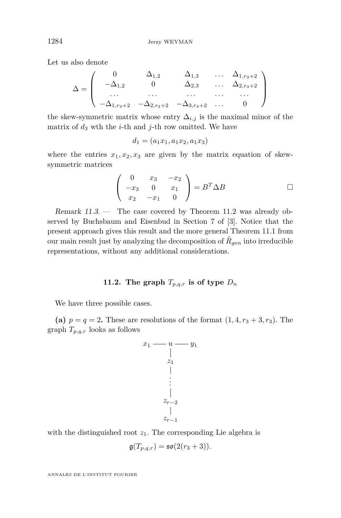Let us also denote

$$
\Delta = \left( \begin{array}{cccc} 0 & \Delta_{1,2} & \Delta_{1,3} & \dots & \Delta_{1,r_3+2} \\ -\Delta_{1,2} & 0 & \Delta_{2,3} & \dots & \Delta_{2,r_3+2} \\ \dots & \dots & \dots & \dots & \dots \\ -\Delta_{1,r_3+2} & -\Delta_{2,r_3+2} & -\Delta_{3,r_3+2} & \dots & 0 \end{array} \right)
$$

the skew-symmetric matrix whose entry  $\Delta_{i,j}$  is the maximal minor of the matrix of  $d_3$  wth the *i*-th and *j*-th row omitted. We have

$$
d_1 = (a_1x_1, a_1x_2, a_1x_3)
$$

where the entries  $x_1, x_2, x_3$  are given by the matrix equation of skewsymmetric matrices

$$
\begin{pmatrix} 0 & x_3 & -x_2 \\ -x_3 & 0 & x_1 \\ x_2 & -x_1 & 0 \end{pmatrix} = B^T \Delta B \qquad \Box
$$

Remark 11.3. — The case covered by Theorem [11.2](#page-43-0) was already observed by Buchsbaum and Eisenbud in Section 7 of [\[3\]](#page-55-3). Notice that the present approach gives this result and the more general Theorem [11.1](#page-43-1) from our main result just by analyzing the decomposition of  $\hat{R}_{gen}$  into irreducible representations, without any additional considerations.

#### **11.2.** The graph  $T_{p,q,r}$  is of type  $D_n$

We have three possible cases.

(a)  $p = q = 2$ . These are resolutions of the format  $(1, 4, r_3 + 3, r_3)$ . The graph *Tp,q,r* looks as follows



with the distinguished root  $z_1$ . The corresponding Lie algebra is

$$
\mathfrak{g}(T_{p,q,r}) = \mathfrak{so}(2(r_3+3)).
$$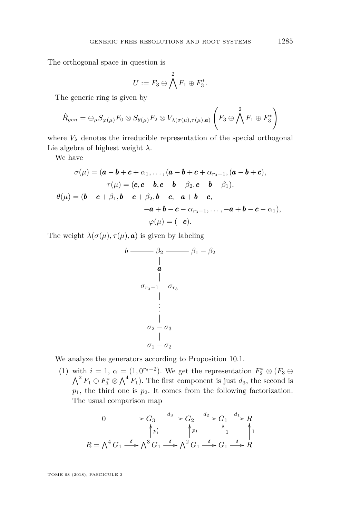The orthogonal space in question is

$$
U:=F_3\oplus \bigwedge^2 F_1\oplus F_3^*.
$$

The generic ring is given by

$$
\hat{R}_{gen} = \bigoplus_{\mu} S_{\varphi(\mu)} F_0 \otimes S_{\theta(\mu)} F_2 \otimes V_{\lambda(\sigma(\mu), \tau(\mu), \mathbf{a})} \left( F_3 \oplus \bigwedge^2 F_1 \oplus F_3^* \right)
$$

where  $V_{\lambda}$  denotes the irreducible representation of the special orthogonal Lie algebra of highest weight *λ*.

We have

$$
\sigma(\mu) = (\mathbf{a} - \mathbf{b} + \mathbf{c} + \alpha_1, ..., (\mathbf{a} - \mathbf{b} + \mathbf{c} + \alpha_{r_3-1}, (\mathbf{a} - \mathbf{b} + \mathbf{c}),
$$
  
\n
$$
\tau(\mu) = (\mathbf{c}, \mathbf{c} - \mathbf{b}, \mathbf{c} - \mathbf{b} - \beta_2, \mathbf{c} - \mathbf{b} - \beta_1),
$$
  
\n
$$
\theta(\mu) = (\mathbf{b} - \mathbf{c} + \beta_1, \mathbf{b} - \mathbf{c} + \beta_2, \mathbf{b} - \mathbf{c}, -\mathbf{a} + \mathbf{b} - \mathbf{c},
$$
  
\n
$$
-\mathbf{a} + \mathbf{b} - \mathbf{c} - \alpha_{r_3-1}, ..., -\mathbf{a} + \mathbf{b} - \mathbf{c} - \alpha_1),
$$
  
\n
$$
\varphi(\mu) = (-\mathbf{c}).
$$

The weight  $\lambda(\sigma(\mu), \tau(\mu), \mathbf{a})$  is given by labeling

$$
b \longrightarrow \beta_2 \longrightarrow \beta_1 - \beta_2
$$
\n
$$
\begin{array}{c}\n a \\
 a \\
 \hline\n \vdots \\
 \sigma_{r_3-1} - \sigma_{r_3} \\
 \vdots \\
 \sigma_2 - \sigma_3 \\
 \sigma_1 - \sigma_2\n \end{array}
$$

We analyze the generators according to Proposition [10.1.](#page-33-0)

(1) with  $i = 1, \alpha = (1, 0^{r_3-2})$ . We get the representation  $F_2^* \otimes (F_3 \oplus$  $\bigwedge^2 F_1 \oplus F_3^* \otimes \bigwedge^4 F_1$ ). The first component is just  $d_3$ , the second is  $p_1$ , the third one is  $p_2$ . It comes from the following factorization. The usual comparison map

$$
0 \longrightarrow G_3 \xrightarrow{d_3} G_2 \xrightarrow{d_2} G_1 \xrightarrow{d_1} R
$$
  
\n
$$
R = \bigwedge^4 G_1 \xrightarrow{\delta} \bigwedge^3 G_1 \xrightarrow{\delta} \bigwedge^2 G_1 \xrightarrow{\delta} G_1 \xrightarrow{\delta} G_1 \xrightarrow{\delta} R
$$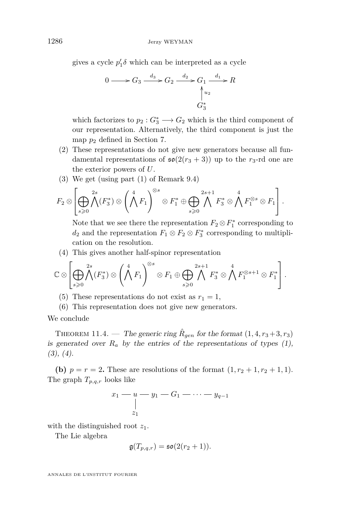gives a cycle  $p'_1 \delta$  which can be interpreted as a cycle

$$
0 \longrightarrow G_3 \xrightarrow{d_3} G_2 \xrightarrow{d_2} G_1 \xrightarrow{d_1} R
$$
  

$$
\uparrow u_2
$$
  

$$
G_3^*
$$

which factorizes to  $p_2: G_3^* \longrightarrow G_2$  which is the third component of our representation. Alternatively, the third component is just the map  $p_2$  defined in Section [7.](#page-25-0)

- (2) These representations do not give new generators because all fundamental representations of  $\mathfrak{so}(2(r_3+3))$  up to the  $r_3$ -rd one are the exterior powers of *U*.
- (3) We get (using part [\(1\)](#page-31-0) of Remark [9.4\)](#page-31-1)

$$
F_2 \otimes \left[\bigoplus_{s\geqslant 0}\bigwedge^{2s}(F_3^*) \otimes \left(\bigwedge^4 F_1\right)^{\otimes s} \otimes F_1^* \oplus \bigoplus_{s\geqslant 0}\bigwedge^{2s+1} F_3^* \otimes \bigwedge^4 F_1^{\otimes s} \otimes F_1\right].
$$

Note that we see there the representation  $F_2 \otimes F_1^*$  corresponding to  $d_2$  and the representation  $F_1 \otimes F_2 \otimes F_3^*$  corresponding to multiplication on the resolution.

(4) This gives another half-spinor representation

$$
\mathbb{C}\otimes\left[\bigoplus_{s\geqslant 0}\bigwedge^{2s}(F_3^*)\otimes\left(\bigwedge^4F_1\right)^{\otimes s}\otimes F_1\oplus\bigoplus_{s\geqslant 0}\bigwedge^{2s+1}F_3^*\otimes\bigwedge^4F_1^{\otimes s+1}\otimes F_1^*\right].
$$

- (5) These representations do not exist as  $r_1 = 1$ ,
- (6) This representation does not give new generators.

We conclude

THEOREM 11.4. — The generic ring  $\hat{R}_{gen}$  for the format  $(1, 4, r_3 + 3, r_3)$ is generated over  $R_a$  by the entries of the representations of types  $(1)$ ,  $(3), (4).$ 

**(b)**  $p = r = 2$ . These are resolutions of the format  $(1, r_2 + 1, r_2 + 1, 1)$ . The graph *Tp,q,r* looks like

$$
\begin{array}{c}\nx_1 - u - y_1 - G_1 - \cdots - y_{q-1} \\
\downarrow \\
z_1\n\end{array}
$$

with the distinguished root *z*1.

The Lie algebra

$$
\mathfrak{g}(T_{p,q,r}) = \mathfrak{so}(2(r_2+1)).
$$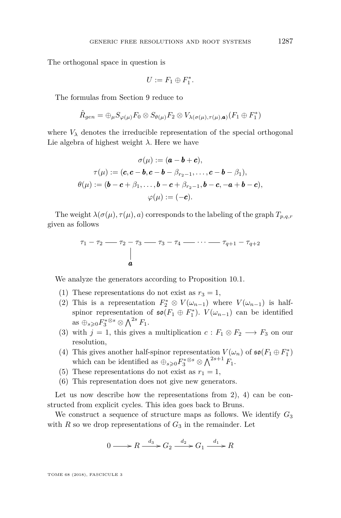The orthogonal space in question is

$$
U:=F_1\oplus F_1^*.
$$

The formulas from Section [9](#page-28-0) reduce to

$$
\hat{R}_{gen} = \bigoplus_{\mu} S_{\varphi(\mu)} F_0 \otimes S_{\theta(\mu)} F_2 \otimes V_{\lambda(\sigma(\mu), \tau(\mu), \mathbf{a})}(F_1 \oplus F_1^*)
$$

where  $V_{\lambda}$  denotes the irreducible representation of the special orthogonal Lie algebra of highest weight *λ*. Here we have

$$
\sigma(\mu) := (\mathbf{a} - \mathbf{b} + \mathbf{c}),
$$

$$
\tau(\mu) := (\mathbf{c}, \mathbf{c} - \mathbf{b}, \mathbf{c} - \mathbf{b} - \beta_{r_2 - 1}, \dots, \mathbf{c} - \mathbf{b} - \beta_1),
$$

$$
\theta(\mu) := (\mathbf{b} - \mathbf{c} + \beta_1, \dots, \mathbf{b} - \mathbf{c} + \beta_{r_2 - 1}, \mathbf{b} - \mathbf{c}, -\mathbf{a} + \mathbf{b} - \mathbf{c}),
$$

$$
\varphi(\mu) := (-\mathbf{c}).
$$

The weight  $\lambda(\sigma(\mu), \tau(\mu), a)$  corresponds to the labeling of the graph  $T_{p,q,r}$ given as follows

$$
\tau_1 - \tau_2 - \tau_3 - \tau_3 - \tau_4 - \cdots - \tau_{q+1} - \tau_{q+2}
$$

We analyze the generators according to Proposition [10.1.](#page-33-0)

- (1) These representations do not exist as  $r_3 = 1$ ,
- (2) This is a representation  $F_2^* \otimes V(\omega_{n-1})$  where  $V(\omega_{n-1})$  is halfspinor representation of  $\mathfrak{so}(F_1 \oplus F_1^*)$ .  $V(\omega_{n-1})$  can be identified as  $\oplus_{s\geqslant 0} F_3^{*\otimes s} \otimes \bigwedge^{2s} F_1$ .
- (3) with  $j = 1$ , this gives a multiplication  $c : F_1 \otimes F_2 \longrightarrow F_3$  on our resolution,
- (4) This gives another half-spinor representation  $V(\omega_n)$  of  $\mathfrak{so}(F_1 \oplus F_1^*)$ which can be identified as  $\bigoplus_{s\geqslant 0} F_3^{*\otimes s} \otimes \bigwedge^{2s+1} F_1$ .
- (5) These representations do not exist as  $r_1 = 1$ ,
- (6) This representation does not give new generators.

Let us now describe how the representations from 2, 4 can be constructed from explicit cycles. This idea goes back to Bruns.

We construct a sequence of structure maps as follows. We identify  $G_3$ with  $R$  so we drop representations of  $G_3$  in the remainder. Let

$$
0 \longrightarrow R \xrightarrow{d_3} G_2 \xrightarrow{d_2} G_1 \xrightarrow{d_1} R
$$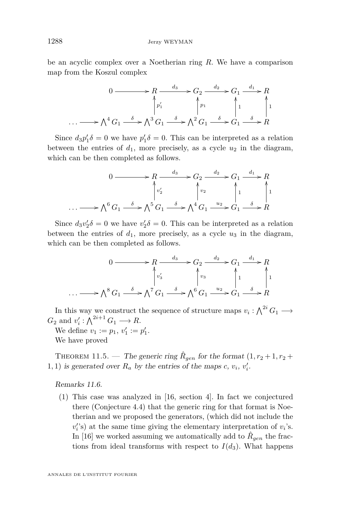be an acyclic complex over a Noetherian ring *R*. We have a comparison map from the Koszul complex

$$
0 \longrightarrow R \xrightarrow{d_3} G_2 \xrightarrow{d_2} G_1 \xrightarrow{d_1} R
$$
  
\n
$$
\uparrow p_1'
$$
  
\n
$$
\downarrow p_2
$$
  
\n
$$
\downarrow p_3
$$
  
\n
$$
\uparrow p_1
$$
  
\n
$$
\downarrow p_2
$$
  
\n
$$
\downarrow p_3
$$
  
\n
$$
\downarrow p_4
$$
  
\n
$$
\downarrow p_1
$$
  
\n
$$
\downarrow p_2
$$
  
\n
$$
\downarrow p_3
$$
  
\n
$$
\downarrow p_4
$$
  
\n
$$
\downarrow p_5
$$
  
\n
$$
\downarrow p_6
$$
  
\n
$$
\downarrow p_7
$$
  
\n
$$
\downarrow p_8
$$
  
\n
$$
\downarrow p_9
$$
  
\n
$$
\downarrow p_1
$$
  
\n
$$
\downarrow p_2
$$
  
\n
$$
\downarrow p_3
$$
  
\n
$$
\downarrow p_4
$$
  
\n
$$
\downarrow p_5
$$
  
\n
$$
\downarrow p_6
$$
  
\n
$$
\downarrow p_7
$$
  
\n
$$
\downarrow p_8
$$
  
\n
$$
\downarrow p_9
$$
  
\n
$$
\downarrow p_9
$$
  
\n
$$
\downarrow p_9
$$
  
\n
$$
\downarrow p_8
$$

Since  $d_3p'_1\delta = 0$  we have  $p'_1\delta = 0$ . This can be interpreted as a relation between the entries of  $d_1$ , more precisely, as a cycle  $u_2$  in the diagram, which can be then completed as follows.

$$
0 \longrightarrow R \xrightarrow{d_3} G_2 \xrightarrow{d_2} G_1 \xrightarrow{d_1} R
$$
  
\n
$$
\downarrow v_2'
$$
  
\n
$$
\downarrow v_2
$$
  
\n
$$
\downarrow 1
$$
  
\n
$$
\downarrow 1
$$
  
\n
$$
\downarrow 0
$$
  
\n
$$
\downarrow 0
$$
  
\n
$$
\downarrow 0
$$
  
\n
$$
\downarrow 0
$$
  
\n
$$
\downarrow 1
$$
  
\n
$$
\downarrow 1
$$
  
\n
$$
\downarrow 1
$$
  
\n
$$
\downarrow 0
$$
  
\n
$$
\downarrow 0
$$
  
\n
$$
\downarrow 0
$$
  
\n
$$
\downarrow 0
$$
  
\n
$$
\downarrow 0
$$
  
\n
$$
\downarrow 0
$$
  
\n
$$
\downarrow 0
$$
  
\n
$$
\downarrow 0
$$
  
\n
$$
\downarrow 0
$$
  
\n
$$
\downarrow 0
$$
  
\n
$$
\downarrow 0
$$
  
\n
$$
\downarrow 0
$$
  
\n
$$
\downarrow 0
$$
  
\n
$$
\downarrow 0
$$
  
\n
$$
\downarrow 0
$$
  
\n
$$
\downarrow 0
$$
  
\n
$$
\downarrow 0
$$
  
\n
$$
\downarrow 0
$$
  
\n
$$
\downarrow 0
$$
  
\n
$$
\downarrow 0
$$
  
\n
$$
\downarrow 0
$$
  
\n
$$
\downarrow 0
$$
  
\n
$$
\downarrow 0
$$
  
\n
$$
\downarrow 0
$$
  
\n
$$
\downarrow 0
$$
  
\n
$$
\downarrow 0
$$
  
\n
$$
\downarrow 0
$$
  
\n
$$
\downarrow 0
$$
  
\n
$$
\downarrow 0
$$
  
\n
$$
\downarrow 0
$$
  
\n
$$
\downarrow 0
$$
  
\n
$$
\downarrow 0
$$
  
\n
$$
\downarrow 0
$$
  
\n
$$
\downarrow 0
$$

Since  $d_3v'_2\delta = 0$  we have  $v'_2\delta = 0$ . This can be interpreted as a relation between the entries of  $d_1$ , more precisely, as a cycle  $u_3$  in the diagram, which can be then completed as follows.

$$
0 \longrightarrow R \xrightarrow{d_3} G_2 \xrightarrow{d_2} G_1 \xrightarrow{d_1} R
$$
  
\n
$$
\downarrow v_3'
$$
  
\n
$$
\downarrow v_3'
$$
  
\n
$$
\downarrow v_3
$$
  
\n
$$
\downarrow 1
$$
  
\n
$$
\downarrow 1
$$
  
\n
$$
\downarrow 1
$$
  
\n
$$
\downarrow 1
$$
  
\n
$$
\downarrow 1
$$
  
\n
$$
\downarrow 1
$$
  
\n
$$
\downarrow 1
$$
  
\n
$$
\downarrow 1
$$
  
\n
$$
\downarrow 1
$$
  
\n
$$
\downarrow 1
$$
  
\n
$$
\downarrow 1
$$
  
\n
$$
\downarrow 1
$$
  
\n
$$
\downarrow 1
$$
  
\n
$$
\downarrow 1
$$
  
\n
$$
\downarrow 1
$$
  
\n
$$
\downarrow 1
$$
  
\n
$$
\downarrow 1
$$
  
\n
$$
\downarrow 1
$$
  
\n
$$
\downarrow 1
$$
  
\n
$$
\downarrow 1
$$
  
\n
$$
\downarrow 1
$$
  
\n
$$
\downarrow 1
$$
  
\n
$$
\downarrow 1
$$
  
\n
$$
\downarrow 1
$$
  
\n
$$
\downarrow 1
$$
  
\n
$$
\downarrow 1
$$
  
\n
$$
\downarrow 1
$$
  
\n
$$
\downarrow 1
$$
  
\n
$$
\downarrow 1
$$
  
\n
$$
\downarrow 1
$$
  
\n
$$
\downarrow 1
$$
  
\n
$$
\downarrow 1
$$
  
\n
$$
\downarrow 1
$$
  
\n
$$
\downarrow 1
$$
  
\n
$$
\downarrow 1
$$
  
\n
$$
\downarrow 1
$$
  
\n
$$
\downarrow 1
$$
  
\n
$$
\downarrow 1
$$
  
\n
$$
\downarrow 1
$$
  
\n
$$
\downarrow 1
$$
  
\n
$$
\downarrow 1
$$
  
\n
$$
\downarrow 1
$$

In this way we construct the sequence of structure maps  $v_i: \bigwedge^{2i} G_1 \longrightarrow$  $G_2$  and  $v'_i: \bigwedge^{2i+1} G_1 \longrightarrow R$ .

We define  $v_1 := p_1, v'_1 := p'_1.$ We have proved

THEOREM 11.5. — The generic ring  $\hat{R}_{gen}$  for the format  $(1, r_2+1, r_2+1)$ 1, 1) is generated over  $R_a$  by the entries of the maps  $c, v_i, v'_i$ .

Remarks 11.6.

(1) This case was analyzed in [\[16,](#page-56-1) section 4]. In fact we conjectured there (Conjecture 4.4) that the generic ring for that format is Noetherian and we proposed the generators, (which did not include the  $v_i$ 's) at the same time giving the elementary interpretation of  $v_i$ 's. In [\[16\]](#page-56-1) we worked assuming we automatically add to  $\hat{R}_{gen}$  the fractions from ideal transforms with respect to  $I(d_3)$ . What happens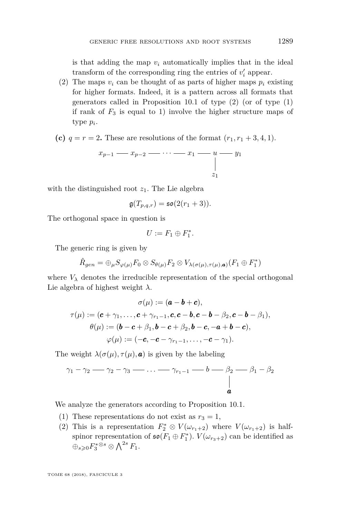is that adding the map  $v_i$  automatically implies that in the ideal transform of the corresponding ring the entries of  $v_i'$  appear.

- (2) The maps  $v_i$  can be thought of as parts of higher maps  $p_i$  existing for higher formats. Indeed, it is a pattern across all formats that generators called in Proposition [10.1](#page-33-0) of type (2) (or of type (1) if rank of  $F_3$  is equal to 1) involve the higher structure maps of type *p<sup>i</sup>* .
- **(c)**  $q = r = 2$ . These are resolutions of the format  $(r_1, r_1 + 3, 4, 1)$ .

$$
x_{p-1} \longrightarrow x_{p-2} \longrightarrow \cdots \longrightarrow x_1 \longrightarrow u \longrightarrow y_1
$$
  
\n
$$
\downarrow
$$
  
\n
$$
z_1
$$

with the distinguished root  $z_1$ . The Lie algebra

$$
\mathfrak{g}(T_{p,q,r}) = \mathfrak{so}(2(r_1+3)).
$$

The orthogonal space in question is

$$
U:=F_1\oplus F_1^*.
$$

The generic ring is given by

$$
\hat{R}_{gen} = \bigoplus_{\mu} S_{\varphi(\mu)} F_0 \otimes S_{\theta(\mu)} F_2 \otimes V_{\lambda(\sigma(\mu), \tau(\mu), \mathbf{a})}(F_1 \oplus F_1^*)
$$

where  $V_{\lambda}$  denotes the irreducible representation of the special orthogonal Lie algebra of highest weight *λ*.

$$
\sigma(\mu) := (\boldsymbol{a} - \boldsymbol{b} + \boldsymbol{c}),
$$
  
\n
$$
\tau(\mu) := (\boldsymbol{c} + \gamma_1, \dots, \boldsymbol{c} + \gamma_{r_1 - 1}, \boldsymbol{c}, \boldsymbol{c} - \boldsymbol{b}, \boldsymbol{c} - \boldsymbol{b} - \beta_2, \boldsymbol{c} - \boldsymbol{b} - \beta_1),
$$
  
\n
$$
\theta(\mu) := (\boldsymbol{b} - \boldsymbol{c} + \beta_1, \boldsymbol{b} - \boldsymbol{c} + \beta_2, \boldsymbol{b} - \boldsymbol{c}, -\boldsymbol{a} + \boldsymbol{b} - \boldsymbol{c}),
$$
  
\n
$$
\varphi(\mu) := (-\boldsymbol{c}, -\boldsymbol{c} - \gamma_{r_1 - 1}, \dots, -\boldsymbol{c} - \gamma_1).
$$

The weight  $\lambda(\sigma(\mu), \tau(\mu), \mathbf{a})$  is given by the labeling

$$
\gamma_1 - \gamma_2 \longrightarrow \gamma_2 - \gamma_3 \longrightarrow \dots \longrightarrow \gamma_{r_1-1} \longrightarrow b \longrightarrow \beta_2 \longrightarrow \beta_1 - \beta_2
$$

We analyze the generators according to Proposition [10.1.](#page-33-0)

- (1) These representations do not exist as  $r_3 = 1$ ,
- (2) This is a representation  $F_2^* \otimes V(\omega_{r_1+2})$  where  $V(\omega_{r_1+2})$  is halfspinor representation of  $\mathfrak{so}(F_1 \oplus F_1^*)$ .  $V(\omega_{r_3+2})$  can be identified as  $\oplus_{s\geqslant 0} F^{*\otimes s}_3 \otimes \bigwedge^{2s} F_1.$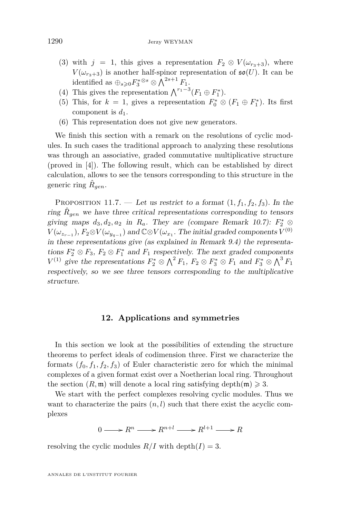- (3) with  $j = 1$ , this gives a representation  $F_2 \otimes V(\omega_{r_3+3})$ , where  $V(\omega_{r_3+3})$  is another half-spinor representation of  $\mathfrak{so}(U)$ . It can be identified as  $\bigoplus_{s\geqslant 0} F_3^{*\otimes s} \otimes \bigwedge^{2s+1} F_1$ .
- (4) This gives the representation  $\bigwedge^{r_1-3}(F_1 \oplus F_1^*)$ .
- (5) This, for  $k = 1$ , gives a representation  $F_0^* \otimes (F_1 \oplus F_1^*)$ . Its first component is  $d_1$ .
- (6) This representation does not give new generators.

We finish this section with a remark on the resolutions of cyclic modules. In such cases the traditional approach to analyzing these resolutions was through an associative, graded commutative multiplicative structure (proved in [\[4\]](#page-55-12)). The following result, which can be established by direct calculation, allows to see the tensors corresponding to this structure in the generic ring  $\hat{R}_{gen}$ .

PROPOSITION 11.7. — Let us restrict to a format  $(1, f_1, f_2, f_3)$ . In the ring  $\hat{R}_{gen}$  we have three critical representations corresponding to tensors giving maps  $d_3, d_2, a_2$  in  $R_a$ . They are (compare Remark [10.7\)](#page-39-1):  $F_2^* \otimes$  $V(\omega_{z_{r-1}}), F_2 \otimes V(\omega_{y_{q-1}})$  and  $\mathbb{C} \otimes V(\omega_{x_1}.$  The initial graded components  $V^{(0)}$ in these representations give (as explained in Remark [9.4\)](#page-31-1) the representations  $F_2^* \otimes F_3$ ,  $F_2 \otimes F_1^*$  and  $F_1$  respectively. The next graded components *V*<sup>(1)</sup> give the representations  $F_2^* \otimes \Lambda^2 F_1$ ,  $F_2 \otimes F_3^* \otimes F_1$  and  $F_3^* \otimes \Lambda^3 F_1$ respectively, so we see three tensors corresponding to the multiplicative structure.

#### **12. Applications and symmetries**

<span id="page-50-0"></span>In this section we look at the possibilities of extending the structure theorems to perfect ideals of codimension three. First we characterize the formats  $(f_0, f_1, f_2, f_3)$  of Euler characteristic zero for which the minimal complexes of a given format exist over a Noetherian local ring. Throughout the section  $(R, \mathfrak{m})$  will denote a local ring satisfying depth $(\mathfrak{m}) \geq 3$ .

We start with the perfect complexes resolving cyclic modules. Thus we want to characterize the pairs  $(n, l)$  such that there exist the acyclic complexes

 $0 \longrightarrow R^n \longrightarrow R^{n+l} \longrightarrow R^{l+1} \longrightarrow R$ 

resolving the cyclic modules  $R/I$  with depth $(I) = 3$ .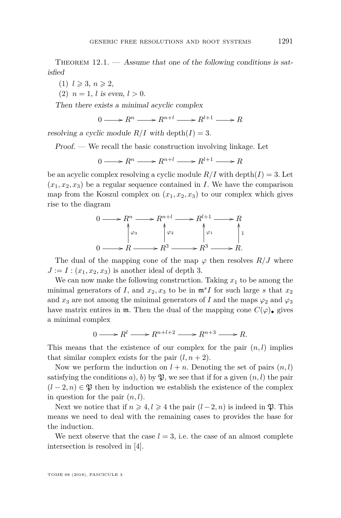<span id="page-51-0"></span>THEOREM  $12.1.$  — Assume that one of the following conditions is satisfied

 $(1)$   $l \geqslant 3$ ,  $n \geqslant 2$ ,

(2)  $n = 1$ , *l* is even,  $l > 0$ .

Then there exists a minimal acyclic complex

$$
0 \longrightarrow R^n \longrightarrow R^{n+l} \longrightarrow R^{l+1} \longrightarrow R
$$

resolving a cyclic module  $R/I$  with depth $(I) = 3$ .

Proof. — We recall the basic construction involving linkage. Let

$$
0 \longrightarrow R^n \longrightarrow R^{n+l} \longrightarrow R^{l+1} \longrightarrow R
$$

be an acyclic complex resolving a cyclic module  $R/I$  with depth $(I) = 3$ . Let  $(x_1, x_2, x_3)$  be a regular sequence contained in *I*. We have the comparison map from the Koszul complex on  $(x_1, x_2, x_3)$  to our complex which gives rise to the diagram

$$
0 \longrightarrow R^n \longrightarrow R^{n+l} \longrightarrow R^{l+1} \longrightarrow R
$$
  
\n
$$
\downarrow \varphi_3 \qquad \qquad \downarrow \varphi_2 \qquad \qquad \downarrow \varphi_1
$$
  
\n
$$
0 \longrightarrow R \longrightarrow R^3 \longrightarrow R^3 \longrightarrow R.
$$

The dual of the mapping cone of the map  $\varphi$  then resolves  $R/J$  where  $J := I : (x_1, x_2, x_3)$  is another ideal of depth 3.

We can now make the following construction. Taking  $x_1$  to be among the minimal generators of *I*, and  $x_2, x_3$  to be in  $\mathfrak{m}^s I$  for such large *s* that  $x_2$ and  $x_3$  are not among the minimal generators of *I* and the maps  $\varphi_2$  and  $\varphi_3$ have matrix entires in  $m$ . Then the dual of the mapping cone  $C(\varphi)$ , gives a minimal complex

$$
0 \longrightarrow R^l \longrightarrow R^{n+l+2} \longrightarrow R^{n+3} \longrightarrow R.
$$

This means that the existence of our complex for the pair  $(n, l)$  implies that similar complex exists for the pair  $(l, n+2)$ .

Now we perform the induction on  $l + n$ . Denoting the set of pairs  $(n, l)$ satisfying the conditions *a*), *b*) by  $\mathfrak{P}$ , we see that if for a given  $(n, l)$  the pair  $(l-2,n) \in \mathfrak{P}$  then by induction we establish the existence of the complex in question for the pair (*n, l*).

Next we notice that if  $n \geq 4, l \geq 4$  the pair  $(l-2, n)$  is indeed in  $\mathfrak{P}$ . This means we need to deal with the remaining cases to provides the base for the induction.

We next observe that the case  $l = 3$ , i.e. the case of an almost complete intersection is resolved in [\[4\]](#page-55-12).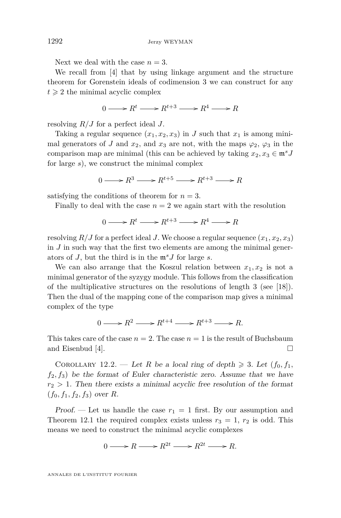Next we deal with the case  $n = 3$ .

We recall from [\[4\]](#page-55-12) that by using linkage argument and the structure theorem for Gorenstein ideals of codimension 3 we can construct for any  $t \geqslant 2$  the minimal acyclic complex

$$
0 \longrightarrow R^t \longrightarrow R^{t+3} \longrightarrow R^4 \longrightarrow R
$$

resolving *R/J* for a perfect ideal *J*.

Taking a regular sequence  $(x_1, x_2, x_3)$  in *J* such that  $x_1$  is among minimal generators of *J* and  $x_2$ , and  $x_3$  are not, with the maps  $\varphi_2$ ,  $\varphi_3$  in the comparison map are minimal (this can be achieved by taking  $x_2, x_3 \in \mathfrak{m}^s J$ for large *s*), we construct the minimal complex

 $0 \longrightarrow R^3 \longrightarrow R^{t+5} \longrightarrow R^{t+3} \longrightarrow R$ 

satisfying the conditions of theorem for  $n = 3$ .

Finally to deal with the case  $n = 2$  we again start with the resolution

 $0 \longrightarrow R^t \longrightarrow R^{t+3} \longrightarrow R^4 \longrightarrow R$ 

resolving  $R/J$  for a perfect ideal *J*. We choose a regular sequence  $(x_1, x_2, x_3)$ in *J* in such way that the first two elements are among the minimal generators of *J*, but the third is in the m*<sup>s</sup>J* for large *s*.

We can also arrange that the Koszul relation between  $x_1, x_2$  is not a minimal generator of the syzygy module. This follows from the classification of the multiplicative structures on the resolutions of length 3 (see [\[18\]](#page-56-0)). Then the dual of the mapping cone of the comparison map gives a minimal complex of the type

$$
0 \longrightarrow R^2 \longrightarrow R^{t+4} \longrightarrow R^{t+3} \longrightarrow R.
$$

This takes care of the case  $n = 2$ . The case  $n = 1$  is the result of Buchsbaum and Eisenbud [\[4\]](#page-55-12).  $\Box$ 

COROLLARY 12.2. — Let *R* be a local ring of depth  $\geq 3$ . Let  $(f_0, f_1, f_2)$  $f_2, f_3$ ) be the format of Euler characteristic zero. Assume that we have  $r_2 > 1$ . Then there exists a minimal acyclic free resolution of the format  $(f_0, f_1, f_2, f_3)$  over *R*.

Proof. — Let us handle the case  $r_1 = 1$  first. By our assumption and Theorem [12.1](#page-51-0) the required complex exists unless  $r_3 = 1$ ,  $r_2$  is odd. This means we need to construct the minimal acyclic complexes

 $0 \longrightarrow R \longrightarrow R^{2t} \longrightarrow R^{2t} \longrightarrow R$ .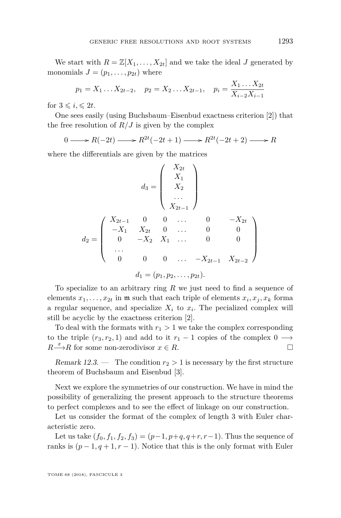We start with  $R = \mathbb{Z}[X_1, \ldots, X_{2t}]$  and we take the ideal *J* generated by monomials  $J = (p_1, \ldots, p_{2t})$  where

$$
p_1 = X_1 \dots X_{2t-2}, \quad p_2 = X_2 \dots X_{2t-1}, \quad p_i = \frac{X_1 \dots X_{2t}}{X_{i-2} X_{i-1}}
$$

for  $3 \leqslant i \leqslant 2t$ .

One sees easily (using Buchsbaum–Eisenbud exactness criterion [\[2\]](#page-55-2)) that the free resolution of  $R/J$  is given by the complex

0 → *R*(-2*t*) → *R*<sup>2*t*</sup>(-2*t* + 1) → *R*<sup>2*t*</sup>(-2*t* + 2) → *R* 

where the differentials are given by the matrices

$$
d_3 = \begin{pmatrix} X_{2t} \\ X_1 \\ X_2 \\ \dots \\ X_{2t-1} \end{pmatrix}
$$
  
\n
$$
d_2 = \begin{pmatrix} X_{2t-1} & 0 & 0 & \dots & 0 & -X_{2t} \\ -X_1 & X_{2t} & 0 & \dots & 0 & 0 \\ 0 & -X_2 & X_1 & \dots & 0 & 0 \\ \dots \\ 0 & 0 & 0 & \dots & -X_{2t-1} & X_{2t-2} \end{pmatrix}
$$
  
\n
$$
d_1 = (p_1, p_2, \dots, p_{2t}).
$$

To specialize to an arbitrary ring *R* we just need to find a sequence of elements  $x_1, \ldots, x_{2t}$  in  $\mathfrak{m}$  such that each triple of elements  $x_i, x_j, x_k$  forma a regular sequence, and specialize  $X_i$  to  $x_i$ . The pecialized complex will still be acyclic by the exactness criterion [\[2\]](#page-55-2).

To deal with the formats with  $r_1 > 1$  we take the complex corresponding to the triple  $(r_3, r_2, 1)$  and add to it  $r_1 - 1$  copies of the complex  $0 \longrightarrow$ *R*<sup> $x$ </sup>→*R* for some non-zerodivisor *x* ∈ *R*.

Remark 12.3. — The condition  $r_2 > 1$  is necessary by the first structure theorem of Buchsbaum and Eisenbud [\[3\]](#page-55-3).

Next we explore the symmetries of our construction. We have in mind the possibility of generalizing the present approach to the structure theorems to perfect complexes and to see the effect of linkage on our construction.

Let us consider the format of the complex of length 3 with Euler characteristic zero.

Let us take  $(f_0, f_1, f_2, f_3) = (p-1, p+q, q+r, r-1)$ . Thus the sequence of ranks is  $(p-1, q+1, r-1)$ . Notice that this is the only format with Euler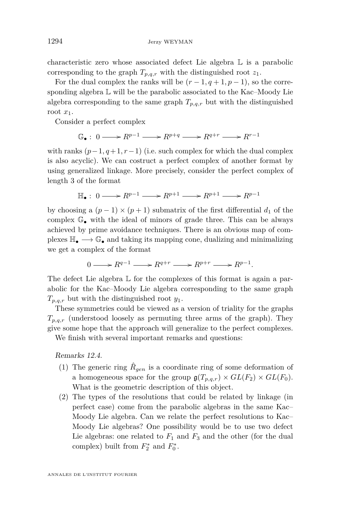characteristic zero whose associated defect Lie algebra L is a parabolic corresponding to the graph  $T_{p,q,r}$  with the distinguished root  $z_1$ .

For the dual complex the ranks will be  $(r-1, q+1, p-1)$ , so the corresponding algebra  $\mathbb L$  will be the parabolic associated to the Kac–Moody Lie algebra corresponding to the same graph  $T_{p,q,r}$  but with the distinguished root *x*1.

Consider a perfect complex

$$
\mathbb{G}_{\bullet}: 0 \longrightarrow \mathbb{R}^{p-1} \longrightarrow \mathbb{R}^{p+q} \longrightarrow \mathbb{R}^{q+r} \longrightarrow \mathbb{R}^{r-1}
$$

with ranks  $(p-1, q+1, r-1)$  (i.e. such complex for which the dual complex is also acyclic). We can costruct a perfect complex of another format by using generalized linkage. More precisely, consider the perfect complex of length 3 of the format

$$
\mathbb{H}_{\bullet}: 0 \longrightarrow R^{p-1} \longrightarrow R^{p+1} \longrightarrow R^{p+1} \longrightarrow R^{p-1}
$$

by choosing a  $(p-1) \times (p+1)$  submatrix of the first differential  $d_1$  of the complex  $\mathbb{G}_{\bullet}$  with the ideal of minors of grade three. This can be always achieved by prime avoidance techniques. There is an obvious map of complexes  $\mathbb{H}_{\bullet} \longrightarrow \mathbb{G}_{\bullet}$  and taking its mapping cone, dualizing and minimalizing we get a complex of the format

$$
0 \longrightarrow R^{q-1} \longrightarrow R^{q+r} \longrightarrow R^{p+r} \longrightarrow R^{p-1}.
$$

The defect Lie algebra  $\mathbb L$  for the complexes of this format is again a parabolic for the Kac–Moody Lie algebra corresponding to the same graph *Tp,q,r* but with the distinguished root *y*1.

These symmetries could be viewed as a version of triality for the graphs  $T_{p,q,r}$  (understood loosely as permuting three arms of the graph). They give some hope that the approach will generalize to the perfect complexes.

We finish with several important remarks and questions:

Remarks 12.4.

- (1) The generic ring  $\hat{R}_{gen}$  is a coordinate ring of some deformation of a homogeneous space for the group  $\mathfrak{g}(T_{p,q,r}) \times GL(F_2) \times GL(F_0)$ . What is the geometric description of this object.
- (2) The types of the resolutions that could be related by linkage (in perfect case) come from the parabolic algebras in the same Kac– Moody Lie algebra. Can we relate the perfect resolutions to Kac– Moody Lie algebras? One possibility would be to use two defect Lie algebras: one related to  $F_1$  and  $F_3$  and the other (for the dual complex) built from  $F_2^*$  and  $F_0^*$ .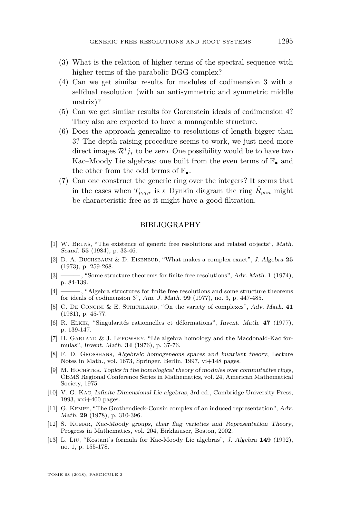- (3) What is the relation of higher terms of the spectral sequence with higher terms of the parabolic BGG complex?
- (4) Can we get similar results for modules of codimension 3 with a selfdual resolution (with an antisymmetric and symmetric middle matrix)?
- (5) Can we get similar results for Gorenstein ideals of codimension 4? They also are expected to have a manageable structure.
- (6) Does the approach generalize to resolutions of length bigger than 3? The depth raising procedure seems to work, we just need more direct images  $\mathcal{R}^i j_*$  to be zero. One possibility would be to have two Kac–Moody Lie algebras: one built from the even terms of  $\mathbb{F}_{\bullet}$  and the other from the odd terms of  $\mathbb{F}_{\bullet}$ .
- (7) Can one construct the generic ring over the integers? It seems that in the cases when  $T_{p,q,r}$  is a Dynkin diagram the ring  $\hat{R}_{gen}$  might be characteristic free as it might have a good filtration.

#### BIBLIOGRAPHY

- <span id="page-55-0"></span>[1] W. Bruns, "The existence of generic free resolutions and related objects", Math. Scand. **55** (1984), p. 33-46.
- <span id="page-55-2"></span>[2] D. A. Buchsbaum & D. Eisenbud, "What makes a complex exact", J. Algebra **25** (1973), p. 259-268.
- <span id="page-55-3"></span>[3] ——— , "Some structure theorems for finite free resolutions", Adv. Math. **1** (1974), p. 84-139.
- <span id="page-55-12"></span>[4] ——— , "Algebra structures for finite free resolutions and some structure theorems for ideals of codimension 3", Am. J. Math. **99** (1977), no. 3, p. 447-485.
- <span id="page-55-8"></span>[5] C. De Concini & E. Strickland, "On the variety of complexes", Adv. Math. **41** (1981), p. 45-77.
- <span id="page-55-11"></span>[6] R. Elkik, "Singularités rationnelles et déformations", Invent. Math. **47** (1977), p. 139-147.
- <span id="page-55-5"></span>[7] H. Garland & J. Lepowsky, "Lie algebra homology and the Macdonald-Kac formulas", Invent. Math. **34** (1976), p. 37-76.
- <span id="page-55-9"></span>[8] F. D. Grosshans, Algebraic homogeneous spaces and invariant theory, Lecture Notes in Math., vol. 1673, Springer, Berlin, 1997, vi+148 pages.
- <span id="page-55-1"></span>[9] M. HOCHSTER, Topics in the homological theory of modules over commutative rings, CBMS Regional Conference Series in Mathematics, vol. 24, American Mathematical Society, 1975.
- <span id="page-55-4"></span>[10] V. G. Kac, Infinite Dimensional Lie algebras, 3rd ed., Cambridge University Press, 1993, xxi+400 pages.
- <span id="page-55-10"></span>[11] G. Kempf, "The Grothendieck-Cousin complex of an induced representation", Adv. Math. **29** (1978), p. 310-396.
- <span id="page-55-7"></span>[12] S. KUMAR, Kac-Moody groups, their flag varieties and Representation Theory, Progress in Mathematics, vol. 204, Birkhäuser, Boston, 2002.
- <span id="page-55-6"></span>[13] L. Liu, "Kostant's formula for Kac-Moody Lie algebras", J. Algebra **149** (1992), no. 1, p. 155-178.